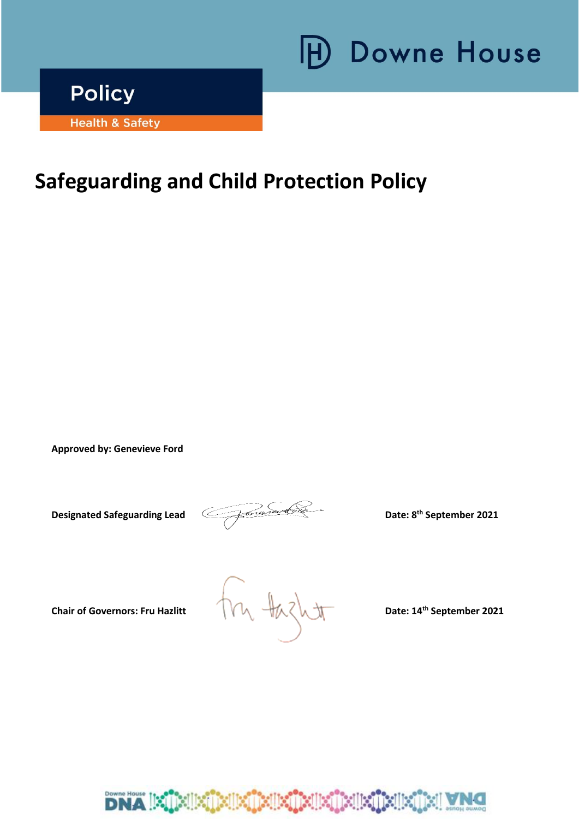# **Downe House**

**Health & Safety** 

# **Safeguarding and Child Protection Policy**

**Approved by: Genevieve Ford**

**Designated Safeguarding Lead**  $\overbrace{\hspace{1.5cm}}^{0}$ 

**th September 2021**

**Chair of Governors: Fru Hazlitt Date: 14<sup>th</sup> September 2021** 

# $\mathbf{DNA}[[x]][[x]][[x]][[x]][[x]][[x]][[x]][[x]][[x]][[x]][[x]][[x]]$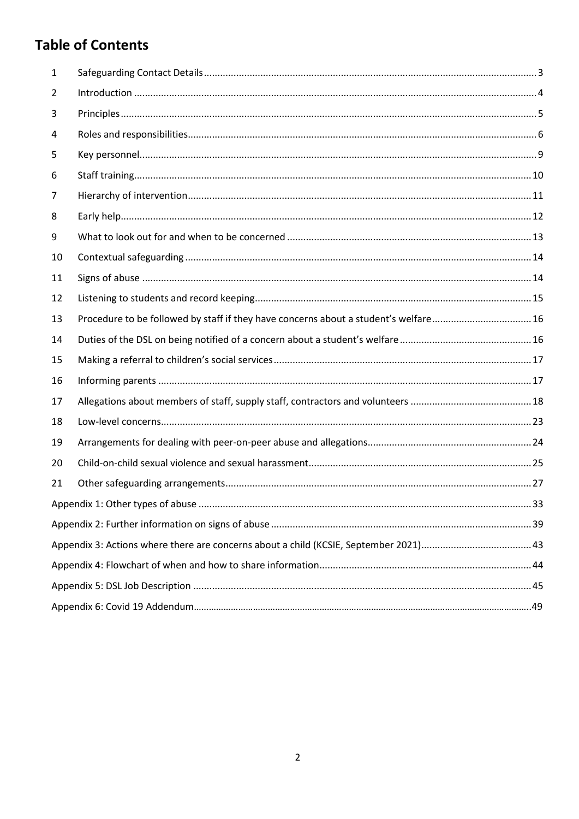# **Table of Contents**

| 1  |                                                                                     |  |
|----|-------------------------------------------------------------------------------------|--|
| 2  |                                                                                     |  |
| 3  |                                                                                     |  |
| 4  |                                                                                     |  |
| 5  |                                                                                     |  |
| 6  |                                                                                     |  |
| 7  |                                                                                     |  |
| 8  |                                                                                     |  |
| 9  |                                                                                     |  |
| 10 |                                                                                     |  |
| 11 |                                                                                     |  |
| 12 |                                                                                     |  |
| 13 | Procedure to be followed by staff if they have concerns about a student's welfare16 |  |
| 14 |                                                                                     |  |
| 15 |                                                                                     |  |
| 16 |                                                                                     |  |
| 17 |                                                                                     |  |
| 18 |                                                                                     |  |
| 19 |                                                                                     |  |
| 20 |                                                                                     |  |
| 21 |                                                                                     |  |
|    |                                                                                     |  |
|    |                                                                                     |  |
|    |                                                                                     |  |
|    |                                                                                     |  |
|    |                                                                                     |  |
|    |                                                                                     |  |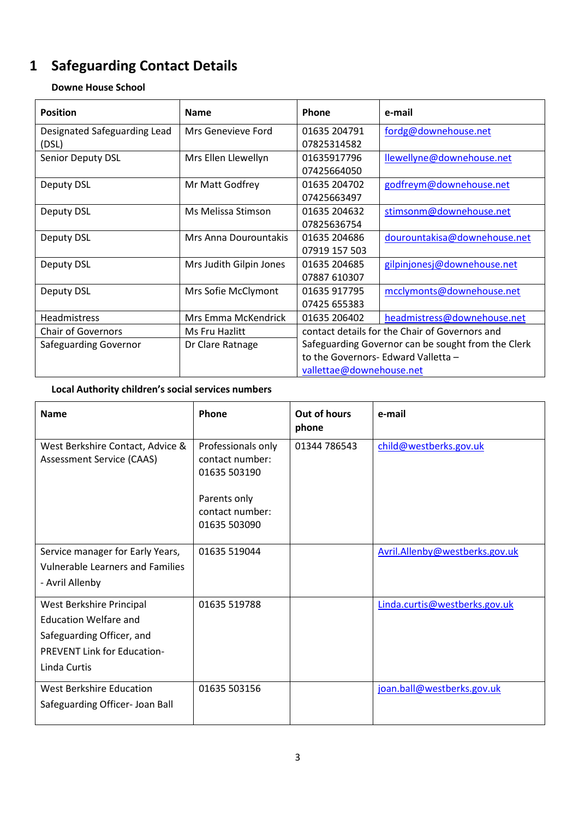# <span id="page-2-0"></span>**1 Safeguarding Contact Details**

#### **Downe House School**

| <b>Position</b>              | <b>Name</b>             | Phone                                          | e-mail                                             |
|------------------------------|-------------------------|------------------------------------------------|----------------------------------------------------|
| Designated Safeguarding Lead | Mrs Genevieve Ford      | 01635 204791                                   | fordg@downehouse.net                               |
| (DSL)                        |                         | 07825314582                                    |                                                    |
| Senior Deputy DSL            | Mrs Ellen Llewellyn     | 01635917796                                    | llewellyne@downehouse.net                          |
|                              |                         | 07425664050                                    |                                                    |
| Deputy DSL                   | Mr Matt Godfrey         | 01635 204702                                   | godfreym@downehouse.net                            |
|                              |                         | 07425663497                                    |                                                    |
| Deputy DSL                   | Ms Melissa Stimson      | 01635 204632                                   | stimsonm@downehouse.net                            |
|                              |                         | 07825636754                                    |                                                    |
| Deputy DSL                   | Mrs Anna Dourountakis   | 01635 204686                                   | dourountakisa@downehouse.net                       |
|                              |                         | 07919 157 503                                  |                                                    |
| Deputy DSL                   | Mrs Judith Gilpin Jones | 01635 204685                                   | gilpinjonesj@downehouse.net                        |
|                              |                         | 07887 610307                                   |                                                    |
| Deputy DSL                   | Mrs Sofie McClymont     | 01635 917795                                   | mcclymonts@downehouse.net                          |
|                              |                         | 07425 655383                                   |                                                    |
| <b>Headmistress</b>          | Mrs Emma McKendrick     | 01635 206402                                   | headmistress@downehouse.net                        |
| <b>Chair of Governors</b>    | Ms Fru Hazlitt          | contact details for the Chair of Governors and |                                                    |
| Safeguarding Governor        | Dr Clare Ratnage        |                                                | Safeguarding Governor can be sought from the Clerk |
|                              |                         |                                                | to the Governors- Edward Valletta -                |
|                              |                         | vallettae@downehouse.net                       |                                                    |

#### **Local Authority children's social services numbers**

| <b>Name</b>                                                                                                                                 | Phone                                                                                                    | Out of hours<br>phone | e-mail                         |
|---------------------------------------------------------------------------------------------------------------------------------------------|----------------------------------------------------------------------------------------------------------|-----------------------|--------------------------------|
| West Berkshire Contact, Advice &<br>Assessment Service (CAAS)                                                                               | Professionals only<br>contact number:<br>01635 503190<br>Parents only<br>contact number:<br>01635 503090 | 01344 786543          | child@westberks.gov.uk         |
| Service manager for Early Years,<br><b>Vulnerable Learners and Families</b><br>- Avril Allenby                                              | 01635 519044                                                                                             |                       | Avril.Allenby@westberks.gov.uk |
| West Berkshire Principal<br><b>Education Welfare and</b><br>Safeguarding Officer, and<br><b>PREVENT Link for Education-</b><br>Linda Curtis | 01635 519788                                                                                             |                       | Linda.curtis@westberks.gov.uk  |
| West Berkshire Education<br>Safeguarding Officer- Joan Ball                                                                                 | 01635 503156                                                                                             |                       | joan.ball@westberks.gov.uk     |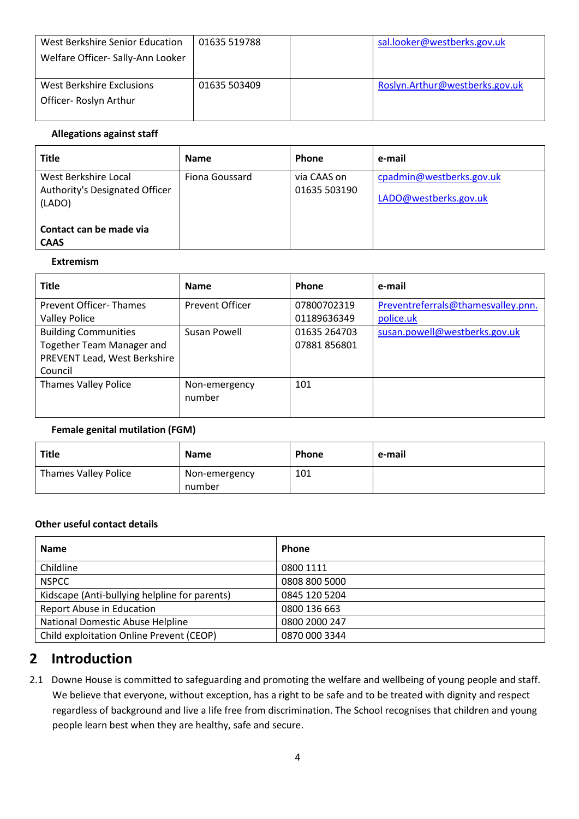| West Berkshire Senior Education   | 01635 519788 | sal.looker@westberks.gov.uk    |
|-----------------------------------|--------------|--------------------------------|
| Welfare Officer- Sally-Ann Looker |              |                                |
|                                   |              |                                |
| West Berkshire Exclusions         | 01635 503409 | Roslyn.Arthur@westberks.gov.uk |
| Officer-Roslyn Arthur             |              |                                |
|                                   |              |                                |

#### **Allegations against staff**

| <b>Title</b>                                                     | <b>Name</b>    | Phone                       | e-mail                                            |
|------------------------------------------------------------------|----------------|-----------------------------|---------------------------------------------------|
| West Berkshire Local<br>Authority's Designated Officer<br>(LADO) | Fiona Goussard | via CAAS on<br>01635 503190 | cpadmin@westberks.gov.uk<br>LADO@westberks.gov.uk |
| Contact can be made via<br><b>CAAS</b>                           |                |                             |                                                   |

#### **Extremism**

| <b>Title</b>                  | <b>Name</b>            | <b>Phone</b> | e-mail                             |
|-------------------------------|------------------------|--------------|------------------------------------|
| <b>Prevent Officer-Thames</b> | <b>Prevent Officer</b> | 07800702319  | Preventreferrals@thamesvalley.pnn. |
| <b>Valley Police</b>          |                        | 01189636349  | police.uk                          |
| <b>Building Communities</b>   | Susan Powell           | 01635 264703 | susan.powell@westberks.gov.uk      |
| Together Team Manager and     |                        | 07881856801  |                                    |
| PREVENT Lead, West Berkshire  |                        |              |                                    |
| Council                       |                        |              |                                    |
| <b>Thames Valley Police</b>   | Non-emergency          | 101          |                                    |
|                               | number                 |              |                                    |
|                               |                        |              |                                    |

#### **Female genital mutilation (FGM)**

| <b>Title</b>         | <b>Name</b>             | Phone | e-mail |
|----------------------|-------------------------|-------|--------|
| Thames Valley Police | Non-emergency<br>number | 101   |        |

#### **Other useful contact details**

| <b>Name</b>                                   | <b>Phone</b>  |
|-----------------------------------------------|---------------|
| Childline                                     | 0800 1111     |
| <b>NSPCC</b>                                  | 0808 800 5000 |
| Kidscape (Anti-bullying helpline for parents) | 0845 120 5204 |
| <b>Report Abuse in Education</b>              | 0800 136 663  |
| National Domestic Abuse Helpline              | 0800 2000 247 |
| Child exploitation Online Prevent (CEOP)      | 0870 000 3344 |

### <span id="page-3-0"></span>**2 Introduction**

2.1 Downe House is committed to safeguarding and promoting the welfare and wellbeing of young people and staff. We believe that everyone, without exception, has a right to be safe and to be treated with dignity and respect regardless of background and live a life free from discrimination. The School recognises that children and young people learn best when they are healthy, safe and secure.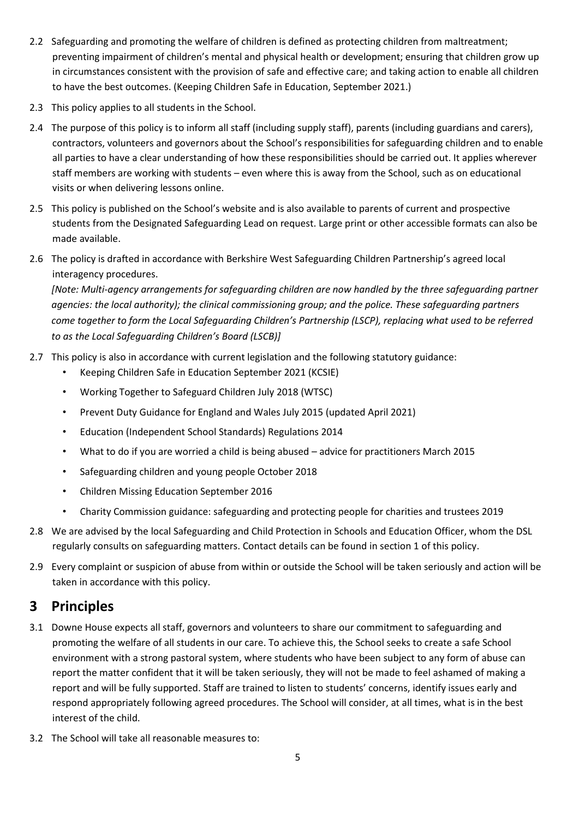- 2.2 Safeguarding and promoting the welfare of children is defined as protecting children from maltreatment; preventing impairment of children's mental and physical health or development; ensuring that children grow up in circumstances consistent with the provision of safe and effective care; and taking action to enable all children to have the best outcomes. (Keeping Children Safe in Education, September 2021.)
- 2.3 This policy applies to all students in the School.
- 2.4 The purpose of this policy is to inform all staff (including supply staff), parents (including guardians and carers), contractors, volunteers and governors about the School's responsibilities for safeguarding children and to enable all parties to have a clear understanding of how these responsibilities should be carried out. It applies wherever staff members are working with students – even where this is away from the School, such as on educational visits or when delivering lessons online.
- 2.5 This policy is published on the School's website and is also available to parents of current and prospective students from the Designated Safeguarding Lead on request. Large print or other accessible formats can also be made available.
- 2.6 The policy is drafted in accordance with Berkshire West Safeguarding Children Partnership's agreed local interagency procedures.

*[Note: Multi-agency arrangements for safeguarding children are now handled by the three safeguarding partner agencies: the local authority); the clinical commissioning group; and the police. These safeguarding partners come together to form the Local Safeguarding Children's Partnership (LSCP), replacing what used to be referred to as the Local Safeguarding Children's Board (LSCB)]*

- 2.7 This policy is also in accordance with current legislation and the following statutory guidance:
	- Keeping Children Safe in Education September 2021 (KCSIE)
	- Working Together to Safeguard Children July 2018 (WTSC)
	- Prevent Duty Guidance for England and Wales July 2015 (updated April 2021)
	- Education (Independent School Standards) Regulations 2014
	- What to do if you are worried a child is being abused advice for practitioners March 2015
	- Safeguarding children and young people October 2018
	- Children Missing Education September 2016
	- Charity Commission guidance: safeguarding and protecting people for charities and trustees 2019
- 2.8 We are advised by the local Safeguarding and Child Protection in Schools and Education Officer, whom the DSL regularly consults on safeguarding matters. Contact details can be found in section 1 of this policy.
- 2.9 Every complaint or suspicion of abuse from within or outside the School will be taken seriously and action will be taken in accordance with this policy.

# <span id="page-4-0"></span>**3 Principles**

- 3.1 Downe House expects all staff, governors and volunteers to share our commitment to safeguarding and promoting the welfare of all students in our care. To achieve this, the School seeks to create a safe School environment with a strong pastoral system, where students who have been subject to any form of abuse can report the matter confident that it will be taken seriously, they will not be made to feel ashamed of making a report and will be fully supported. Staff are trained to listen to students' concerns, identify issues early and respond appropriately following agreed procedures. The School will consider, at all times, what is in the best interest of the child.
- 3.2 The School will take all reasonable measures to: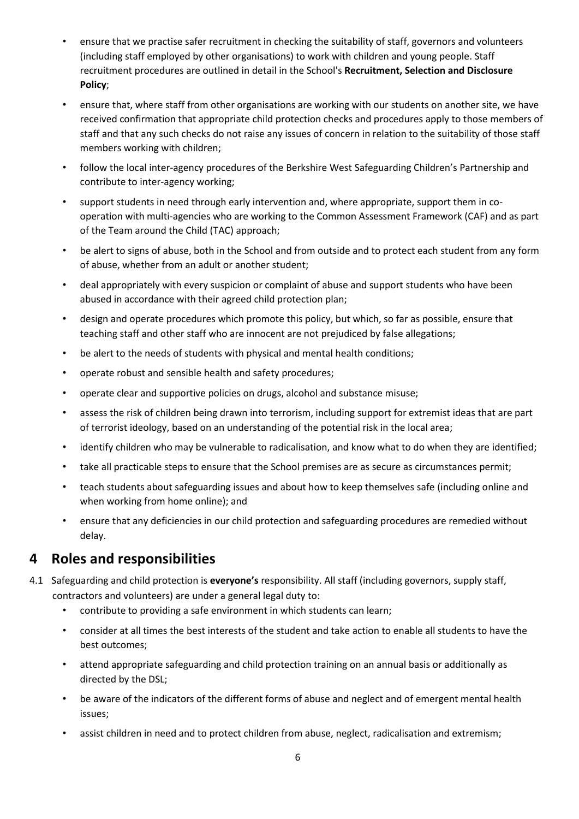- ensure that we practise safer recruitment in checking the suitability of staff, governors and volunteers (including staff employed by other organisations) to work with children and young people. Staff recruitment procedures are outlined in detail in the School's **Recruitment, Selection and Disclosure Policy**;
- ensure that, where staff from other organisations are working with our students on another site, we have received confirmation that appropriate child protection checks and procedures apply to those members of staff and that any such checks do not raise any issues of concern in relation to the suitability of those staff members working with children;
- follow the local inter-agency procedures of the Berkshire West Safeguarding Children's Partnership and contribute to inter-agency working;
- support students in need through early intervention and, where appropriate, support them in cooperation with multi-agencies who are working to the Common Assessment Framework (CAF) and as part of the Team around the Child (TAC) approach;
- be alert to signs of abuse, both in the School and from outside and to protect each student from any form of abuse, whether from an adult or another student;
- deal appropriately with every suspicion or complaint of abuse and support students who have been abused in accordance with their agreed child protection plan;
- design and operate procedures which promote this policy, but which, so far as possible, ensure that teaching staff and other staff who are innocent are not prejudiced by false allegations;
- be alert to the needs of students with physical and mental health conditions;
- operate robust and sensible health and safety procedures;
- operate clear and supportive policies on drugs, alcohol and substance misuse;
- assess the risk of children being drawn into terrorism, including support for extremist ideas that are part of terrorist ideology, based on an understanding of the potential risk in the local area;
- identify children who may be vulnerable to radicalisation, and know what to do when they are identified;
- take all practicable steps to ensure that the School premises are as secure as circumstances permit;
- teach students about safeguarding issues and about how to keep themselves safe (including online and when working from home online); and
- ensure that any deficiencies in our child protection and safeguarding procedures are remedied without delay.

# <span id="page-5-0"></span>**4 Roles and responsibilities**

- 4.1 Safeguarding and child protection is **everyone's** responsibility. All staff (including governors, supply staff, contractors and volunteers) are under a general legal duty to:
	- contribute to providing a safe environment in which students can learn;
	- consider at all times the best interests of the student and take action to enable all students to have the best outcomes;
	- attend appropriate safeguarding and child protection training on an annual basis or additionally as directed by the DSL;
	- be aware of the indicators of the different forms of abuse and neglect and of emergent mental health issues;
	- assist children in need and to protect children from abuse, neglect, radicalisation and extremism;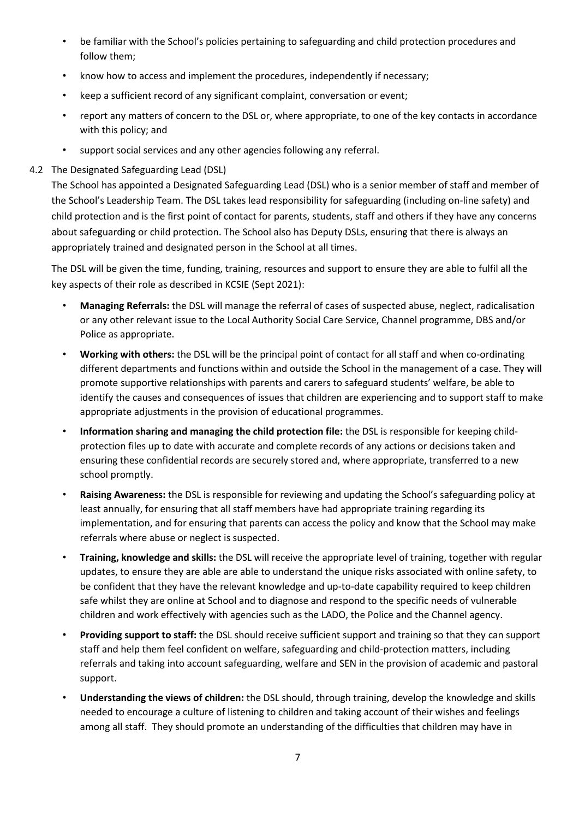- be familiar with the School's policies pertaining to safeguarding and child protection procedures and follow them;
- know how to access and implement the procedures, independently if necessary;
- keep a sufficient record of any significant complaint, conversation or event;
- report any matters of concern to the DSL or, where appropriate, to one of the key contacts in accordance with this policy; and
- support social services and any other agencies following any referral.

#### 4.2 The Designated Safeguarding Lead (DSL)

The School has appointed a Designated Safeguarding Lead (DSL) who is a senior member of staff and member of the School's Leadership Team. The DSL takes lead responsibility for safeguarding (including on-line safety) and child protection and is the first point of contact for parents, students, staff and others if they have any concerns about safeguarding or child protection. The School also has Deputy DSLs, ensuring that there is always an appropriately trained and designated person in the School at all times.

The DSL will be given the time, funding, training, resources and support to ensure they are able to fulfil all the key aspects of their role as described in KCSIE (Sept 2021):

- **Managing Referrals:** the DSL will manage the referral of cases of suspected abuse, neglect, radicalisation or any other relevant issue to the Local Authority Social Care Service, Channel programme, DBS and/or Police as appropriate.
- **Working with others:** the DSL will be the principal point of contact for all staff and when co-ordinating different departments and functions within and outside the School in the management of a case. They will promote supportive relationships with parents and carers to safeguard students' welfare, be able to identify the causes and consequences of issues that children are experiencing and to support staff to make appropriate adjustments in the provision of educational programmes.
- **Information sharing and managing the child protection file:** the DSL is responsible for keeping childprotection files up to date with accurate and complete records of any actions or decisions taken and ensuring these confidential records are securely stored and, where appropriate, transferred to a new school promptly.
- **Raising Awareness:** the DSL is responsible for reviewing and updating the School's safeguarding policy at least annually, for ensuring that all staff members have had appropriate training regarding its implementation, and for ensuring that parents can access the policy and know that the School may make referrals where abuse or neglect is suspected.
- **Training, knowledge and skills:** the DSL will receive the appropriate level of training, together with regular updates, to ensure they are able are able to understand the unique risks associated with online safety, to be confident that they have the relevant knowledge and up-to-date capability required to keep children safe whilst they are online at School and to diagnose and respond to the specific needs of vulnerable children and work effectively with agencies such as the LADO, the Police and the Channel agency.
- **Providing support to staff:** the DSL should receive sufficient support and training so that they can support staff and help them feel confident on welfare, safeguarding and child-protection matters, including referrals and taking into account safeguarding, welfare and SEN in the provision of academic and pastoral support.
- **Understanding the views of children:** the DSL should, through training, develop the knowledge and skills needed to encourage a culture of listening to children and taking account of their wishes and feelings among all staff. They should promote an understanding of the difficulties that children may have in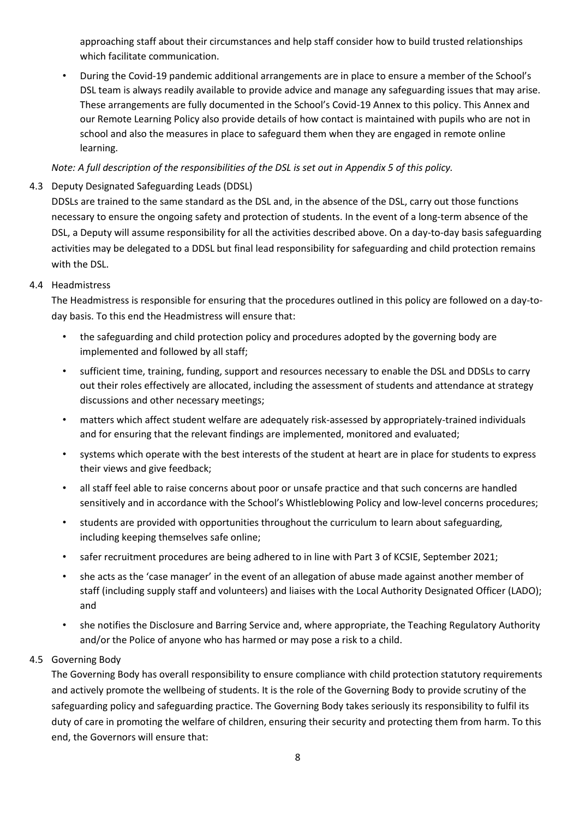approaching staff about their circumstances and help staff consider how to build trusted relationships which facilitate communication.

• During the Covid-19 pandemic additional arrangements are in place to ensure a member of the School's DSL team is always readily available to provide advice and manage any safeguarding issues that may arise. These arrangements are fully documented in the School's Covid-19 Annex to this policy. This Annex and our Remote Learning Policy also provide details of how contact is maintained with pupils who are not in school and also the measures in place to safeguard them when they are engaged in remote online learning.

Note: A full description of the responsibilities of the DSL is set out in Appendix 5 of this policy.

#### 4.3 Deputy Designated Safeguarding Leads (DDSL)

DDSLs are trained to the same standard as the DSL and, in the absence of the DSL, carry out those functions necessary to ensure the ongoing safety and protection of students. In the event of a long-term absence of the DSL, a Deputy will assume responsibility for all the activities described above. On a day-to-day basis safeguarding activities may be delegated to a DDSL but final lead responsibility for safeguarding and child protection remains with the DSL.

#### 4.4 Headmistress

The Headmistress is responsible for ensuring that the procedures outlined in this policy are followed on a day-today basis. To this end the Headmistress will ensure that:

- the safeguarding and child protection policy and procedures adopted by the governing body are implemented and followed by all staff;
- sufficient time, training, funding, support and resources necessary to enable the DSL and DDSLs to carry out their roles effectively are allocated, including the assessment of students and attendance at strategy discussions and other necessary meetings;
- matters which affect student welfare are adequately risk-assessed by appropriately-trained individuals and for ensuring that the relevant findings are implemented, monitored and evaluated;
- systems which operate with the best interests of the student at heart are in place for students to express their views and give feedback;
- all staff feel able to raise concerns about poor or unsafe practice and that such concerns are handled sensitively and in accordance with the School's Whistleblowing Policy and low-level concerns procedures;
- students are provided with opportunities throughout the curriculum to learn about safeguarding, including keeping themselves safe online;
- safer recruitment procedures are being adhered to in line with Part 3 of KCSIE, September 2021;
- she acts as the 'case manager' in the event of an allegation of abuse made against another member of staff (including supply staff and volunteers) and liaises with the Local Authority Designated Officer (LADO); and
- she notifies the Disclosure and Barring Service and, where appropriate, the Teaching Regulatory Authority and/or the Police of anyone who has harmed or may pose a risk to a child.

#### 4.5 Governing Body

The Governing Body has overall responsibility to ensure compliance with child protection statutory requirements and actively promote the wellbeing of students. It is the role of the Governing Body to provide scrutiny of the safeguarding policy and safeguarding practice. The Governing Body takes seriously its responsibility to fulfil its duty of care in promoting the welfare of children, ensuring their security and protecting them from harm. To this end, the Governors will ensure that: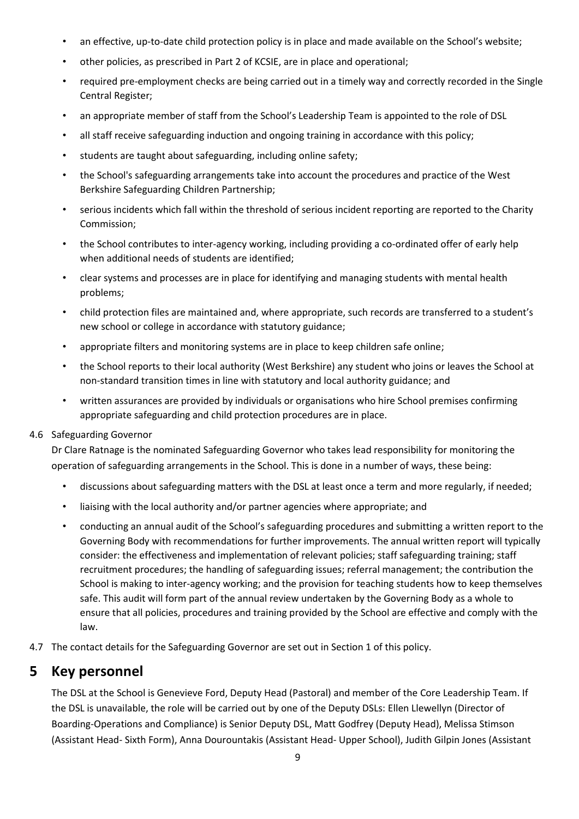- an effective, up-to-date child protection policy is in place and made available on the School's website;
- other policies, as prescribed in Part 2 of KCSIE, are in place and operational;
- required pre-employment checks are being carried out in a timely way and correctly recorded in the Single Central Register;
- an appropriate member of staff from the School's Leadership Team is appointed to the role of DSL
- all staff receive safeguarding induction and ongoing training in accordance with this policy;
- students are taught about safeguarding, including online safety;
- the School's safeguarding arrangements take into account the procedures and practice of the West Berkshire Safeguarding Children Partnership;
- serious incidents which fall within the threshold of serious incident reporting are reported to the Charity Commission;
- the School contributes to inter-agency working, including providing a co-ordinated offer of early help when additional needs of students are identified;
- clear systems and processes are in place for identifying and managing students with mental health problems;
- child protection files are maintained and, where appropriate, such records are transferred to a student's new school or college in accordance with statutory guidance;
- appropriate filters and monitoring systems are in place to keep children safe online;
- the School reports to their local authority (West Berkshire) any student who joins or leaves the School at non-standard transition times in line with statutory and local authority guidance; and
- written assurances are provided by individuals or organisations who hire School premises confirming appropriate safeguarding and child protection procedures are in place.

#### 4.6 Safeguarding Governor

Dr Clare Ratnage is the nominated Safeguarding Governor who takes lead responsibility for monitoring the operation of safeguarding arrangements in the School. This is done in a number of ways, these being:

- discussions about safeguarding matters with the DSL at least once a term and more regularly, if needed;
- liaising with the local authority and/or partner agencies where appropriate; and
- conducting an annual audit of the School's safeguarding procedures and submitting a written report to the Governing Body with recommendations for further improvements. The annual written report will typically consider: the effectiveness and implementation of relevant policies; staff safeguarding training; staff recruitment procedures; the handling of safeguarding issues; referral management; the contribution the School is making to inter-agency working; and the provision for teaching students how to keep themselves safe. This audit will form part of the annual review undertaken by the Governing Body as a whole to ensure that all policies, procedures and training provided by the School are effective and comply with the law.
- 4.7 The contact details for the Safeguarding Governor are set out in Section 1 of this policy.

### <span id="page-8-0"></span>**5 Key personnel**

The DSL at the School is Genevieve Ford, Deputy Head (Pastoral) and member of the Core Leadership Team. If the DSL is unavailable, the role will be carried out by one of the Deputy DSLs: Ellen Llewellyn (Director of Boarding-Operations and Compliance) is Senior Deputy DSL, Matt Godfrey (Deputy Head), Melissa Stimson (Assistant Head- Sixth Form), Anna Dourountakis (Assistant Head- Upper School), Judith Gilpin Jones (Assistant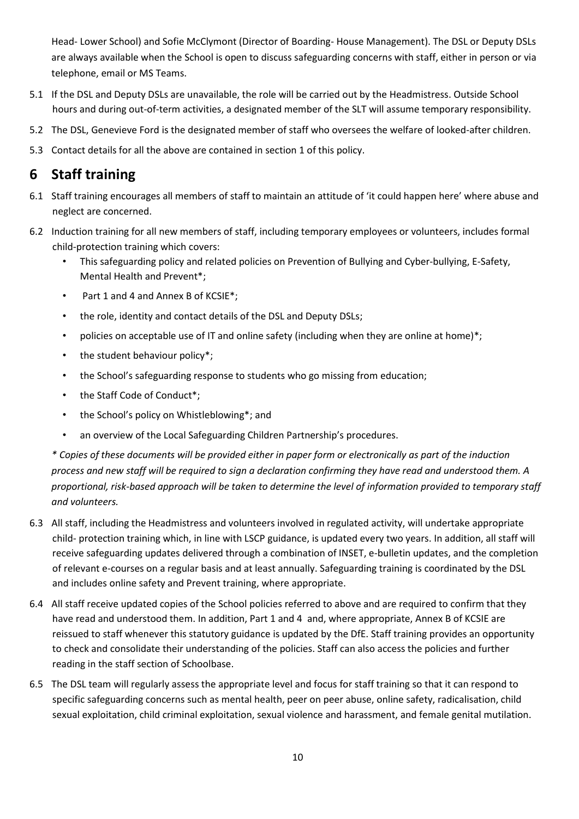Head- Lower School) and Sofie McClymont (Director of Boarding- House Management). The DSL or Deputy DSLs are always available when the School is open to discuss safeguarding concerns with staff, either in person or via telephone, email or MS Teams.

- 5.1 If the DSL and Deputy DSLs are unavailable, the role will be carried out by the Headmistress. Outside School hours and during out-of-term activities, a designated member of the SLT will assume temporary responsibility.
- 5.2 The DSL, Genevieve Ford is the designated member of staff who oversees the welfare of looked-after children.
- 5.3 Contact details for all the above are contained in section 1 of this policy.

# <span id="page-9-0"></span>**6 Staff training**

- 6.1 Staff training encourages all members of staff to maintain an attitude of 'it could happen here' where abuse and neglect are concerned.
- 6.2 Induction training for all new members of staff, including temporary employees or volunteers, includes formal child-protection training which covers:
	- This safeguarding policy and related policies on Prevention of Bullying and Cyber-bullying, E-Safety, Mental Health and Prevent\*;
	- Part 1 and 4 and Annex B of KCSIE\*;
	- the role, identity and contact details of the DSL and Deputy DSLs;
	- policies on acceptable use of IT and online safety (including when they are online at home)\*;
	- the student behaviour policy\*;
	- the School's safeguarding response to students who go missing from education;
	- the Staff Code of Conduct\*;
	- the School's policy on Whistleblowing\*; and
	- an overview of the Local Safeguarding Children Partnership's procedures.

*\* Copies of these documents will be provided either in paper form or electronically as part of the induction process and new staff will be required to sign a declaration confirming they have read and understood them. A proportional, risk-based approach will be taken to determine the level of information provided to temporary staff and volunteers.* 

- 6.3 All staff, including the Headmistress and volunteers involved in regulated activity, will undertake appropriate child- protection training which, in line with LSCP guidance, is updated every two years. In addition, all staff will receive safeguarding updates delivered through a combination of INSET, e-bulletin updates, and the completion of relevant e-courses on a regular basis and at least annually. Safeguarding training is coordinated by the DSL and includes online safety and Prevent training, where appropriate.
- 6.4 All staff receive updated copies of the School policies referred to above and are required to confirm that they have read and understood them. In addition, Part 1 and 4 and, where appropriate, Annex B of KCSIE are reissued to staff whenever this statutory guidance is updated by the DfE. Staff training provides an opportunity to check and consolidate their understanding of the policies. Staff can also access the policies and further reading in the staff section of Schoolbase.
- 6.5 The DSL team will regularly assess the appropriate level and focus for staff training so that it can respond to specific safeguarding concerns such as mental health, peer on peer abuse, online safety, radicalisation, child sexual exploitation, child criminal exploitation, sexual violence and harassment, and female genital mutilation.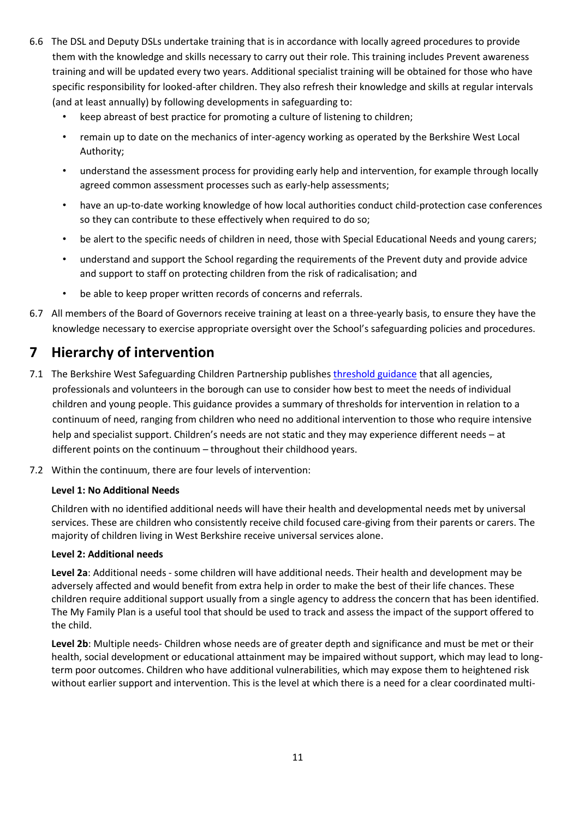- 6.6 The DSL and Deputy DSLs undertake training that is in accordance with locally agreed procedures to provide them with the knowledge and skills necessary to carry out their role. This training includes Prevent awareness training and will be updated every two years. Additional specialist training will be obtained for those who have specific responsibility for looked-after children. They also refresh their knowledge and skills at regular intervals (and at least annually) by following developments in safeguarding to:
	- keep abreast of best practice for promoting a culture of listening to children;
	- remain up to date on the mechanics of inter-agency working as operated by the Berkshire West Local Authority;
	- understand the assessment process for providing early help and intervention, for example through locally agreed common assessment processes such as early-help assessments;
	- have an up-to-date working knowledge of how local authorities conduct child-protection case conferences so they can contribute to these effectively when required to do so;
	- be alert to the specific needs of children in need, those with Special Educational Needs and young carers;
	- understand and support the School regarding the requirements of the Prevent duty and provide advice and support to staff on protecting children from the risk of radicalisation; and
	- be able to keep proper written records of concerns and referrals.
- 6.7 All members of the Board of Governors receive training at least on a three-yearly basis, to ensure they have the knowledge necessary to exercise appropriate oversight over the School's safeguarding policies and procedures.

### <span id="page-10-0"></span>**7 Hierarchy of intervention**

- 7.1 The Berkshire West Safeguarding Children Partnership publishe[s threshold guidance](https://www.berkshirewestsafeguardingchildrenpartnership.org.uk/assets/1/west_berkshire_threshold_guidance_booklet_-_autumn_2020.pdf) that all agencies, professionals and volunteers in the borough can use to consider how best to meet the needs of individual children and young people. This guidance provides a summary of thresholds for intervention in relation to a continuum of need, ranging from children who need no additional intervention to those who require intensive help and specialist support. Children's needs are not static and they may experience different needs – at different points on the continuum – throughout their childhood years.
- 7.2 Within the continuum, there are four levels of intervention:

#### **Level 1: No Additional Needs**

Children with no identified additional needs will have their health and developmental needs met by universal services. These are children who consistently receive child focused care-giving from their parents or carers. The majority of children living in West Berkshire receive universal services alone.

#### **Level 2: Additional needs**

**Level 2a**: Additional needs - some children will have additional needs. Their health and development may be adversely affected and would benefit from extra help in order to make the best of their life chances. These children require additional support usually from a single agency to address the concern that has been identified. The My Family Plan is a useful tool that should be used to track and assess the impact of the support offered to the child.

**Level 2b**: Multiple needs- Children whose needs are of greater depth and significance and must be met or their health, social development or educational attainment may be impaired without support, which may lead to longterm poor outcomes. Children who have additional vulnerabilities, which may expose them to heightened risk without earlier support and intervention. This is the level at which there is a need for a clear coordinated multi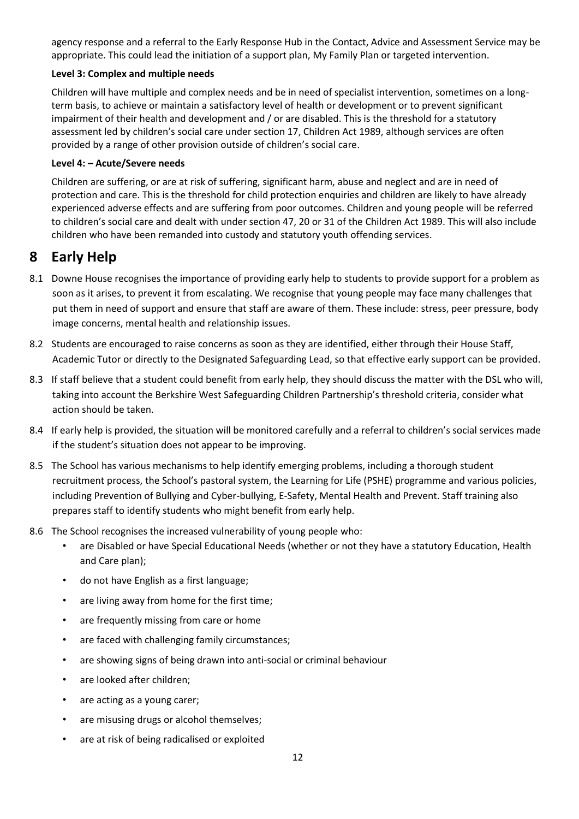agency response and a referral to the Early Response Hub in the Contact, Advice and Assessment Service may be appropriate. This could lead the initiation of a support plan, My Family Plan or targeted intervention.

#### **Level 3: Complex and multiple needs**

Children will have multiple and complex needs and be in need of specialist intervention, sometimes on a longterm basis, to achieve or maintain a satisfactory level of health or development or to prevent significant impairment of their health and development and / or are disabled. This is the threshold for a statutory assessment led by children's social care under section 17, Children Act 1989, although services are often provided by a range of other provision outside of children's social care.

#### <span id="page-11-0"></span>**Level 4: – Acute/Severe needs**

Children are suffering, or are at risk of suffering, significant harm, abuse and neglect and are in need of protection and care. This is the threshold for child protection enquiries and children are likely to have already experienced adverse effects and are suffering from poor outcomes. Children and young people will be referred to children's social care and dealt with under section 47, 20 or 31 of the Children Act 1989. This will also include children who have been remanded into custody and statutory youth offending services.

# **8 Early Help**

- 8.1 Downe House recognises the importance of providing early help to students to provide support for a problem as soon as it arises, to prevent it from escalating. We recognise that young people may face many challenges that put them in need of support and ensure that staff are aware of them. These include: stress, peer pressure, body image concerns, mental health and relationship issues.
- 8.2 Students are encouraged to raise concerns as soon as they are identified, either through their House Staff, Academic Tutor or directly to the Designated Safeguarding Lead, so that effective early support can be provided.
- 8.3 If staff believe that a student could benefit from early help, they should discuss the matter with the DSL who will, taking into account the Berkshire West Safeguarding Children Partnership's threshold criteria, consider what action should be taken.
- 8.4 If early help is provided, the situation will be monitored carefully and a referral to children's social services made if the student's situation does not appear to be improving.
- 8.5 The School has various mechanisms to help identify emerging problems, including a thorough student recruitment process, the School's pastoral system, the Learning for Life (PSHE) programme and various policies, including Prevention of Bullying and Cyber-bullying, E-Safety, Mental Health and Prevent. Staff training also prepares staff to identify students who might benefit from early help.
- 8.6 The School recognises the increased vulnerability of young people who:
	- are Disabled or have Special Educational Needs (whether or not they have a statutory Education, Health and Care plan);
	- do not have English as a first language;
	- are living away from home for the first time;
	- are frequently missing from care or home
	- are faced with challenging family circumstances;
	- are showing signs of being drawn into anti-social or criminal behaviour
	- are looked after children;
	- are acting as a young carer;
	- are misusing drugs or alcohol themselves;
	- are at risk of being radicalised or exploited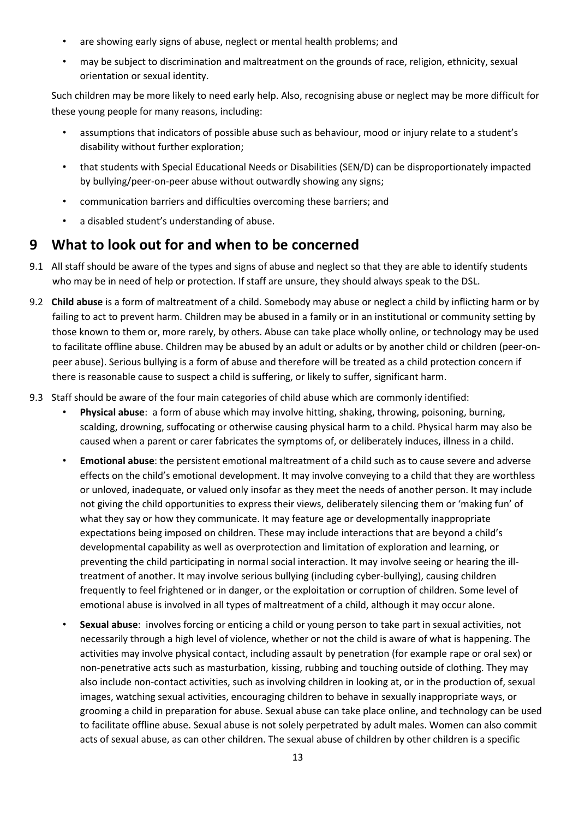- are showing early signs of abuse, neglect or mental health problems; and
- may be subject to discrimination and maltreatment on the grounds of race, religion, ethnicity, sexual orientation or sexual identity.

Such children may be more likely to need early help. Also, recognising abuse or neglect may be more difficult for these young people for many reasons, including:

- assumptions that indicators of possible abuse such as behaviour, mood or injury relate to a student's disability without further exploration;
- that students with Special Educational Needs or Disabilities (SEN/D) can be disproportionately impacted by bullying/peer-on-peer abuse without outwardly showing any signs;
- communication barriers and difficulties overcoming these barriers; and
- a disabled student's understanding of abuse.

# <span id="page-12-0"></span>**9 What to look out for and when to be concerned**

- 9.1 All staff should be aware of the types and signs of abuse and neglect so that they are able to identify students who may be in need of help or protection. If staff are unsure, they should always speak to the DSL.
- 9.2 **Child abuse** is a form of maltreatment of a child. Somebody may abuse or neglect a child by inflicting harm or by failing to act to prevent harm. Children may be abused in a family or in an institutional or community setting by those known to them or, more rarely, by others. Abuse can take place wholly online, or technology may be used to facilitate offline abuse. Children may be abused by an adult or adults or by another child or children (peer-onpeer abuse). Serious bullying is a form of abuse and therefore will be treated as a child protection concern if there is reasonable cause to suspect a child is suffering, or likely to suffer, significant harm.
- 9.3 Staff should be aware of the four main categories of child abuse which are commonly identified:
	- **Physical abuse**: a form of abuse which may involve hitting, shaking, throwing, poisoning, burning, scalding, drowning, suffocating or otherwise causing physical harm to a child. Physical harm may also be caused when a parent or carer fabricates the symptoms of, or deliberately induces, illness in a child.
	- **Emotional abuse**: the persistent emotional maltreatment of a child such as to cause severe and adverse effects on the child's emotional development. It may involve conveying to a child that they are worthless or unloved, inadequate, or valued only insofar as they meet the needs of another person. It may include not giving the child opportunities to express their views, deliberately silencing them or 'making fun' of what they say or how they communicate. It may feature age or developmentally inappropriate expectations being imposed on children. These may include interactions that are beyond a child's developmental capability as well as overprotection and limitation of exploration and learning, or preventing the child participating in normal social interaction. It may involve seeing or hearing the illtreatment of another. It may involve serious bullying (including cyber-bullying), causing children frequently to feel frightened or in danger, or the exploitation or corruption of children. Some level of emotional abuse is involved in all types of maltreatment of a child, although it may occur alone.
	- **Sexual abuse**: involves forcing or enticing a child or young person to take part in sexual activities, not necessarily through a high level of violence, whether or not the child is aware of what is happening. The activities may involve physical contact, including assault by penetration (for example rape or oral sex) or non-penetrative acts such as masturbation, kissing, rubbing and touching outside of clothing. They may also include non-contact activities, such as involving children in looking at, or in the production of, sexual images, watching sexual activities, encouraging children to behave in sexually inappropriate ways, or grooming a child in preparation for abuse. Sexual abuse can take place online, and technology can be used to facilitate offline abuse. Sexual abuse is not solely perpetrated by adult males. Women can also commit acts of sexual abuse, as can other children. The sexual abuse of children by other children is a specific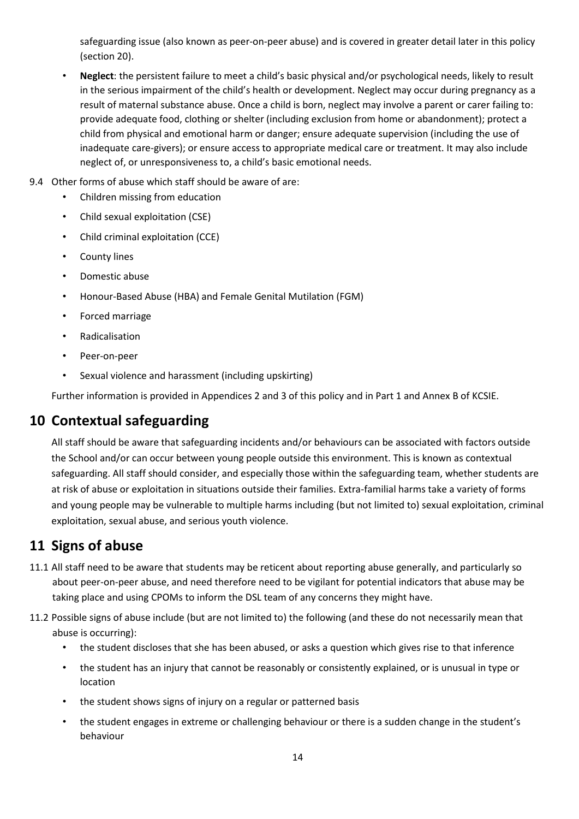safeguarding issue (also known as peer-on-peer abuse) and is covered in greater detail later in this policy (section 20).

- **Neglect**: the persistent failure to meet a child's basic physical and/or psychological needs, likely to result in the serious impairment of the child's health or development. Neglect may occur during pregnancy as a result of maternal substance abuse. Once a child is born, neglect may involve a parent or carer failing to: provide adequate food, clothing or shelter (including exclusion from home or abandonment); protect a child from physical and emotional harm or danger; ensure adequate supervision (including the use of inadequate care-givers); or ensure access to appropriate medical care or treatment. It may also include neglect of, or unresponsiveness to, a child's basic emotional needs.
- 9.4 Other forms of abuse which staff should be aware of are:
	- Children missing from education
	- Child sexual exploitation (CSE)
	- Child criminal exploitation (CCE)
	- County lines
	- Domestic abuse
	- Honour-Based Abuse (HBA) and Female Genital Mutilation (FGM)
	- Forced marriage
	- **Radicalisation**
	- Peer-on-peer
	- Sexual violence and harassment (including upskirting)

Further information is provided in Appendices 2 and 3 of this policy and in Part 1 and Annex B of KCSIE.

# <span id="page-13-0"></span>**10 Contextual safeguarding**

All staff should be aware that safeguarding incidents and/or behaviours can be associated with factors outside the School and/or can occur between young people outside this environment. This is known as contextual safeguarding. All staff should consider, and especially those within the safeguarding team, whether students are at risk of abuse or exploitation in situations outside their families. Extra-familial harms take a variety of forms and young people may be vulnerable to multiple harms including (but not limited to) sexual exploitation, criminal exploitation, sexual abuse, and serious youth violence.

# <span id="page-13-1"></span>**11 Signs of abuse**

- 11.1 All staff need to be aware that students may be reticent about reporting abuse generally, and particularly so about peer-on-peer abuse, and need therefore need to be vigilant for potential indicators that abuse may be taking place and using CPOMs to inform the DSL team of any concerns they might have.
- 11.2 Possible signs of abuse include (but are not limited to) the following (and these do not necessarily mean that abuse is occurring):
	- the student discloses that she has been abused, or asks a question which gives rise to that inference
	- the student has an injury that cannot be reasonably or consistently explained, or is unusual in type or location
	- the student shows signs of injury on a regular or patterned basis
	- the student engages in extreme or challenging behaviour or there is a sudden change in the student's behaviour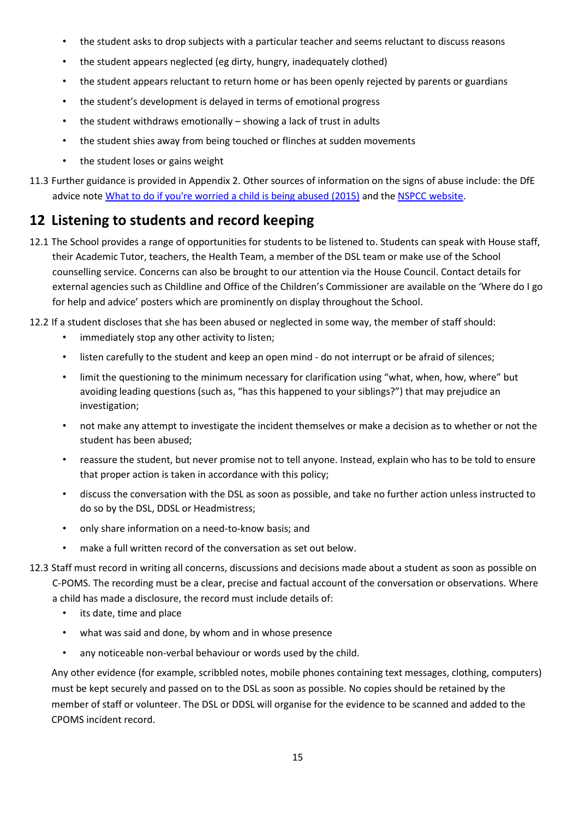- the student asks to drop subjects with a particular teacher and seems reluctant to discuss reasons
- the student appears neglected (eg dirty, hungry, inadequately clothed)
- the student appears reluctant to return home or has been openly rejected by parents or guardians
- the student's development is delayed in terms of emotional progress
- the student withdraws emotionally showing a lack of trust in adults
- the student shies away from being touched or flinches at sudden movements
- the student loses or gains weight
- 11.3 Further guidance is provided in Appendix 2. Other sources of information on the signs of abuse include: the DfE advice note [What to do if you're worried a child is being abused](https://www.gov.uk/government/uploads/system/uploads/attachment_data/file/419604/What_to_do_if_you_re_worried_a_child_is_being_abused.pdf) (2015) and the NSPCC [website.](http://www.nspcc.org.uk/preventing-abuse/)

# <span id="page-14-0"></span>**12 Listening to students and record keeping**

- 12.1 The School provides a range of opportunities for students to be listened to. Students can speak with House staff, their Academic Tutor, teachers, the Health Team, a member of the DSL team or make use of the School counselling service. Concerns can also be brought to our attention via the House Council. Contact details for external agencies such as Childline and Office of the Children's Commissioner are available on the 'Where do I go for help and advice' posters which are prominently on display throughout the School.
- 12.2 If a student discloses that she has been abused or neglected in some way, the member of staff should:
	- immediately stop any other activity to listen;
	- listen carefully to the student and keep an open mind do not interrupt or be afraid of silences;
	- limit the questioning to the minimum necessary for clarification using "what, when, how, where" but avoiding leading questions (such as, "has this happened to your siblings?") that may prejudice an investigation;
	- not make any attempt to investigate the incident themselves or make a decision as to whether or not the student has been abused;
	- reassure the student, but never promise not to tell anyone. Instead, explain who has to be told to ensure that proper action is taken in accordance with this policy;
	- discuss the conversation with the DSL as soon as possible, and take no further action unless instructed to do so by the DSL, DDSL or Headmistress;
	- only share information on a need-to-know basis; and
	- make a full written record of the conversation as set out below.
- 12.3 Staff must record in writing all concerns, discussions and decisions made about a student as soon as possible on C-POMS. The recording must be a clear, precise and factual account of the conversation or observations. Where a child has made a disclosure, the record must include details of:
	- its date, time and place
	- what was said and done, by whom and in whose presence
	- any noticeable non-verbal behaviour or words used by the child.

Any other evidence (for example, scribbled notes, mobile phones containing text messages, clothing, computers) must be kept securely and passed on to the DSL as soon as possible. No copies should be retained by the member of staff or volunteer. The DSL or DDSL will organise for the evidence to be scanned and added to the CPOMS incident record.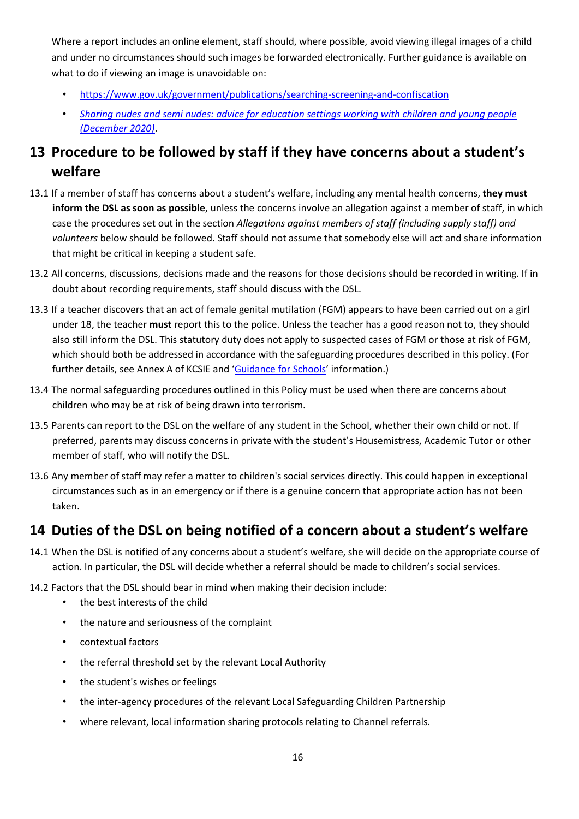Where a report includes an online element, staff should, where possible, avoid viewing illegal images of a child and under no circumstances should such images be forwarded electronically. Further guidance is available on what to do if viewing an image is unavoidable on:

- <https://www.gov.uk/government/publications/searching-screening-and-confiscation>
- *[Sharing nudes and semi nudes: advice for education settings working with children and young people](https://www.gov.uk/government/publications/sharing-nudes-and-semi-nudes-advice-for-education-settings-working-with-children-and-young-people/sharing-nudes-and-semi-nudes-advice-for-education-settings-working-with-children-and-young-people)  [\(December 2020\)](https://www.gov.uk/government/publications/sharing-nudes-and-semi-nudes-advice-for-education-settings-working-with-children-and-young-people/sharing-nudes-and-semi-nudes-advice-for-education-settings-working-with-children-and-young-people)*.

# <span id="page-15-0"></span>**13 Procedure to be followed by staff if they have concerns about a student's welfare**

- 13.1 If a member of staff has concerns about a student's welfare, including any mental health concerns, **they must inform the DSL as soon as possible**, unless the concerns involve an allegation against a member of staff, in which case the procedures set out in the section *Allegations against members of staff (including supply staff) and volunteers* below should be followed. Staff should not assume that somebody else will act and share information that might be critical in keeping a student safe.
- 13.2 All concerns, discussions, decisions made and the reasons for those decisions should be recorded in writing. If in doubt about recording requirements, staff should discuss with the DSL.
- 13.3 If a teacher discovers that an act of female genital mutilation (FGM) appears to have been carried out on a girl under 18, the teacher **must** report this to the police. Unless the teacher has a good reason not to, they should also still inform the DSL. This statutory duty does not apply to suspected cases of FGM or those at risk of FGM, which should both be addressed in accordance with the safeguarding procedures described in this policy. (For further details, see Annex A of KCSIE and '[Guidance for Schools](http://nationalfgmcentre.org.uk/wp-content/uploads/2019/06/FGM-Schools-Guidance-National-FGM-Centre.pdf)' information.)
- 13.4 The normal safeguarding procedures outlined in this Policy must be used when there are concerns about children who may be at risk of being drawn into terrorism.
- 13.5 Parents can report to the DSL on the welfare of any student in the School, whether their own child or not. If preferred, parents may discuss concerns in private with the student's Housemistress, Academic Tutor or other member of staff, who will notify the DSL.
- 13.6 Any member of staff may refer a matter to children's social services directly. This could happen in exceptional circumstances such as in an emergency or if there is a genuine concern that appropriate action has not been taken.

# <span id="page-15-1"></span>**14 Duties of the DSL on being notified of a concern about a student's welfare**

- 14.1 When the DSL is notified of any concerns about a student's welfare, she will decide on the appropriate course of action. In particular, the DSL will decide whether a referral should be made to children's social services.
- 14.2 Factors that the DSL should bear in mind when making their decision include:
	- the best interests of the child
	- the nature and seriousness of the complaint
	- contextual factors
	- the referral threshold set by the relevant Local Authority
	- the student's wishes or feelings
	- the inter-agency procedures of the relevant Local Safeguarding Children Partnership
	- where relevant, local information sharing protocols relating to Channel referrals.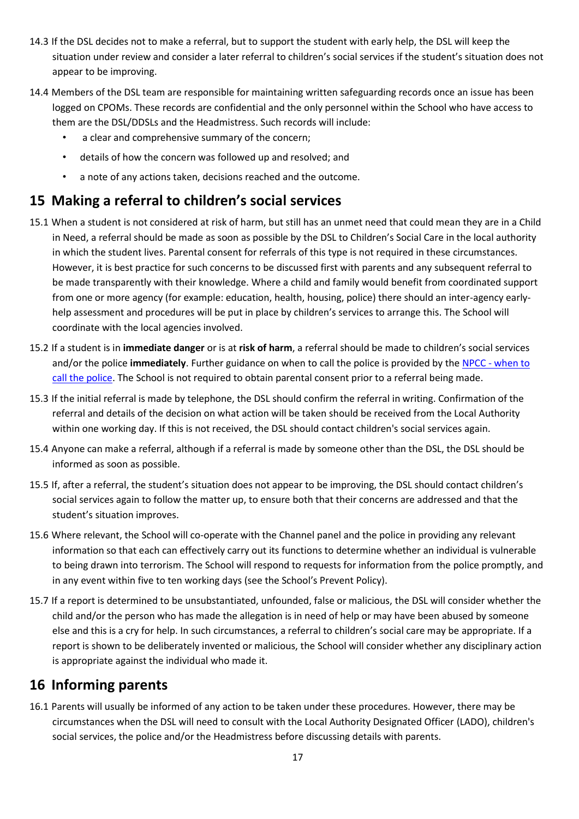- 14.3 If the DSL decides not to make a referral, but to support the student with early help, the DSL will keep the situation under review and consider a later referral to children's social services if the student's situation does not appear to be improving.
- 14.4 Members of the DSL team are responsible for maintaining written safeguarding records once an issue has been logged on CPOMs. These records are confidential and the only personnel within the School who have access to them are the DSL/DDSLs and the Headmistress. Such records will include:
	- a clear and comprehensive summary of the concern;
	- details of how the concern was followed up and resolved; and
	- a note of any actions taken, decisions reached and the outcome.

# <span id="page-16-0"></span>**15 Making a referral to children's social services**

- 15.1 When a student is not considered at risk of harm, but still has an unmet need that could mean they are in a Child in Need, a referral should be made as soon as possible by the DSL to Children's Social Care in the local authority in which the student lives. Parental consent for referrals of this type is not required in these circumstances. However, it is best practice for such concerns to be discussed first with parents and any subsequent referral to be made transparently with their knowledge. Where a child and family would benefit from coordinated support from one or more agency (for example: education, health, housing, police) there should an inter-agency earlyhelp assessment and procedures will be put in place by children's services to arrange this. The School will coordinate with the local agencies involved.
- 15.2 If a student is in **immediate danger** or is at **risk of harm**, a referral should be made to children's social services and/or the police **immediately**. Further guidance on [when to](https://www.npcc.police.uk/documents/Children%20and%20Young%20people/When%20to%20call%20the%20police%20guidance%20for%20schools%20and%20colleges.pdf) call the police is provided by the NPCC - when to [call the police.](https://www.npcc.police.uk/documents/Children%20and%20Young%20people/When%20to%20call%20the%20police%20guidance%20for%20schools%20and%20colleges.pdf) The School is not required to obtain parental consent prior to a referral being made.
- 15.3 If the initial referral is made by telephone, the DSL should confirm the referral in writing. Confirmation of the referral and details of the decision on what action will be taken should be received from the Local Authority within one working day. If this is not received, the DSL should contact children's social services again.
- 15.4 Anyone can make a referral, although if a referral is made by someone other than the DSL, the DSL should be informed as soon as possible.
- 15.5 If, after a referral, the student's situation does not appear to be improving, the DSL should contact children's social services again to follow the matter up, to ensure both that their concerns are addressed and that the student's situation improves.
- 15.6 Where relevant, the School will co-operate with the Channel panel and the police in providing any relevant information so that each can effectively carry out its functions to determine whether an individual is vulnerable to being drawn into terrorism. The School will respond to requests for information from the police promptly, and in any event within five to ten working days (see the School's Prevent Policy).
- 15.7 If a report is determined to be unsubstantiated, unfounded, false or malicious, the DSL will consider whether the child and/or the person who has made the allegation is in need of help or may have been abused by someone else and this is a cry for help. In such circumstances, a referral to children's social care may be appropriate. If a report is shown to be deliberately invented or malicious, the School will consider whether any disciplinary action is appropriate against the individual who made it.

# <span id="page-16-1"></span>**16 Informing parents**

16.1 Parents will usually be informed of any action to be taken under these procedures. However, there may be circumstances when the DSL will need to consult with the Local Authority Designated Officer (LADO), children's social services, the police and/or the Headmistress before discussing details with parents.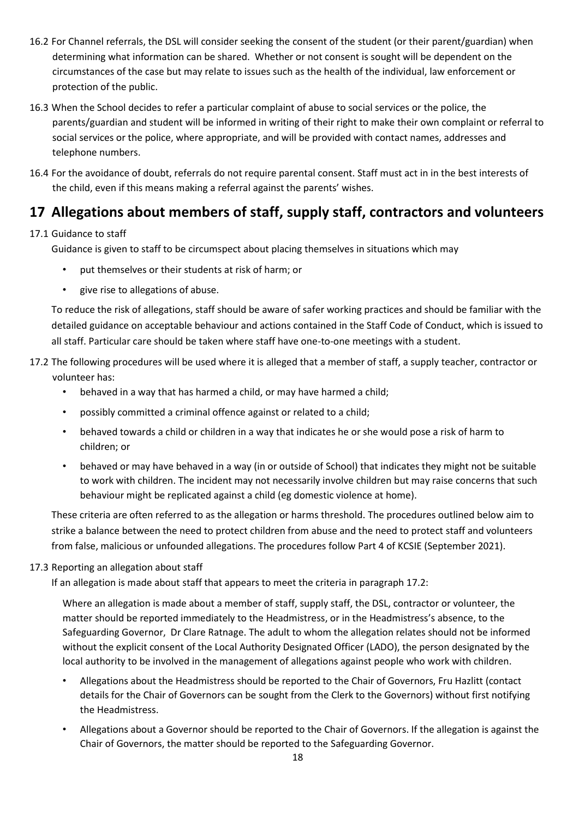- 16.2 For Channel referrals, the DSL will consider seeking the consent of the student (or their parent/guardian) when determining what information can be shared. Whether or not consent is sought will be dependent on the circumstances of the case but may relate to issues such as the health of the individual, law enforcement or protection of the public.
- 16.3 When the School decides to refer a particular complaint of abuse to social services or the police, the parents/guardian and student will be informed in writing of their right to make their own complaint or referral to social services or the police, where appropriate, and will be provided with contact names, addresses and telephone numbers.
- 16.4 For the avoidance of doubt, referrals do not require parental consent. Staff must act in in the best interests of the child, even if this means making a referral against the parents' wishes.

# <span id="page-17-0"></span>**17 Allegations about members of staff, supply staff, contractors and volunteers**

#### 17.1 Guidance to staff

Guidance is given to staff to be circumspect about placing themselves in situations which may

- put themselves or their students at risk of harm; or
- give rise to allegations of abuse.

To reduce the risk of allegations, staff should be aware of safer working practices and should be familiar with the detailed guidance on acceptable behaviour and actions contained in the Staff Code of Conduct, which is issued to all staff. Particular care should be taken where staff have one-to-one meetings with a student.

- 17.2 The following procedures will be used where it is alleged that a member of staff, a supply teacher, contractor or volunteer has:
	- behaved in a way that has harmed a child, or may have harmed a child;
	- possibly committed a criminal offence against or related to a child;
	- behaved towards a child or children in a way that indicates he or she would pose a risk of harm to children; or
	- behaved or may have behaved in a way (in or outside of School) that indicates they might not be suitable to work with children. The incident may not necessarily involve children but may raise concerns that such behaviour might be replicated against a child (eg domestic violence at home).

These criteria are often referred to as the allegation or harms threshold. The procedures outlined below aim to strike a balance between the need to protect children from abuse and the need to protect staff and volunteers from false, malicious or unfounded allegations. The procedures follow Part 4 of KCSIE (September 2021).

#### 17.3 Reporting an allegation about staff

If an allegation is made about staff that appears to meet the criteria in paragraph 17.2:

Where an allegation is made about a member of staff, supply staff, the DSL, contractor or volunteer, the matter should be reported immediately to the Headmistress, or in the Headmistress's absence, to the Safeguarding Governor, Dr Clare Ratnage. The adult to whom the allegation relates should not be informed without the explicit consent of the Local Authority Designated Officer (LADO), the person designated by the local authority to be involved in the management of allegations against people who work with children.

- Allegations about the Headmistress should be reported to the Chair of Governors, Fru Hazlitt (contact details for the Chair of Governors can be sought from the Clerk to the Governors) without first notifying the Headmistress.
- Allegations about a Governor should be reported to the Chair of Governors. If the allegation is against the Chair of Governors, the matter should be reported to the Safeguarding Governor.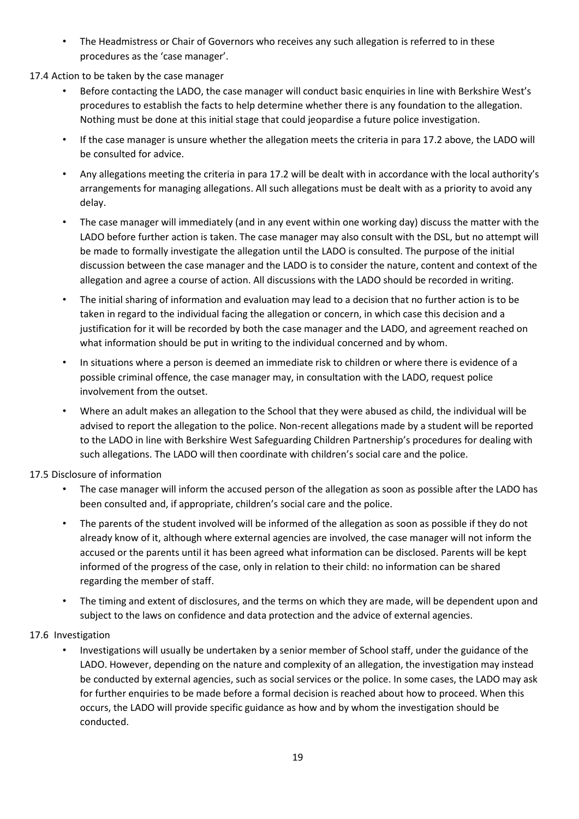• The Headmistress or Chair of Governors who receives any such allegation is referred to in these procedures as the 'case manager'.

17.4 Action to be taken by the case manager

- Before contacting the LADO, the case manager will conduct basic enquiries in line with Berkshire West's procedures to establish the facts to help determine whether there is any foundation to the allegation. Nothing must be done at this initial stage that could jeopardise a future police investigation.
- If the case manager is unsure whether the allegation meets the criteria in para 17.2 above, the LADO will be consulted for advice.
- Any allegations meeting the criteria in para 17.2 will be dealt with in accordance with the local authority's arrangements for managing allegations. All such allegations must be dealt with as a priority to avoid any delay.
- The case manager will immediately (and in any event within one working day) discuss the matter with the LADO before further action is taken. The case manager may also consult with the DSL, but no attempt will be made to formally investigate the allegation until the LADO is consulted. The purpose of the initial discussion between the case manager and the LADO is to consider the nature, content and context of the allegation and agree a course of action. All discussions with the LADO should be recorded in writing.
- The initial sharing of information and evaluation may lead to a decision that no further action is to be taken in regard to the individual facing the allegation or concern, in which case this decision and a justification for it will be recorded by both the case manager and the LADO, and agreement reached on what information should be put in writing to the individual concerned and by whom.
- In situations where a person is deemed an immediate risk to children or where there is evidence of a possible criminal offence, the case manager may, in consultation with the LADO, request police involvement from the outset.
- Where an adult makes an allegation to the School that they were abused as child, the individual will be advised to report the allegation to the police. Non-recent allegations made by a student will be reported to the LADO in line with Berkshire West Safeguarding Children Partnership's procedures for dealing with such allegations. The LADO will then coordinate with children's social care and the police.

17.5 Disclosure of information

- The case manager will inform the accused person of the allegation as soon as possible after the LADO has been consulted and, if appropriate, children's social care and the police.
- The parents of the student involved will be informed of the allegation as soon as possible if they do not already know of it, although where external agencies are involved, the case manager will not inform the accused or the parents until it has been agreed what information can be disclosed. Parents will be kept informed of the progress of the case, only in relation to their child: no information can be shared regarding the member of staff.
- The timing and extent of disclosures, and the terms on which they are made, will be dependent upon and subject to the laws on confidence and data protection and the advice of external agencies.

#### 17.6 Investigation

• Investigations will usually be undertaken by a senior member of School staff, under the guidance of the LADO. However, depending on the nature and complexity of an allegation, the investigation may instead be conducted by external agencies, such as social services or the police. In some cases, the LADO may ask for further enquiries to be made before a formal decision is reached about how to proceed. When this occurs, the LADO will provide specific guidance as how and by whom the investigation should be conducted.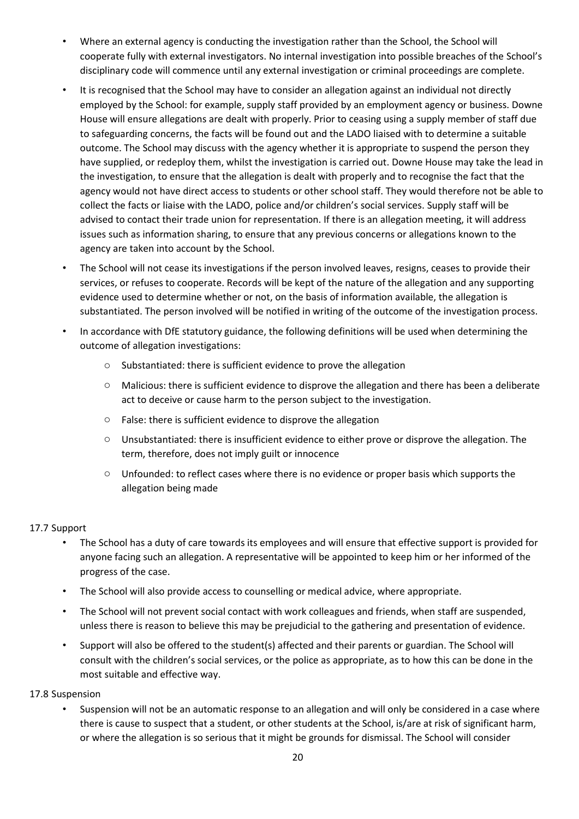- Where an external agency is conducting the investigation rather than the School, the School will cooperate fully with external investigators. No internal investigation into possible breaches of the School's disciplinary code will commence until any external investigation or criminal proceedings are complete.
- It is recognised that the School may have to consider an allegation against an individual not directly employed by the School: for example, supply staff provided by an employment agency or business. Downe House will ensure allegations are dealt with properly. Prior to ceasing using a supply member of staff due to safeguarding concerns, the facts will be found out and the LADO liaised with to determine a suitable outcome. The School may discuss with the agency whether it is appropriate to suspend the person they have supplied, or redeploy them, whilst the investigation is carried out. Downe House may take the lead in the investigation, to ensure that the allegation is dealt with properly and to recognise the fact that the agency would not have direct access to students or other school staff. They would therefore not be able to collect the facts or liaise with the LADO, police and/or children's social services. Supply staff will be advised to contact their trade union for representation. If there is an allegation meeting, it will address issues such as information sharing, to ensure that any previous concerns or allegations known to the agency are taken into account by the School.
- The School will not cease its investigations if the person involved leaves, resigns, ceases to provide their services, or refuses to cooperate. Records will be kept of the nature of the allegation and any supporting evidence used to determine whether or not, on the basis of information available, the allegation is substantiated. The person involved will be notified in writing of the outcome of the investigation process.
- In accordance with DfE statutory guidance, the following definitions will be used when determining the outcome of allegation investigations:
	- o Substantiated: there is sufficient evidence to prove the allegation
	- $\circ$  Malicious: there is sufficient evidence to disprove the allegation and there has been a deliberate act to deceive or cause harm to the person subject to the investigation.
	- o False: there is sufficient evidence to disprove the allegation
	- o Unsubstantiated: there is insufficient evidence to either prove or disprove the allegation. The term, therefore, does not imply guilt or innocence
	- o Unfounded: to reflect cases where there is no evidence or proper basis which supports the allegation being made

#### 17.7 Support

- The School has a duty of care towards its employees and will ensure that effective support is provided for anyone facing such an allegation. A representative will be appointed to keep him or her informed of the progress of the case.
- The School will also provide access to counselling or medical advice, where appropriate.
- The School will not prevent social contact with work colleagues and friends, when staff are suspended, unless there is reason to believe this may be prejudicial to the gathering and presentation of evidence.
- Support will also be offered to the student(s) affected and their parents or guardian. The School will consult with the children's social services, or the police as appropriate, as to how this can be done in the most suitable and effective way.

#### 17.8 Suspension

• Suspension will not be an automatic response to an allegation and will only be considered in a case where there is cause to suspect that a student, or other students at the School, is/are at risk of significant harm, or where the allegation is so serious that it might be grounds for dismissal. The School will consider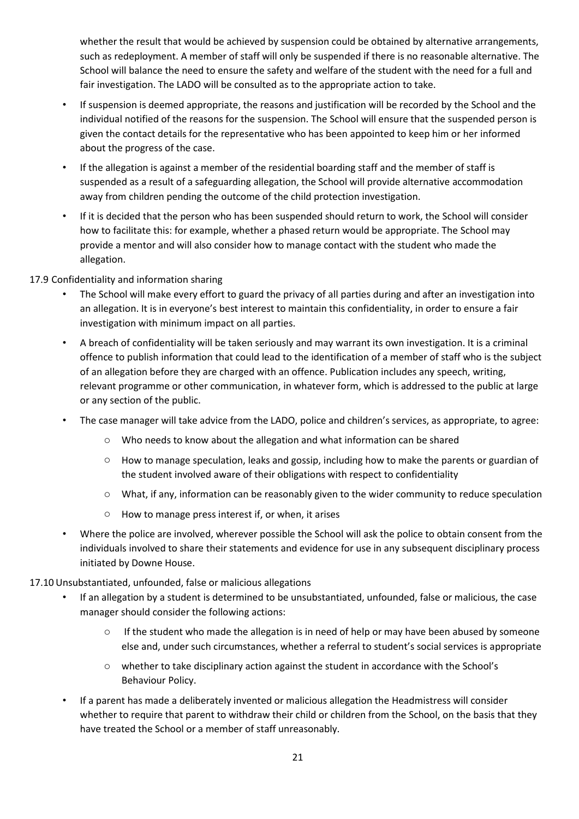whether the result that would be achieved by suspension could be obtained by alternative arrangements, such as redeployment. A member of staff will only be suspended if there is no reasonable alternative. The School will balance the need to ensure the safety and welfare of the student with the need for a full and fair investigation. The LADO will be consulted as to the appropriate action to take.

- If suspension is deemed appropriate, the reasons and justification will be recorded by the School and the individual notified of the reasons for the suspension. The School will ensure that the suspended person is given the contact details for the representative who has been appointed to keep him or her informed about the progress of the case.
- If the allegation is against a member of the residential boarding staff and the member of staff is suspended as a result of a safeguarding allegation, the School will provide alternative accommodation away from children pending the outcome of the child protection investigation.
- If it is decided that the person who has been suspended should return to work, the School will consider how to facilitate this: for example, whether a phased return would be appropriate. The School may provide a mentor and will also consider how to manage contact with the student who made the allegation.

#### 17.9 Confidentiality and information sharing

- The School will make every effort to guard the privacy of all parties during and after an investigation into an allegation. It is in everyone's best interest to maintain this confidentiality, in order to ensure a fair investigation with minimum impact on all parties.
- A breach of confidentiality will be taken seriously and may warrant its own investigation. It is a criminal offence to publish information that could lead to the identification of a member of staff who is the subject of an allegation before they are charged with an offence. Publication includes any speech, writing, relevant programme or other communication, in whatever form, which is addressed to the public at large or any section of the public.
- The case manager will take advice from the LADO, police and children's services, as appropriate, to agree:
	- o Who needs to know about the allegation and what information can be shared
	- $\circ$  How to manage speculation, leaks and gossip, including how to make the parents or guardian of the student involved aware of their obligations with respect to confidentiality
	- o What, if any, information can be reasonably given to the wider community to reduce speculation
	- o How to manage press interest if, or when, it arises
- Where the police are involved, wherever possible the School will ask the police to obtain consent from the individuals involved to share their statements and evidence for use in any subsequent disciplinary process initiated by Downe House.

#### 17.10 Unsubstantiated, unfounded, false or malicious allegations

- If an allegation by a student is determined to be unsubstantiated, unfounded, false or malicious, the case manager should consider the following actions:
	- $\circ$  If the student who made the allegation is in need of help or may have been abused by someone else and, under such circumstances, whether a referral to student's social services is appropriate
	- $\circ$  whether to take disciplinary action against the student in accordance with the School's Behaviour Policy.
- If a parent has made a deliberately invented or malicious allegation the Headmistress will consider whether to require that parent to withdraw their child or children from the School, on the basis that they have treated the School or a member of staff unreasonably.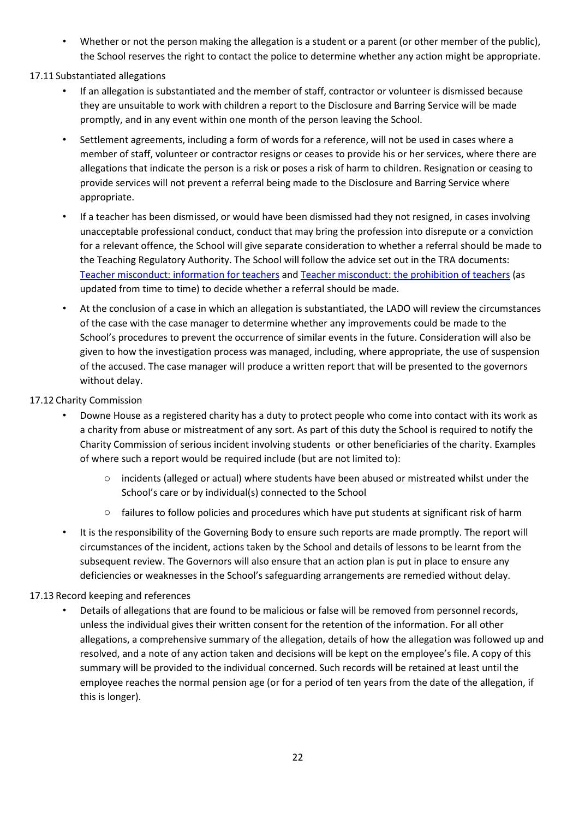• Whether or not the person making the allegation is a student or a parent (or other member of the public), the School reserves the right to contact the police to determine whether any action might be appropriate.

#### 17.11 Substantiated allegations

- If an allegation is substantiated and the member of staff, contractor or volunteer is dismissed because they are unsuitable to work with children a report to the Disclosure and Barring Service will be made promptly, and in any event within one month of the person leaving the School.
- Settlement agreements, including a form of words for a reference, will not be used in cases where a member of staff, volunteer or contractor resigns or ceases to provide his or her services, where there are allegations that indicate the person is a risk or poses a risk of harm to children. Resignation or ceasing to provide services will not prevent a referral being made to the Disclosure and Barring Service where appropriate.
- If a teacher has been dismissed, or would have been dismissed had they not resigned, in cases involving unacceptable professional conduct, conduct that may bring the profession into disrepute or a conviction for a relevant offence, the School will give separate consideration to whether a referral should be made to the Teaching Regulatory Authority. The School will follow the advice set out in the TRA documents: [Teacher misconduct: information for teachers](https://assets.publishing.service.gov.uk/government/uploads/system/uploads/attachment_data/file/738316/Teacher_misconduct_information_for_teachers.pdf) and [Teacher misconduct: the prohibition of teachers](https://assets.publishing.service.gov.uk/government/uploads/system/uploads/attachment_data/file/752668/Teacher_misconduct-the_prohibition_of_teachers_.pdf) (as updated from time to time) to decide whether a referral should be made.
- At the conclusion of a case in which an allegation is substantiated, the LADO will review the circumstances of the case with the case manager to determine whether any improvements could be made to the School's procedures to prevent the occurrence of similar events in the future. Consideration will also be given to how the investigation process was managed, including, where appropriate, the use of suspension of the accused. The case manager will produce a written report that will be presented to the governors without delay.

#### 17.12 Charity Commission

- Downe House as a registered charity has a duty to protect people who come into contact with its work as a charity from abuse or mistreatment of any sort. As part of this duty the School is required to notify the Charity Commission of serious incident involving students or other beneficiaries of the charity. Examples of where such a report would be required include (but are not limited to):
	- $\circ$  incidents (alleged or actual) where students have been abused or mistreated whilst under the School's care or by individual(s) connected to the School
	- o failures to follow policies and procedures which have put students at significant risk of harm
- It is the responsibility of the Governing Body to ensure such reports are made promptly. The report will circumstances of the incident, actions taken by the School and details of lessons to be learnt from the subsequent review. The Governors will also ensure that an action plan is put in place to ensure any deficiencies or weaknesses in the School's safeguarding arrangements are remedied without delay.

#### 17.13 Record keeping and references

• Details of allegations that are found to be malicious or false will be removed from personnel records, unless the individual gives their written consent for the retention of the information. For all other allegations, a comprehensive summary of the allegation, details of how the allegation was followed up and resolved, and a note of any action taken and decisions will be kept on the employee's file. A copy of this summary will be provided to the individual concerned. Such records will be retained at least until the employee reaches the normal pension age (or for a period of ten years from the date of the allegation, if this is longer).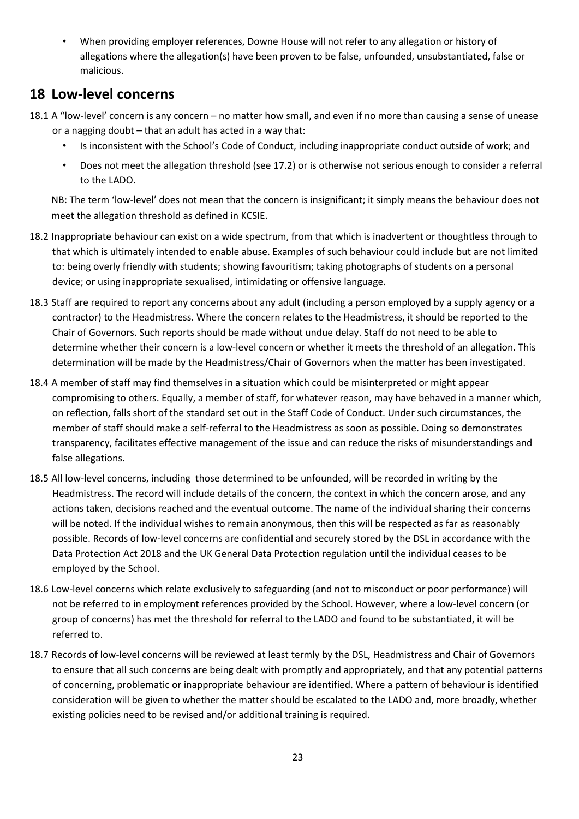• When providing employer references, Downe House will not refer to any allegation or history of allegations where the allegation(s) have been proven to be false, unfounded, unsubstantiated, false or malicious.

# <span id="page-22-0"></span>**18 Low-level concerns**

- 18.1 A "low-level' concern is any concern no matter how small, and even if no more than causing a sense of unease or a nagging doubt – that an adult has acted in a way that:
	- Is inconsistent with the School's Code of Conduct, including inappropriate conduct outside of work; and
	- Does not meet the allegation threshold (see 17.2) or is otherwise not serious enough to consider a referral to the LADO.

NB: The term 'low-level' does not mean that the concern is insignificant; it simply means the behaviour does not meet the allegation threshold as defined in KCSIE.

- 18.2 Inappropriate behaviour can exist on a wide spectrum, from that which is inadvertent or thoughtless through to that which is ultimately intended to enable abuse. Examples of such behaviour could include but are not limited to: being overly friendly with students; showing favouritism; taking photographs of students on a personal device; or using inappropriate sexualised, intimidating or offensive language.
- 18.3 Staff are required to report any concerns about any adult (including a person employed by a supply agency or a contractor) to the Headmistress. Where the concern relates to the Headmistress, it should be reported to the Chair of Governors. Such reports should be made without undue delay. Staff do not need to be able to determine whether their concern is a low-level concern or whether it meets the threshold of an allegation. This determination will be made by the Headmistress/Chair of Governors when the matter has been investigated.
- 18.4 A member of staff may find themselves in a situation which could be misinterpreted or might appear compromising to others. Equally, a member of staff, for whatever reason, may have behaved in a manner which, on reflection, falls short of the standard set out in the Staff Code of Conduct. Under such circumstances, the member of staff should make a self-referral to the Headmistress as soon as possible. Doing so demonstrates transparency, facilitates effective management of the issue and can reduce the risks of misunderstandings and false allegations.
- 18.5 All low-level concerns, including those determined to be unfounded, will be recorded in writing by the Headmistress. The record will include details of the concern, the context in which the concern arose, and any actions taken, decisions reached and the eventual outcome. The name of the individual sharing their concerns will be noted. If the individual wishes to remain anonymous, then this will be respected as far as reasonably possible. Records of low-level concerns are confidential and securely stored by the DSL in accordance with the Data Protection Act 2018 and the UK General Data Protection regulation until the individual ceases to be employed by the School.
- 18.6 Low-level concerns which relate exclusively to safeguarding (and not to misconduct or poor performance) will not be referred to in employment references provided by the School. However, where a low-level concern (or group of concerns) has met the threshold for referral to the LADO and found to be substantiated, it will be referred to.
- 18.7 Records of low-level concerns will be reviewed at least termly by the DSL, Headmistress and Chair of Governors to ensure that all such concerns are being dealt with promptly and appropriately, and that any potential patterns of concerning, problematic or inappropriate behaviour are identified. Where a pattern of behaviour is identified consideration will be given to whether the matter should be escalated to the LADO and, more broadly, whether existing policies need to be revised and/or additional training is required.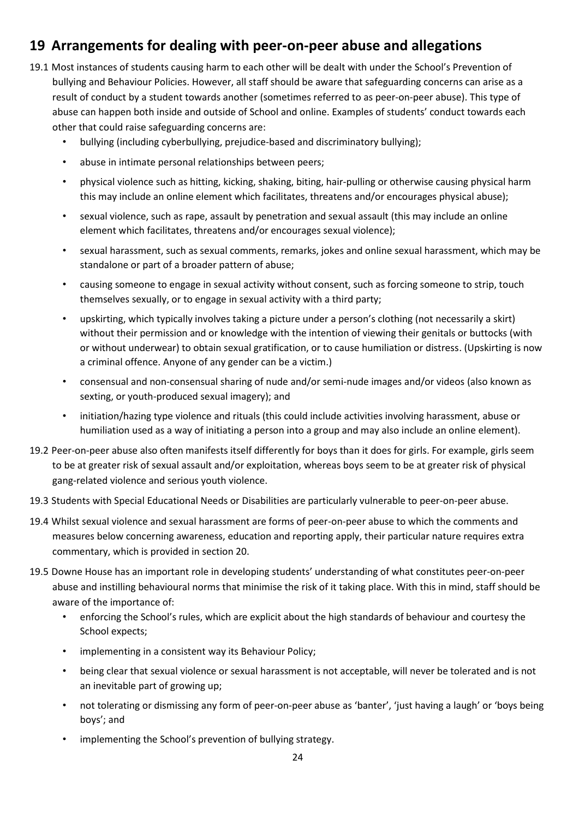# <span id="page-23-0"></span>**19 Arrangements for dealing with peer-on-peer abuse and allegations**

- 19.1 Most instances of students causing harm to each other will be dealt with under the School's Prevention of bullying and Behaviour Policies. However, all staff should be aware that safeguarding concerns can arise as a result of conduct by a student towards another (sometimes referred to as peer-on-peer abuse). This type of abuse can happen both inside and outside of School and online. Examples of students' conduct towards each other that could raise safeguarding concerns are:
	- bullying (including cyberbullying, prejudice-based and discriminatory bullying);
	- abuse in intimate personal relationships between peers;
	- physical violence such as hitting, kicking, shaking, biting, hair-pulling or otherwise causing physical harm this may include an online element which facilitates, threatens and/or encourages physical abuse);
	- sexual violence, such as rape, assault by penetration and sexual assault (this may include an online element which facilitates, threatens and/or encourages sexual violence);
	- sexual harassment, such as sexual comments, remarks, jokes and online sexual harassment, which may be standalone or part of a broader pattern of abuse;
	- causing someone to engage in sexual activity without consent, such as forcing someone to strip, touch themselves sexually, or to engage in sexual activity with a third party;
	- upskirting, which typically involves taking a picture under a person's clothing (not necessarily a skirt) without their permission and or knowledge with the intention of viewing their genitals or buttocks (with or without underwear) to obtain sexual gratification, or to cause humiliation or distress. (Upskirting is now a criminal offence. Anyone of any gender can be a victim.)
	- consensual and non-consensual sharing of nude and/or semi-nude images and/or videos (also known as sexting, or youth-produced sexual imagery); and
	- initiation/hazing type violence and rituals (this could include activities involving harassment, abuse or humiliation used as a way of initiating a person into a group and may also include an online element).
- 19.2 Peer-on-peer abuse also often manifests itself differently for boys than it does for girls. For example, girls seem to be at greater risk of sexual assault and/or exploitation, whereas boys seem to be at greater risk of physical gang-related violence and serious youth violence.
- 19.3 Students with Special Educational Needs or Disabilities are particularly vulnerable to peer-on-peer abuse.
- 19.4 Whilst sexual violence and sexual harassment are forms of peer-on-peer abuse to which the comments and measures below concerning awareness, education and reporting apply, their particular nature requires extra commentary, which is provided in section 20.
- 19.5 Downe House has an important role in developing students' understanding of what constitutes peer-on-peer abuse and instilling behavioural norms that minimise the risk of it taking place. With this in mind, staff should be aware of the importance of:
	- enforcing the School's rules, which are explicit about the high standards of behaviour and courtesy the School expects;
	- implementing in a consistent way its Behaviour Policy;
	- being clear that sexual violence or sexual harassment is not acceptable, will never be tolerated and is not an inevitable part of growing up;
	- not tolerating or dismissing any form of peer-on-peer abuse as 'banter', 'just having a laugh' or 'boys being boys'; and
	- implementing the School's prevention of bullying strategy.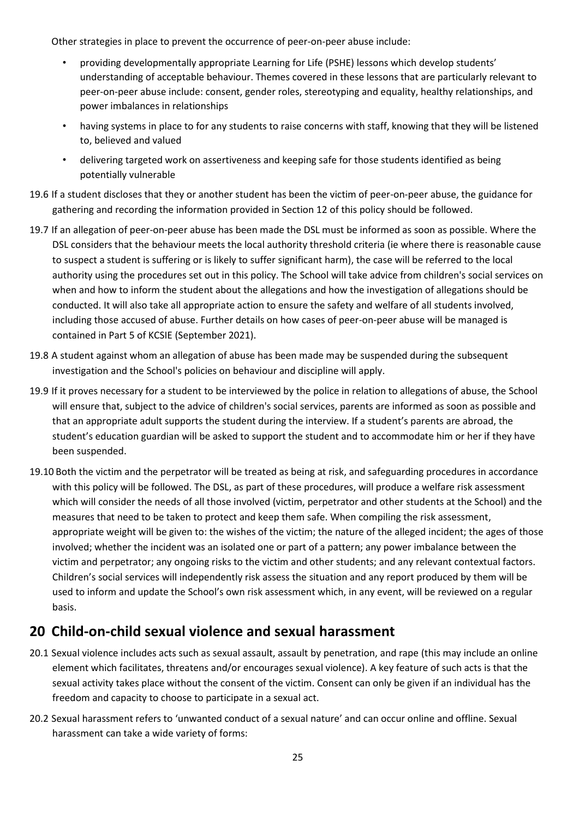Other strategies in place to prevent the occurrence of peer-on-peer abuse include:

- providing developmentally appropriate Learning for Life (PSHE) lessons which develop students' understanding of acceptable behaviour. Themes covered in these lessons that are particularly relevant to peer-on-peer abuse include: consent, gender roles, stereotyping and equality, healthy relationships, and power imbalances in relationships
- having systems in place to for any students to raise concerns with staff, knowing that they will be listened to, believed and valued
- delivering targeted work on assertiveness and keeping safe for those students identified as being potentially vulnerable
- 19.6 If a student discloses that they or another student has been the victim of peer-on-peer abuse, the guidance for gathering and recording the information provided in Section 12 of this policy should be followed.
- 19.7 If an allegation of peer-on-peer abuse has been made the DSL must be informed as soon as possible. Where the DSL considers that the behaviour meets the local authority threshold criteria (ie where there is reasonable cause to suspect a student is suffering or is likely to suffer significant harm), the case will be referred to the local authority using the procedures set out in this policy. The School will take advice from children's social services on when and how to inform the student about the allegations and how the investigation of allegations should be conducted. It will also take all appropriate action to ensure the safety and welfare of all students involved, including those accused of abuse. Further details on how cases of peer-on-peer abuse will be managed is contained in Part 5 of KCSIE (September 2021).
- 19.8 A student against whom an allegation of abuse has been made may be suspended during the subsequent investigation and the School's policies on behaviour and discipline will apply.
- 19.9 If it proves necessary for a student to be interviewed by the police in relation to allegations of abuse, the School will ensure that, subject to the advice of children's social services, parents are informed as soon as possible and that an appropriate adult supports the student during the interview. If a student's parents are abroad, the student's education guardian will be asked to support the student and to accommodate him or her if they have been suspended.
- 19.10 Both the victim and the perpetrator will be treated as being at risk, and safeguarding procedures in accordance with this policy will be followed. The DSL, as part of these procedures, will produce a welfare risk assessment which will consider the needs of all those involved (victim, perpetrator and other students at the School) and the measures that need to be taken to protect and keep them safe. When compiling the risk assessment, appropriate weight will be given to: the wishes of the victim; the nature of the alleged incident; the ages of those involved; whether the incident was an isolated one or part of a pattern; any power imbalance between the victim and perpetrator; any ongoing risks to the victim and other students; and any relevant contextual factors. Children's social services will independently risk assess the situation and any report produced by them will be used to inform and update the School's own risk assessment which, in any event, will be reviewed on a regular basis.

# <span id="page-24-0"></span>**20 Child-on-child sexual violence and sexual harassment**

- 20.1 Sexual violence includes acts such as sexual assault, assault by penetration, and rape (this may include an online element which facilitates, threatens and/or encourages sexual violence). A key feature of such acts is that the sexual activity takes place without the consent of the victim. Consent can only be given if an individual has the freedom and capacity to choose to participate in a sexual act.
- 20.2 Sexual harassment refers to 'unwanted conduct of a sexual nature' and can occur online and offline. Sexual harassment can take a wide variety of forms: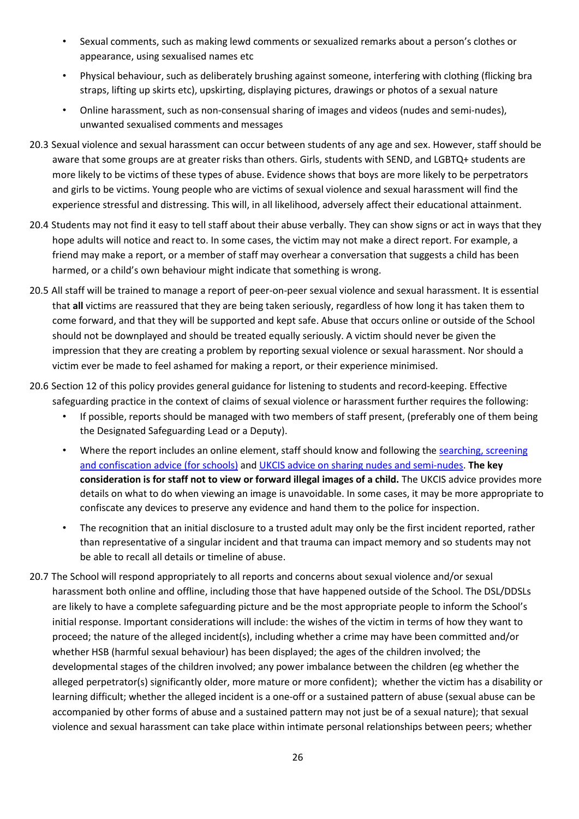- Sexual comments, such as making lewd comments or sexualized remarks about a person's clothes or appearance, using sexualised names etc
- Physical behaviour, such as deliberately brushing against someone, interfering with clothing (flicking bra straps, lifting up skirts etc), upskirting, displaying pictures, drawings or photos of a sexual nature
- Online harassment, such as non-consensual sharing of images and videos (nudes and semi-nudes), unwanted sexualised comments and messages
- 20.3 Sexual violence and sexual harassment can occur between students of any age and sex. However, staff should be aware that some groups are at greater risks than others. Girls, students with SEND, and LGBTQ+ students are more likely to be victims of these types of abuse. Evidence shows that boys are more likely to be perpetrators and girls to be victims. Young people who are victims of sexual violence and sexual harassment will find the experience stressful and distressing. This will, in all likelihood, adversely affect their educational attainment.
- 20.4 Students may not find it easy to tell staff about their abuse verbally. They can show signs or act in ways that they hope adults will notice and react to. In some cases, the victim may not make a direct report. For example, a friend may make a report, or a member of staff may overhear a conversation that suggests a child has been harmed, or a child's own behaviour might indicate that something is wrong.
- 20.5 All staff will be trained to manage a report of peer-on-peer sexual violence and sexual harassment. It is essential that **all** victims are reassured that they are being taken seriously, regardless of how long it has taken them to come forward, and that they will be supported and kept safe. Abuse that occurs online or outside of the School should not be downplayed and should be treated equally seriously. A victim should never be given the impression that they are creating a problem by reporting sexual violence or sexual harassment. Nor should a victim ever be made to feel ashamed for making a report, or their experience minimised.
- 20.6 Section 12 of this policy provides general guidance for listening to students and record-keeping. Effective safeguarding practice in the context of claims of sexual violence or harassment further requires the following:
	- If possible, reports should be managed with two members of staff present, (preferably one of them being the Designated Safeguarding Lead or a Deputy).
	- Where the report includes an online element, staff should know and following th[e searching,](https://www.gov.uk/government/publications/searching-screening-and-confiscation) screening [and confiscation advice \(for schools\)](https://www.gov.uk/government/publications/searching-screening-and-confiscation) an[d UKCIS advice on sharing nudes and semi-nudes.](https://www.gov.uk/government/publications/sharing-nudes-and-semi-nudes-advice-for-education-settings-working-with-children-and-young-people) **The key consideration is for staff not to view or forward illegal images of a child.** The UKCIS advice provides more details on what to do when viewing an image is unavoidable. In some cases, it may be more appropriate to confiscate any devices to preserve any evidence and hand them to the police for inspection.
	- The recognition that an initial disclosure to a trusted adult may only be the first incident reported, rather than representative of a singular incident and that trauma can impact memory and so students may not be able to recall all details or timeline of abuse.
- 20.7 The School will respond appropriately to all reports and concerns about sexual violence and/or sexual harassment both online and offline, including those that have happened outside of the School. The DSL/DDSLs are likely to have a complete safeguarding picture and be the most appropriate people to inform the School's initial response. Important considerations will include: the wishes of the victim in terms of how they want to proceed; the nature of the alleged incident(s), including whether a crime may have been committed and/or whether HSB (harmful sexual behaviour) has been displayed; the ages of the children involved; the developmental stages of the children involved; any power imbalance between the children (eg whether the alleged perpetrator(s) significantly older, more mature or more confident); whether the victim has a disability or learning difficult; whether the alleged incident is a one-off or a sustained pattern of abuse (sexual abuse can be accompanied by other forms of abuse and a sustained pattern may not just be of a sexual nature); that sexual violence and sexual harassment can take place within intimate personal relationships between peers; whether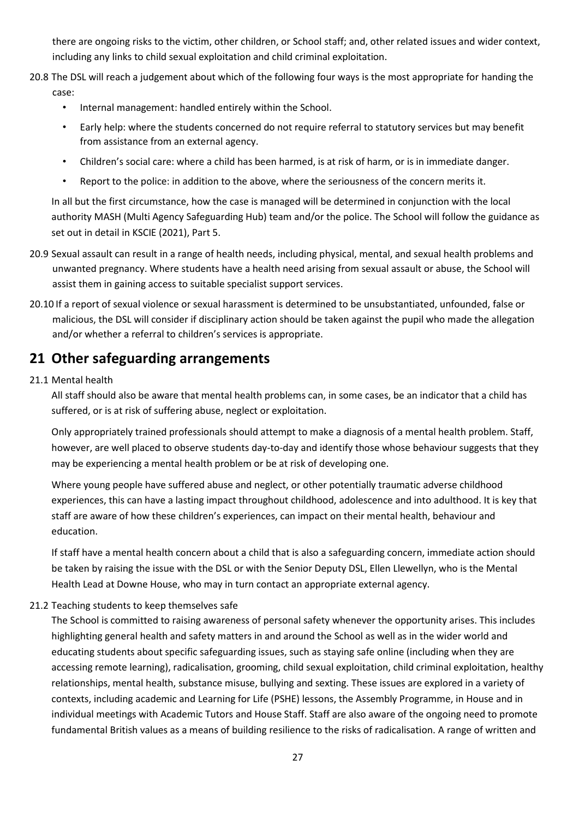there are ongoing risks to the victim, other children, or School staff; and, other related issues and wider context, including any links to child sexual exploitation and child criminal exploitation.

- 20.8 The DSL will reach a judgement about which of the following four ways is the most appropriate for handing the case:
	- Internal management: handled entirely within the School.
	- Early help: where the students concerned do not require referral to statutory services but may benefit from assistance from an external agency.
	- Children's social care: where a child has been harmed, is at risk of harm, or is in immediate danger.
	- Report to the police: in addition to the above, where the seriousness of the concern merits it.

In all but the first circumstance, how the case is managed will be determined in conjunction with the local authority MASH (Multi Agency Safeguarding Hub) team and/or the police. The School will follow the guidance as set out in detail in KSCIE (2021), Part 5.

- 20.9 Sexual assault can result in a range of health needs, including physical, mental, and sexual health problems and unwanted pregnancy. Where students have a health need arising from sexual assault or abuse, the School will assist them in gaining access to suitable specialist support services.
- 20.10 If a report of sexual violence or sexual harassment is determined to be unsubstantiated, unfounded, false or malicious, the DSL will consider if disciplinary action should be taken against the pupil who made the allegation and/or whether a referral to children's services is appropriate.

## <span id="page-26-0"></span>**21 Other safeguarding arrangements**

#### 21.1 Mental health

All staff should also be aware that mental health problems can, in some cases, be an indicator that a child has suffered, or is at risk of suffering abuse, neglect or exploitation.

Only appropriately trained professionals should attempt to make a diagnosis of a mental health problem. Staff, however, are well placed to observe students day-to-day and identify those whose behaviour suggests that they may be experiencing a mental health problem or be at risk of developing one.

Where young people have suffered abuse and neglect, or other potentially traumatic adverse childhood experiences, this can have a lasting impact throughout childhood, adolescence and into adulthood. It is key that staff are aware of how these children's experiences, can impact on their mental health, behaviour and education.

If staff have a mental health concern about a child that is also a safeguarding concern, immediate action should be taken by raising the issue with the DSL or with the Senior Deputy DSL, Ellen Llewellyn, who is the Mental Health Lead at Downe House, who may in turn contact an appropriate external agency.

#### 21.2 Teaching students to keep themselves safe

The School is committed to raising awareness of personal safety whenever the opportunity arises. This includes highlighting general health and safety matters in and around the School as well as in the wider world and educating students about specific safeguarding issues, such as staying safe online (including when they are accessing remote learning), radicalisation, grooming, child sexual exploitation, child criminal exploitation, healthy relationships, mental health, substance misuse, bullying and sexting. These issues are explored in a variety of contexts, including academic and Learning for Life (PSHE) lessons, the Assembly Programme, in House and in individual meetings with Academic Tutors and House Staff. Staff are also aware of the ongoing need to promote fundamental British values as a means of building resilience to the risks of radicalisation. A range of written and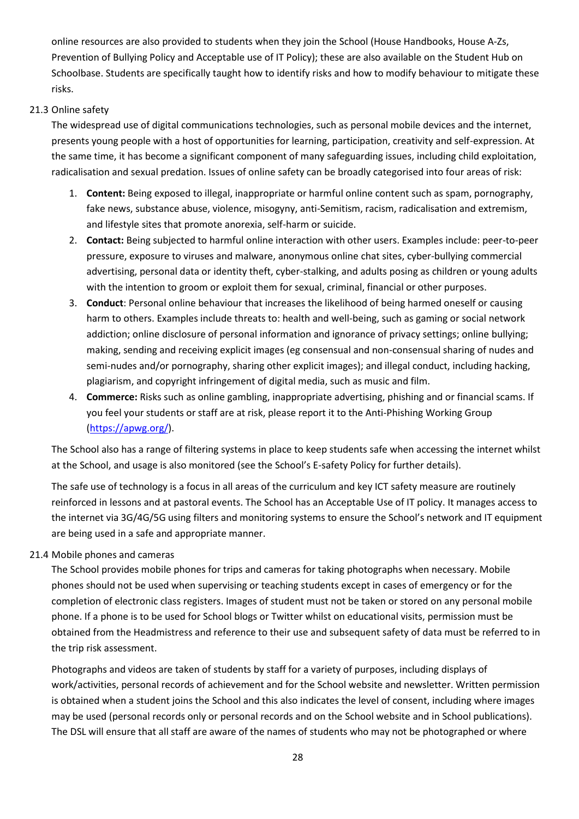online resources are also provided to students when they join the School (House Handbooks, House A-Zs, Prevention of Bullying Policy and Acceptable use of IT Policy); these are also available on the Student Hub on Schoolbase. Students are specifically taught how to identify risks and how to modify behaviour to mitigate these risks.

#### 21.3 Online safety

The widespread use of digital communications technologies, such as personal mobile devices and the internet, presents young people with a host of opportunities for learning, participation, creativity and self-expression. At the same time, it has become a significant component of many safeguarding issues, including child exploitation, radicalisation and sexual predation. Issues of online safety can be broadly categorised into four areas of risk:

- 1. **Content:** Being exposed to illegal, inappropriate or harmful online content such as spam, pornography, fake news, substance abuse, violence, misogyny, anti-Semitism, racism, radicalisation and extremism, and lifestyle sites that promote anorexia, self-harm or suicide.
- 2. **Contact:** Being subjected to harmful online interaction with other users. Examples include: peer-to-peer pressure, exposure to viruses and malware, anonymous online chat sites, cyber-bullying commercial advertising, personal data or identity theft, cyber-stalking, and adults posing as children or young adults with the intention to groom or exploit them for sexual, criminal, financial or other purposes.
- 3. **Conduct**: Personal online behaviour that increases the likelihood of being harmed oneself or causing harm to others. Examples include threats to: health and well-being, such as gaming or social network addiction; online disclosure of personal information and ignorance of privacy settings; online bullying; making, sending and receiving explicit images (eg consensual and non-consensual sharing of nudes and semi-nudes and/or pornography, sharing other explicit images); and illegal conduct, including hacking, plagiarism, and copyright infringement of digital media, such as music and film.
- 4. **Commerce:** Risks such as online gambling, inappropriate advertising, phishing and or financial scams. If you feel your students or staff are at risk, please report it to the Anti-Phishing Working Group [\(https://apwg.org/\)](https://apwg.org/).

The School also has a range of filtering systems in place to keep students safe when accessing the internet whilst at the School, and usage is also monitored (see the School's E-safety Policy for further details).

The safe use of technology is a focus in all areas of the curriculum and key ICT safety measure are routinely reinforced in lessons and at pastoral events. The School has an Acceptable Use of IT policy. It manages access to the internet via 3G/4G/5G using filters and monitoring systems to ensure the School's network and IT equipment are being used in a safe and appropriate manner.

#### 21.4 Mobile phones and cameras

The School provides mobile phones for trips and cameras for taking photographs when necessary. Mobile phones should not be used when supervising or teaching students except in cases of emergency or for the completion of electronic class registers. Images of student must not be taken or stored on any personal mobile phone. If a phone is to be used for School blogs or Twitter whilst on educational visits, permission must be obtained from the Headmistress and reference to their use and subsequent safety of data must be referred to in the trip risk assessment.

Photographs and videos are taken of students by staff for a variety of purposes, including displays of work/activities, personal records of achievement and for the School website and newsletter. Written permission is obtained when a student joins the School and this also indicates the level of consent, including where images may be used (personal records only or personal records and on the School website and in School publications). The DSL will ensure that all staff are aware of the names of students who may not be photographed or where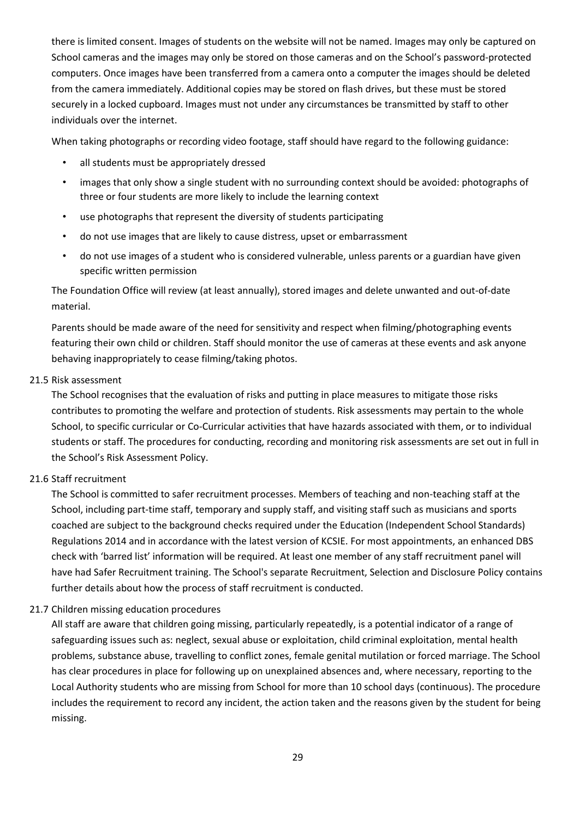there is limited consent. Images of students on the website will not be named. Images may only be captured on School cameras and the images may only be stored on those cameras and on the School's password-protected computers. Once images have been transferred from a camera onto a computer the images should be deleted from the camera immediately. Additional copies may be stored on flash drives, but these must be stored securely in a locked cupboard. Images must not under any circumstances be transmitted by staff to other individuals over the internet.

When taking photographs or recording video footage, staff should have regard to the following guidance:

- all students must be appropriately dressed
- images that only show a single student with no surrounding context should be avoided: photographs of three or four students are more likely to include the learning context
- use photographs that represent the diversity of students participating
- do not use images that are likely to cause distress, upset or embarrassment
- do not use images of a student who is considered vulnerable, unless parents or a guardian have given specific written permission

The Foundation Office will review (at least annually), stored images and delete unwanted and out-of-date material.

Parents should be made aware of the need for sensitivity and respect when filming/photographing events featuring their own child or children. Staff should monitor the use of cameras at these events and ask anyone behaving inappropriately to cease filming/taking photos.

#### 21.5 Risk assessment

The School recognises that the evaluation of risks and putting in place measures to mitigate those risks contributes to promoting the welfare and protection of students. Risk assessments may pertain to the whole School, to specific curricular or Co-Curricular activities that have hazards associated with them, or to individual students or staff. The procedures for conducting, recording and monitoring risk assessments are set out in full in the School's Risk Assessment Policy.

#### 21.6 Staff recruitment

The School is committed to safer recruitment processes. Members of teaching and non-teaching staff at the School, including part-time staff, temporary and supply staff, and visiting staff such as musicians and sports coached are subject to the background checks required under the Education (Independent School Standards) Regulations 2014 and in accordance with the latest version of KCSIE. For most appointments, an enhanced DBS check with 'barred list' information will be required. At least one member of any staff recruitment panel will have had Safer Recruitment training. The School's separate Recruitment, Selection and Disclosure Policy contains further details about how the process of staff recruitment is conducted.

#### 21.7 Children missing education procedures

All staff are aware that children going missing, particularly repeatedly, is a potential indicator of a range of safeguarding issues such as: neglect, sexual abuse or exploitation, child criminal exploitation, mental health problems, substance abuse, travelling to conflict zones, female genital mutilation or forced marriage. The School has clear procedures in place for following up on unexplained absences and, where necessary, reporting to the Local Authority students who are missing from School for more than 10 school days (continuous). The procedure includes the requirement to record any incident, the action taken and the reasons given by the student for being missing.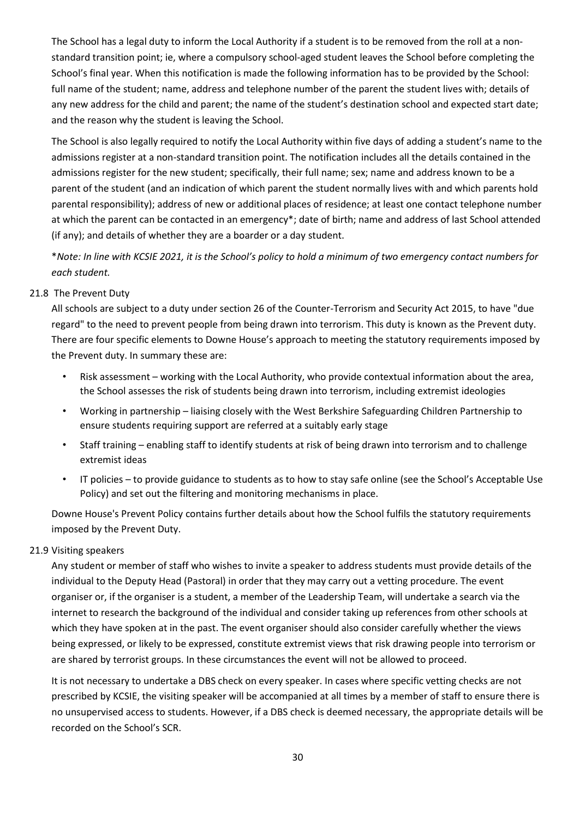The School has a legal duty to inform the Local Authority if a student is to be removed from the roll at a nonstandard transition point; ie, where a compulsory school-aged student leaves the School before completing the School's final year. When this notification is made the following information has to be provided by the School: full name of the student; name, address and telephone number of the parent the student lives with; details of any new address for the child and parent; the name of the student's destination school and expected start date; and the reason why the student is leaving the School.

The School is also legally required to notify the Local Authority within five days of adding a student's name to the admissions register at a non-standard transition point. The notification includes all the details contained in the admissions register for the new student; specifically, their full name; sex; name and address known to be a parent of the student (and an indication of which parent the student normally lives with and which parents hold parental responsibility); address of new or additional places of residence; at least one contact telephone number at which the parent can be contacted in an emergency\*; date of birth; name and address of last School attended (if any); and details of whether they are a boarder or a day student.

\**Note: In line with KCSIE 2021, it is the School's policy to hold a minimum of two emergency contact numbers for each student.*

#### 21.8 The Prevent Duty

All schools are subject to a duty under section 26 of the Counter-Terrorism and Security Act 2015, to have "due regard" to the need to prevent people from being drawn into terrorism. This duty is known as the Prevent duty. There are four specific elements to Downe House's approach to meeting the statutory requirements imposed by the Prevent duty. In summary these are:

- Risk assessment working with the Local Authority, who provide contextual information about the area, the School assesses the risk of students being drawn into terrorism, including extremist ideologies
- Working in partnership liaising closely with the West Berkshire Safeguarding Children Partnership to ensure students requiring support are referred at a suitably early stage
- Staff training enabling staff to identify students at risk of being drawn into terrorism and to challenge extremist ideas
- IT policies to provide guidance to students as to how to stay safe online (see the School's Acceptable Use Policy) and set out the filtering and monitoring mechanisms in place.

Downe House's Prevent Policy contains further details about how the School fulfils the statutory requirements imposed by the Prevent Duty.

#### 21.9 Visiting speakers

Any student or member of staff who wishes to invite a speaker to address students must provide details of the individual to the Deputy Head (Pastoral) in order that they may carry out a vetting procedure. The event organiser or, if the organiser is a student, a member of the Leadership Team, will undertake a search via the internet to research the background of the individual and consider taking up references from other schools at which they have spoken at in the past. The event organiser should also consider carefully whether the views being expressed, or likely to be expressed, constitute extremist views that risk drawing people into terrorism or are shared by terrorist groups. In these circumstances the event will not be allowed to proceed.

It is not necessary to undertake a DBS check on every speaker. In cases where specific vetting checks are not prescribed by KCSIE, the visiting speaker will be accompanied at all times by a member of staff to ensure there is no unsupervised access to students. However, if a DBS check is deemed necessary, the appropriate details will be recorded on the School's SCR.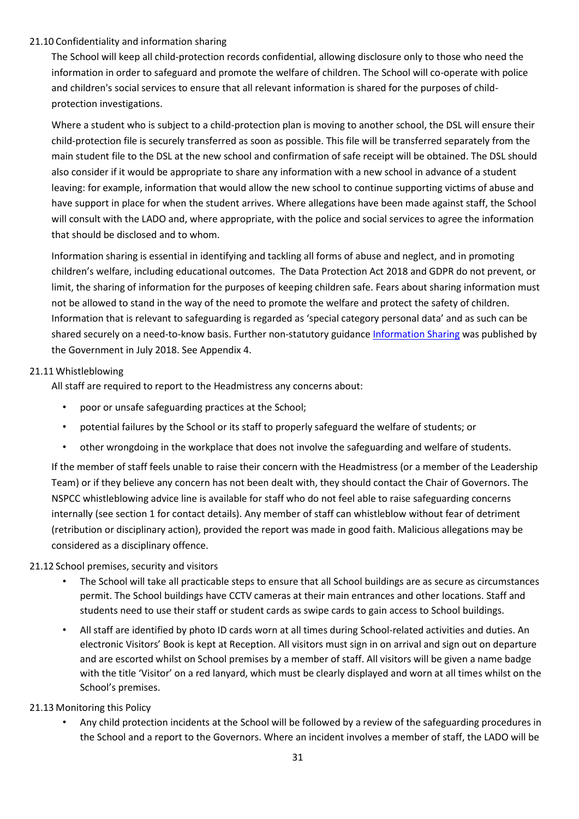#### 21.10 Confidentiality and information sharing

The School will keep all child-protection records confidential, allowing disclosure only to those who need the information in order to safeguard and promote the welfare of children. The School will co-operate with police and children's social services to ensure that all relevant information is shared for the purposes of childprotection investigations.

Where a student who is subject to a child-protection plan is moving to another school, the DSL will ensure their child-protection file is securely transferred as soon as possible. This file will be transferred separately from the main student file to the DSL at the new school and confirmation of safe receipt will be obtained. The DSL should also consider if it would be appropriate to share any information with a new school in advance of a student leaving: for example, information that would allow the new school to continue supporting victims of abuse and have support in place for when the student arrives. Where allegations have been made against staff, the School will consult with the LADO and, where appropriate, with the police and social services to agree the information that should be disclosed and to whom.

Information sharing is essential in identifying and tackling all forms of abuse and neglect, and in promoting children's welfare, including educational outcomes. The Data Protection Act 2018 and GDPR do not prevent, or limit, the sharing of information for the purposes of keeping children safe. Fears about sharing information must not be allowed to stand in the way of the need to promote the welfare and protect the safety of children. Information that is relevant to safeguarding is regarded as 'special category personal data' and as such can be shared securely on a need-to-know basis. Further non-statutory guidanc[e Information Sharing](https://assets.publishing.service.gov.uk/government/uploads/system/uploads/attachment_data/file/721581/Information_sharing_advice_practitioners_safeguarding_services.pdf) was published by the Government in July 2018. See Appendix 4.

#### 21.11 Whistleblowing

All staff are required to report to the Headmistress any concerns about:

- poor or unsafe safeguarding practices at the School;
- potential failures by the School or its staff to properly safeguard the welfare of students; or
- other wrongdoing in the workplace that does not involve the safeguarding and welfare of students.

If the member of staff feels unable to raise their concern with the Headmistress (or a member of the Leadership Team) or if they believe any concern has not been dealt with, they should contact the Chair of Governors. The NSPCC whistleblowing advice line is available for staff who do not feel able to raise safeguarding concerns internally (see section 1 for contact details). Any member of staff can whistleblow without fear of detriment (retribution or disciplinary action), provided the report was made in good faith. Malicious allegations may be considered as a disciplinary offence.

#### 21.12 School premises, security and visitors

- The School will take all practicable steps to ensure that all School buildings are as secure as circumstances permit. The School buildings have CCTV cameras at their main entrances and other locations. Staff and students need to use their staff or student cards as swipe cards to gain access to School buildings.
- All staff are identified by photo ID cards worn at all times during School-related activities and duties. An electronic Visitors' Book is kept at Reception. All visitors must sign in on arrival and sign out on departure and are escorted whilst on School premises by a member of staff. All visitors will be given a name badge with the title 'Visitor' on a red lanyard, which must be clearly displayed and worn at all times whilst on the School's premises.

#### 21.13 Monitoring this Policy

• Any child protection incidents at the School will be followed by a review of the safeguarding procedures in the School and a report to the Governors. Where an incident involves a member of staff, the LADO will be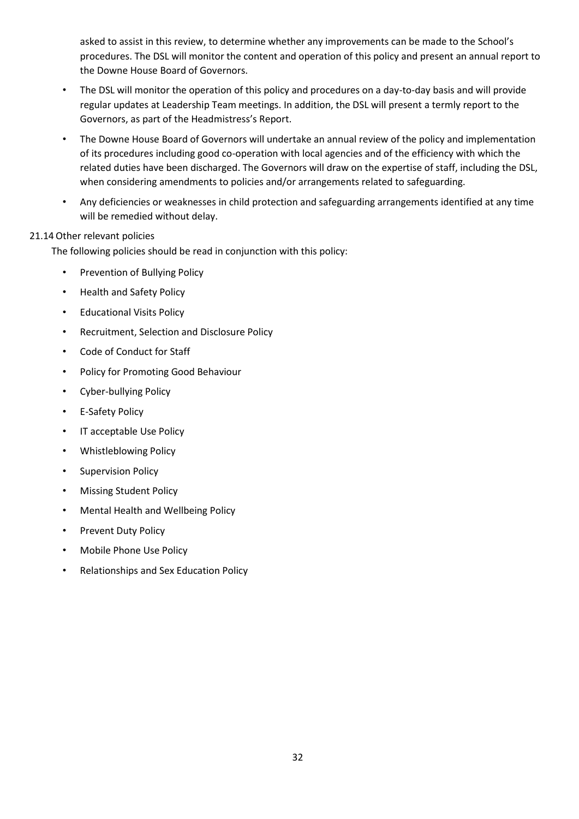asked to assist in this review, to determine whether any improvements can be made to the School's procedures. The DSL will monitor the content and operation of this policy and present an annual report to the Downe House Board of Governors.

- The DSL will monitor the operation of this policy and procedures on a day-to-day basis and will provide regular updates at Leadership Team meetings. In addition, the DSL will present a termly report to the Governors, as part of the Headmistress's Report.
- The Downe House Board of Governors will undertake an annual review of the policy and implementation of its procedures including good co-operation with local agencies and of the efficiency with which the related duties have been discharged. The Governors will draw on the expertise of staff, including the DSL, when considering amendments to policies and/or arrangements related to safeguarding.
- Any deficiencies or weaknesses in child protection and safeguarding arrangements identified at any time will be remedied without delay.

#### 21.14 Other relevant policies

The following policies should be read in conjunction with this policy:

- Prevention of Bullying Policy
- Health and Safety Policy
- Educational Visits Policy
- Recruitment, Selection and Disclosure Policy
- Code of Conduct for Staff
- Policy for Promoting Good Behaviour
- Cyber-bullying Policy
- E-Safety Policy
- IT acceptable Use Policy
- Whistleblowing Policy
- Supervision Policy
- Missing Student Policy
- Mental Health and Wellbeing Policy
- Prevent Duty Policy
- Mobile Phone Use Policy
- Relationships and Sex Education Policy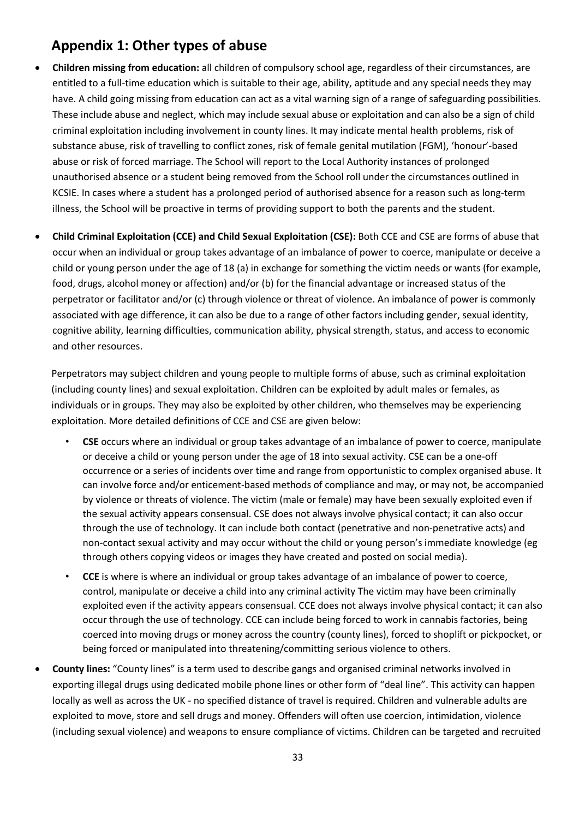# <span id="page-32-0"></span>**Appendix 1: Other types of abuse**

- **Children missing from education:** all children of compulsory school age, regardless of their circumstances, are entitled to a full-time education which is suitable to their age, ability, aptitude and any special needs they may have. A child going missing from education can act as a vital warning sign of a range of safeguarding possibilities. These include abuse and neglect, which may include sexual abuse or exploitation and can also be a sign of child criminal exploitation including involvement in county lines. It may indicate mental health problems, risk of substance abuse, risk of travelling to conflict zones, risk of female genital mutilation (FGM), 'honour'-based abuse or risk of forced marriage. The School will report to the Local Authority instances of prolonged unauthorised absence or a student being removed from the School roll under the circumstances outlined in KCSIE. In cases where a student has a prolonged period of authorised absence for a reason such as long-term illness, the School will be proactive in terms of providing support to both the parents and the student.
- **Child Criminal Exploitation (CCE) and Child Sexual Exploitation (CSE):** Both CCE and CSE are forms of abuse that occur when an individual or group takes advantage of an imbalance of power to coerce, manipulate or deceive a child or young person under the age of 18 (a) in exchange for something the victim needs or wants (for example, food, drugs, alcohol money or affection) and/or (b) for the financial advantage or increased status of the perpetrator or facilitator and/or (c) through violence or threat of violence. An imbalance of power is commonly associated with age difference, it can also be due to a range of other factors including gender, sexual identity, cognitive ability, learning difficulties, communication ability, physical strength, status, and access to economic and other resources.

Perpetrators may subject children and young people to multiple forms of abuse, such as criminal exploitation (including county lines) and sexual exploitation. Children can be exploited by adult males or females, as individuals or in groups. They may also be exploited by other children, who themselves may be experiencing exploitation. More detailed definitions of CCE and CSE are given below:

- **CSE** occurs where an individual or group takes advantage of an imbalance of power to coerce, manipulate or deceive a child or young person under the age of 18 into sexual activity. CSE can be a one-off occurrence or a series of incidents over time and range from opportunistic to complex organised abuse. It can involve force and/or enticement-based methods of compliance and may, or may not, be accompanied by violence or threats of violence. The victim (male or female) may have been sexually exploited even if the sexual activity appears consensual. CSE does not always involve physical contact; it can also occur through the use of technology. It can include both contact (penetrative and non-penetrative acts) and non-contact sexual activity and may occur without the child or young person's immediate knowledge (eg through others copying videos or images they have created and posted on social media).
- **CCE** is where is where an individual or group takes advantage of an imbalance of power to coerce, control, manipulate or deceive a child into any criminal activity The victim may have been criminally exploited even if the activity appears consensual. CCE does not always involve physical contact; it can also occur through the use of technology. CCE can include being forced to work in cannabis factories, being coerced into moving drugs or money across the country (county lines), forced to shoplift or pickpocket, or being forced or manipulated into threatening/committing serious violence to others.
- **County lines:** "County lines" is a term used to describe gangs and organised criminal networks involved in exporting illegal drugs using dedicated mobile phone lines or other form of "deal line". This activity can happen locally as well as across the UK - no specified distance of travel is required. Children and vulnerable adults are exploited to move, store and sell drugs and money. Offenders will often use coercion, intimidation, violence (including sexual violence) and weapons to ensure compliance of victims. Children can be targeted and recruited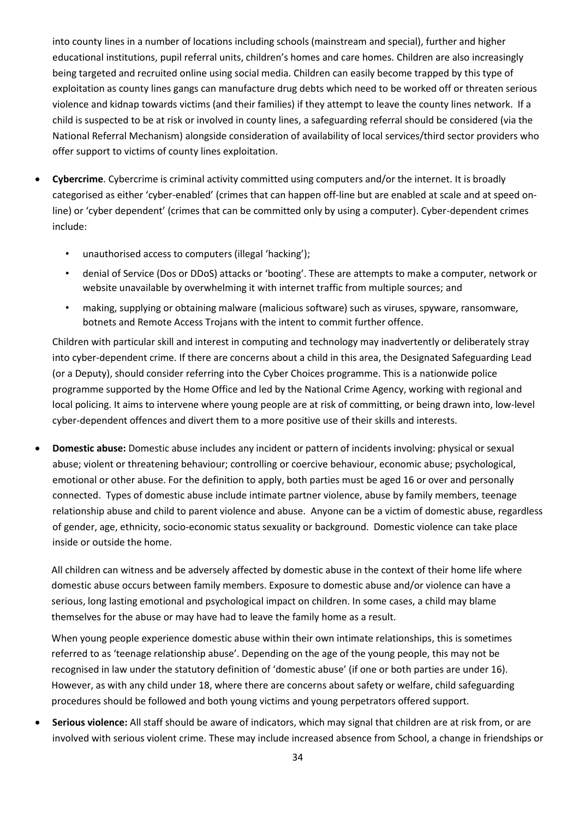into county lines in a number of locations including schools (mainstream and special), further and higher educational institutions, pupil referral units, children's homes and care homes. Children are also increasingly being targeted and recruited online using social media. Children can easily become trapped by this type of exploitation as county lines gangs can manufacture drug debts which need to be worked off or threaten serious violence and kidnap towards victims (and their families) if they attempt to leave the county lines network. If a child is suspected to be at risk or involved in county lines, a safeguarding referral should be considered (via the National Referral Mechanism) alongside consideration of availability of local services/third sector providers who offer support to victims of county lines exploitation.

- **Cybercrime**. Cybercrime is criminal activity committed using computers and/or the internet. It is broadly categorised as either 'cyber-enabled' (crimes that can happen off-line but are enabled at scale and at speed online) or 'cyber dependent' (crimes that can be committed only by using a computer). Cyber-dependent crimes include:
	- unauthorised access to computers (illegal 'hacking');
	- denial of Service (Dos or DDoS) attacks or 'booting'. These are attempts to make a computer, network or website unavailable by overwhelming it with internet traffic from multiple sources; and
	- making, supplying or obtaining malware (malicious software) such as viruses, spyware, ransomware, botnets and Remote Access Trojans with the intent to commit further offence.

Children with particular skill and interest in computing and technology may inadvertently or deliberately stray into cyber-dependent crime. If there are concerns about a child in this area, the Designated Safeguarding Lead (or a Deputy), should consider referring into the Cyber Choices programme. This is a nationwide police programme supported by the Home Office and led by the National Crime Agency, working with regional and local policing. It aims to intervene where young people are at risk of committing, or being drawn into, low-level cyber-dependent offences and divert them to a more positive use of their skills and interests.

• **Domestic abuse:** Domestic abuse includes any incident or pattern of incidents involving: physical or sexual abuse; violent or threatening behaviour; controlling or coercive behaviour, economic abuse; psychological, emotional or other abuse. For the definition to apply, both parties must be aged 16 or over and personally connected. Types of domestic abuse include intimate partner violence, abuse by family members, teenage relationship abuse and child to parent violence and abuse. Anyone can be a victim of domestic abuse, regardless of gender, age, ethnicity, socio-economic status sexuality or background. Domestic violence can take place inside or outside the home.

All children can witness and be adversely affected by domestic abuse in the context of their home life where domestic abuse occurs between family members. Exposure to domestic abuse and/or violence can have a serious, long lasting emotional and psychological impact on children. In some cases, a child may blame themselves for the abuse or may have had to leave the family home as a result.

When young people experience domestic abuse within their own intimate relationships, this is sometimes referred to as 'teenage relationship abuse'. Depending on the age of the young people, this may not be recognised in law under the statutory definition of 'domestic abuse' (if one or both parties are under 16). However, as with any child under 18, where there are concerns about safety or welfare, child safeguarding procedures should be followed and both young victims and young perpetrators offered support.

• **Serious violence:** All staff should be aware of indicators, which may signal that children are at risk from, or are involved with serious violent crime. These may include increased absence from School, a change in friendships or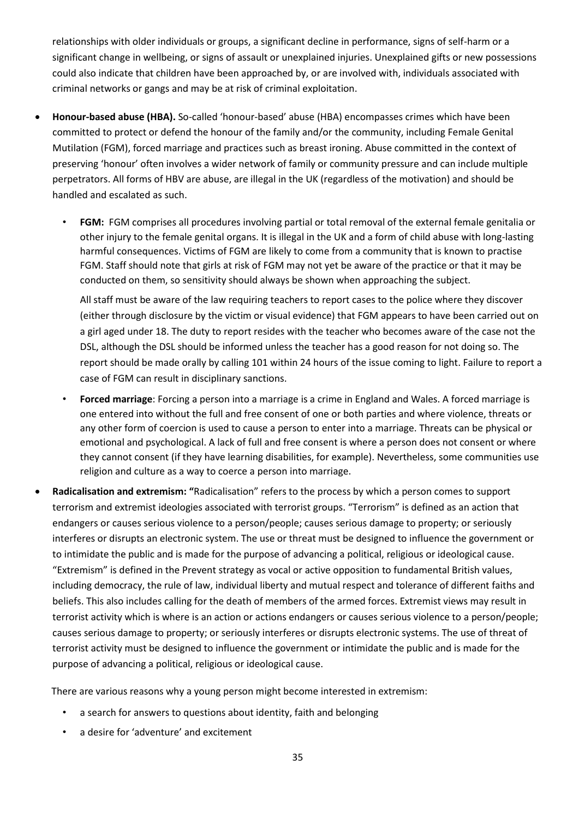relationships with older individuals or groups, a significant decline in performance, signs of self-harm or a significant change in wellbeing, or signs of assault or unexplained injuries. Unexplained gifts or new possessions could also indicate that children have been approached by, or are involved with, individuals associated with criminal networks or gangs and may be at risk of criminal exploitation.

- **Honour-based abuse (HBA).** So-called 'honour-based' abuse (HBA) encompasses crimes which have been committed to protect or defend the honour of the family and/or the community, including Female Genital Mutilation (FGM), forced marriage and practices such as breast ironing. Abuse committed in the context of preserving 'honour' often involves a wider network of family or community pressure and can include multiple perpetrators. All forms of HBV are abuse, are illegal in the UK (regardless of the motivation) and should be handled and escalated as such.
	- **FGM:** FGM comprises all procedures involving partial or total removal of the external female genitalia or other injury to the female genital organs. It is illegal in the UK and a form of child abuse with long-lasting harmful consequences. Victims of FGM are likely to come from a community that is known to practise FGM. Staff should note that girls at risk of FGM may not yet be aware of the practice or that it may be conducted on them, so sensitivity should always be shown when approaching the subject.

All staff must be aware of the law requiring teachers to report cases to the police where they discover (either through disclosure by the victim or visual evidence) that FGM appears to have been carried out on a girl aged under 18. The duty to report resides with the teacher who becomes aware of the case not the DSL, although the DSL should be informed unless the teacher has a good reason for not doing so. The report should be made orally by calling 101 within 24 hours of the issue coming to light. Failure to report a case of FGM can result in disciplinary sanctions.

- **Forced marriage**: Forcing a person into a marriage is a crime in England and Wales. A forced marriage is one entered into without the full and free consent of one or both parties and where violence, threats or any other form of coercion is used to cause a person to enter into a marriage. Threats can be physical or emotional and psychological. A lack of full and free consent is where a person does not consent or where they cannot consent (if they have learning disabilities, for example). Nevertheless, some communities use religion and culture as a way to coerce a person into marriage.
- **Radicalisation and extremism: "**Radicalisation" refers to the process by which a person comes to support terrorism and extremist ideologies associated with terrorist groups. "Terrorism" is defined as an action that endangers or causes serious violence to a person/people; causes serious damage to property; or seriously interferes or disrupts an electronic system. The use or threat must be designed to influence the government or to intimidate the public and is made for the purpose of advancing a political, religious or ideological cause. "Extremism" is defined in the Prevent strategy as vocal or active opposition to fundamental British values, including democracy, the rule of law, individual liberty and mutual respect and tolerance of different faiths and beliefs. This also includes calling for the death of members of the armed forces. Extremist views may result in terrorist activity which is where is an action or actions endangers or causes serious violence to a person/people; causes serious damage to property; or seriously interferes or disrupts electronic systems. The use of threat of terrorist activity must be designed to influence the government or intimidate the public and is made for the purpose of advancing a political, religious or ideological cause.

There are various reasons why a young person might become interested in extremism:

- a search for answers to questions about identity, faith and belonging
- a desire for 'adventure' and excitement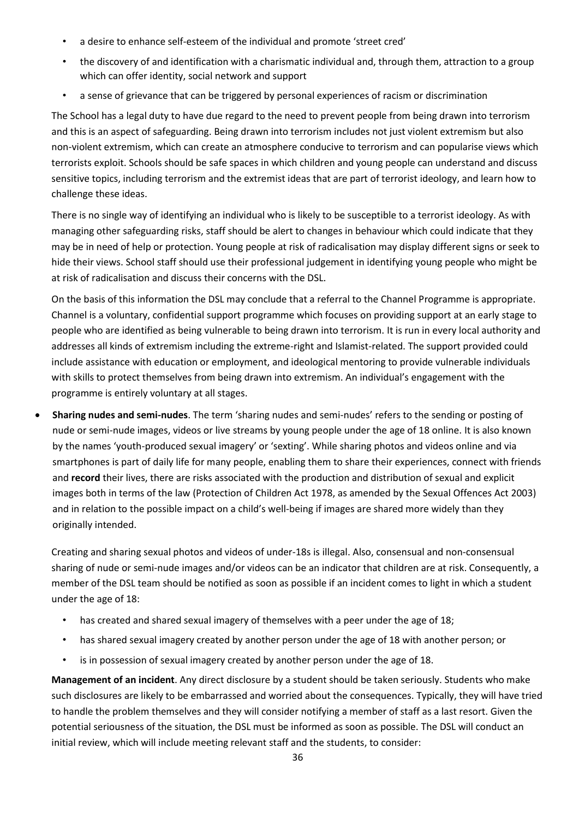- a desire to enhance self-esteem of the individual and promote 'street cred'
- the discovery of and identification with a charismatic individual and, through them, attraction to a group which can offer identity, social network and support
- a sense of grievance that can be triggered by personal experiences of racism or discrimination

The School has a legal duty to have due regard to the need to prevent people from being drawn into terrorism and this is an aspect of safeguarding. Being drawn into terrorism includes not just violent extremism but also non-violent extremism, which can create an atmosphere conducive to terrorism and can popularise views which terrorists exploit. Schools should be safe spaces in which children and young people can understand and discuss sensitive topics, including terrorism and the extremist ideas that are part of terrorist ideology, and learn how to challenge these ideas.

There is no single way of identifying an individual who is likely to be susceptible to a terrorist ideology. As with managing other safeguarding risks, staff should be alert to changes in behaviour which could indicate that they may be in need of help or protection. Young people at risk of radicalisation may display different signs or seek to hide their views. School staff should use their professional judgement in identifying young people who might be at risk of radicalisation and discuss their concerns with the DSL.

On the basis of this information the DSL may conclude that a referral to the Channel Programme is appropriate. Channel is a voluntary, confidential support programme which focuses on providing support at an early stage to people who are identified as being vulnerable to being drawn into terrorism. It is run in every local authority and addresses all kinds of extremism including the extreme-right and Islamist-related. The support provided could include assistance with education or employment, and ideological mentoring to provide vulnerable individuals with skills to protect themselves from being drawn into extremism. An individual's engagement with the programme is entirely voluntary at all stages.

• **Sharing nudes and semi-nudes**. The term 'sharing nudes and semi-nudes' refers to the sending or posting of nude or semi-nude images, videos or live streams by young people under the age of 18 online. It is also known by the names 'youth-produced sexual imagery' or 'sexting'. While sharing photos and videos online and via smartphones is part of daily life for many people, enabling them to share their experiences, connect with friends and **record** their lives, there are risks associated with the production and distribution of sexual and explicit images both in terms of the law (Protection of Children Act 1978, as amended by the Sexual Offences Act 2003) and in relation to the possible impact on a child's well-being if images are shared more widely than they originally intended.

Creating and sharing sexual photos and videos of under-18s is illegal. Also, consensual and non-consensual sharing of nude or semi-nude images and/or videos can be an indicator that children are at risk. Consequently, a member of the DSL team should be notified as soon as possible if an incident comes to light in which a student under the age of 18:

- has created and shared sexual imagery of themselves with a peer under the age of 18;
- has shared sexual imagery created by another person under the age of 18 with another person; or
- is in possession of sexual imagery created by another person under the age of 18.

**Management of an incident**. Any direct disclosure by a student should be taken seriously. Students who make such disclosures are likely to be embarrassed and worried about the consequences. Typically, they will have tried to handle the problem themselves and they will consider notifying a member of staff as a last resort. Given the potential seriousness of the situation, the DSL must be informed as soon as possible. The DSL will conduct an initial review, which will include meeting relevant staff and the students, to consider: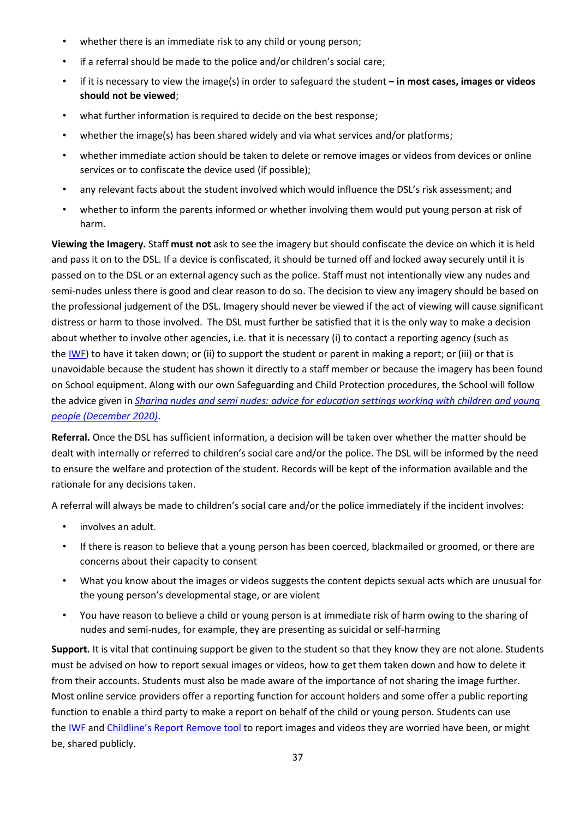- whether there is an immediate risk to any child or young person;
- if a referral should be made to the police and/or children's social care;
- if it is necessary to view the image(s) in order to safeguard the student **– in most cases, images or videos should not be viewed**;
- what further information is required to decide on the best response;
- whether the image(s) has been shared widely and via what services and/or platforms;
- whether immediate action should be taken to delete or remove images or videos from devices or online services or to confiscate the device used (if possible);
- any relevant facts about the student involved which would influence the DSL's risk assessment; and
- whether to inform the parents informed or whether involving them would put young person at risk of harm.

**Viewing the Imagery.** Staff **must not** ask to see the imagery but should confiscate the device on which it is held and pass it on to the DSL. If a device is confiscated, it should be turned off and locked away securely until it is passed on to the DSL or an external agency such as the police. Staff must not intentionally view any nudes and semi-nudes unless there is good and clear reason to do so. The decision to view any imagery should be based on the professional judgement of the DSL. Imagery should never be viewed if the act of viewing will cause significant distress or harm to those involved. The DSL must further be satisfied that it is the only way to make a decision about whether to involve other agencies, i.e. that it is necessary (i) to contact a reporting agency (such as the [IWF\)](https://www.iwf.org.uk/) to have it taken down; or (ii) to support the student or parent in making a report; or (iii) or that is unavoidable because the student has shown it directly to a staff member or because the imagery has been found on School equipment. Along with our own Safeguarding and Child Protection procedures, the School will follow the advice given in *[Sharing nudes and semi nudes: advice for education settings working with children and young](https://www.gov.uk/government/publications/sharing-nudes-and-semi-nudes-advice-for-education-settings-working-with-children-and-young-people/sharing-nudes-and-semi-nudes-advice-for-education-settings-working-with-children-and-young-people)  [people \(December 2020\)](https://www.gov.uk/government/publications/sharing-nudes-and-semi-nudes-advice-for-education-settings-working-with-children-and-young-people/sharing-nudes-and-semi-nudes-advice-for-education-settings-working-with-children-and-young-people)*.

**Referral.** Once the DSL has sufficient information, a decision will be taken over whether the matter should be dealt with internally or referred to children's social care and/or the police. The DSL will be informed by the need to ensure the welfare and protection of the student. Records will be kept of the information available and the rationale for any decisions taken.

A referral will always be made to children's social care and/or the police immediately if the incident involves:

- involves an adult.
- If there is reason to believe that a young person has been coerced, blackmailed or groomed, or there are concerns about their capacity to consent
- What you know about the images or videos suggests the content depicts sexual acts which are unusual for the young person's developmental stage, or are violent
- You have reason to believe a child or young person is at immediate risk of harm owing to the sharing of nudes and semi-nudes, for example, they are presenting as suicidal or self-harming

**Support.** It is vital that continuing support be given to the student so that they know they are not alone. Students must be advised on how to report sexual images or videos, how to get them taken down and how to delete it from their accounts. Students must also be made aware of the importance of not sharing the image further. Most online service providers offer a reporting function for account holders and some offer a public reporting function to enable a third party to make a report on behalf of the child or young person. Students can use the [IWF](https://www.iwf.org.uk/) and [Childline's Report Remove](https://www.childline.org.uk/info-advice/bullying-abuse-safety/online-mobile-safety/sexting/report-nude-image-online/) tool to report images and videos they are worried have been, or might be, shared publicly.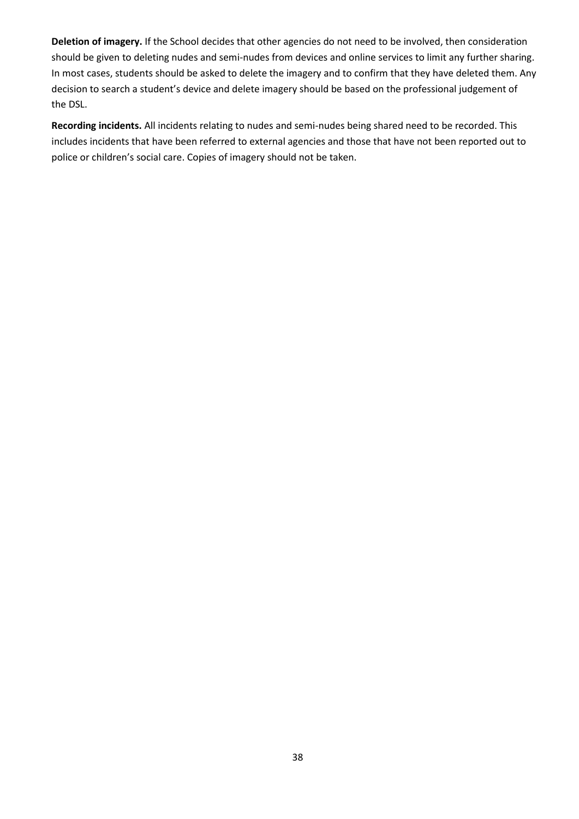**Deletion of imagery.** If the School decides that other agencies do not need to be involved, then consideration should be given to deleting nudes and semi-nudes from devices and online services to limit any further sharing. In most cases, students should be asked to delete the imagery and to confirm that they have deleted them. Any decision to search a student's device and delete imagery should be based on the professional judgement of the DSL.

**Recording incidents.** All incidents relating to nudes and semi-nudes being shared need to be recorded. This includes incidents that have been referred to external agencies and those that have not been reported out to police or children's social care. Copies of imagery should not be taken.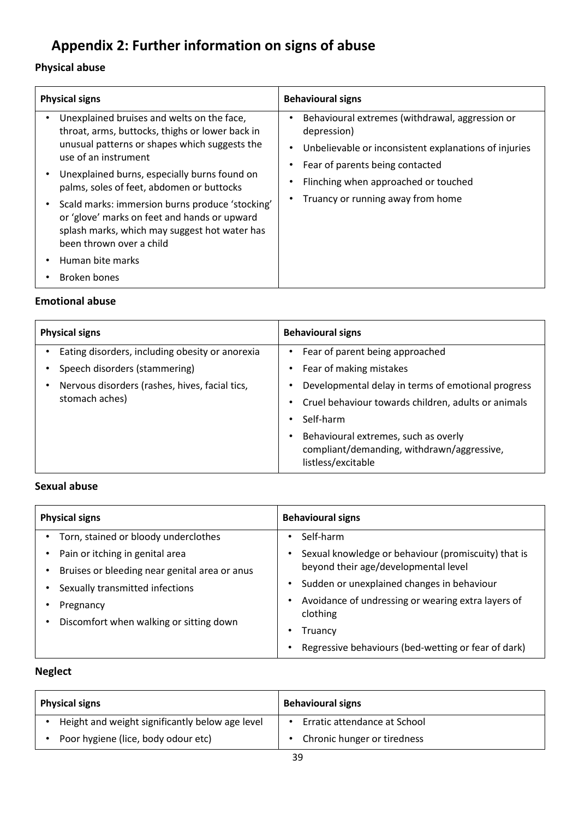# <span id="page-38-0"></span>**Appendix 2: Further information on signs of abuse**

# **Physical abuse**

| <b>Physical signs</b>                                                                                                                                                                                                                                                                                                                                                                                                                                                                                          | <b>Behavioural signs</b>                                                                                                                                                                                                                                          |
|----------------------------------------------------------------------------------------------------------------------------------------------------------------------------------------------------------------------------------------------------------------------------------------------------------------------------------------------------------------------------------------------------------------------------------------------------------------------------------------------------------------|-------------------------------------------------------------------------------------------------------------------------------------------------------------------------------------------------------------------------------------------------------------------|
| Unexplained bruises and welts on the face,<br>$\bullet$<br>throat, arms, buttocks, thighs or lower back in<br>unusual patterns or shapes which suggests the<br>use of an instrument<br>Unexplained burns, especially burns found on<br>$\bullet$<br>palms, soles of feet, abdomen or buttocks<br>Scald marks: immersion burns produce 'stocking'<br>or 'glove' marks on feet and hands or upward<br>splash marks, which may suggest hot water has<br>been thrown over a child<br>Human bite marks<br>$\bullet$ | Behavioural extremes (withdrawal, aggression or<br>$\bullet$<br>depression)<br>Unbelievable or inconsistent explanations of injuries<br>$\bullet$<br>Fear of parents being contacted<br>Flinching when approached or touched<br>Truancy or running away from home |
| Broken bones                                                                                                                                                                                                                                                                                                                                                                                                                                                                                                   |                                                                                                                                                                                                                                                                   |

#### **Emotional abuse**

| <b>Physical signs</b>                           | <b>Behavioural signs</b>                                                                                 |
|-------------------------------------------------|----------------------------------------------------------------------------------------------------------|
| Eating disorders, including obesity or anorexia | Fear of parent being approached<br>٠                                                                     |
| Speech disorders (stammering)                   | Fear of making mistakes                                                                                  |
| Nervous disorders (rashes, hives, facial tics,  | Developmental delay in terms of emotional progress                                                       |
| stomach aches)                                  | Cruel behaviour towards children, adults or animals                                                      |
|                                                 | Self-harm<br>$\bullet$                                                                                   |
|                                                 | Behavioural extremes, such as overly<br>compliant/demanding, withdrawn/aggressive,<br>listless/excitable |

#### **Sexual abuse**

| <b>Physical signs</b>                                      | <b>Behavioural signs</b>                            |  |  |
|------------------------------------------------------------|-----------------------------------------------------|--|--|
| Torn, stained or bloody underclothes<br>$\bullet$          | Self-harm                                           |  |  |
| Pain or itching in genital area<br>٠                       | Sexual knowledge or behaviour (promiscuity) that is |  |  |
| Bruises or bleeding near genital area or anus<br>$\bullet$ | beyond their age/developmental level                |  |  |
| Sexually transmitted infections                            | Sudden or unexplained changes in behaviour          |  |  |
| Pregnancy<br>Discomfort when walking or sitting down       | Avoidance of undressing or wearing extra layers of  |  |  |
|                                                            | clothing                                            |  |  |
|                                                            | Truancy<br>٠                                        |  |  |
|                                                            | Regressive behaviours (bed-wetting or fear of dark) |  |  |

# **Neglect**

| <b>Physical signs</b>                           | <b>Behavioural signs</b>     |  |  |
|-------------------------------------------------|------------------------------|--|--|
| Height and weight significantly below age level | Erratic attendance at School |  |  |
| Poor hygiene (lice, body odour etc)             | Chronic hunger or tiredness  |  |  |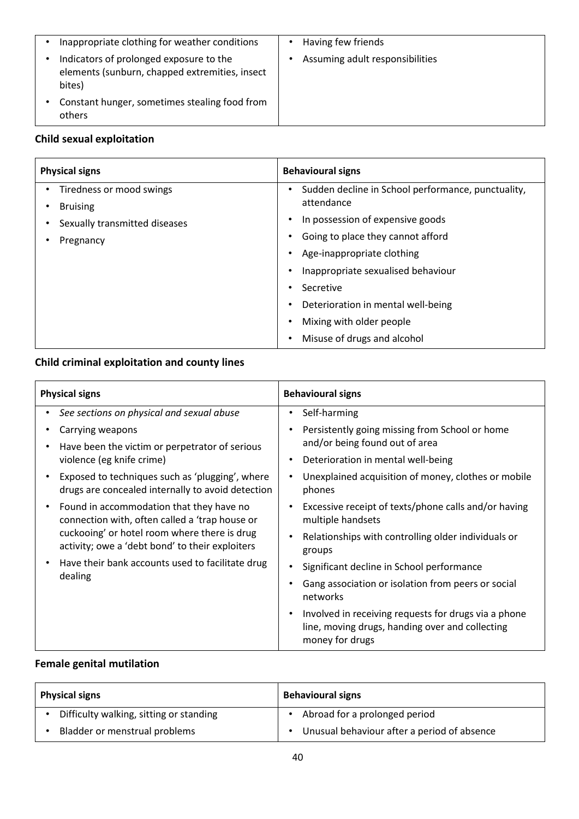| Inappropriate clothing for weather conditions                                                       | Having few friends              |
|-----------------------------------------------------------------------------------------------------|---------------------------------|
| Indicators of prolonged exposure to the<br>elements (sunburn, chapped extremities, insect<br>bites) | Assuming adult responsibilities |
| Constant hunger, sometimes stealing food from<br>others                                             |                                 |

### **Child sexual exploitation**

| <b>Physical signs</b>         | <b>Behavioural signs</b>                           |
|-------------------------------|----------------------------------------------------|
| Tiredness or mood swings      | Sudden decline in School performance, punctuality, |
| <b>Bruising</b>               | attendance                                         |
| Sexually transmitted diseases | In possession of expensive goods                   |
| Pregnancy                     | Going to place they cannot afford                  |
|                               | Age-inappropriate clothing                         |
|                               | Inappropriate sexualised behaviour<br>٠            |
|                               | Secretive<br>٠                                     |
|                               | Deterioration in mental well-being                 |
|                               | Mixing with older people<br>٠                      |
|                               | Misuse of drugs and alcohol                        |

# **Child criminal exploitation and county lines**

| <b>Physical signs</b>                                                                                                                                                                         | <b>Behavioural signs</b>                                                                                                                |  |
|-----------------------------------------------------------------------------------------------------------------------------------------------------------------------------------------------|-----------------------------------------------------------------------------------------------------------------------------------------|--|
| See sections on physical and sexual abuse                                                                                                                                                     | Self-harming<br>$\bullet$                                                                                                               |  |
| Carrying weapons                                                                                                                                                                              | Persistently going missing from School or home<br>$\bullet$                                                                             |  |
| Have been the victim or perpetrator of serious                                                                                                                                                | and/or being found out of area                                                                                                          |  |
| violence (eg knife crime)                                                                                                                                                                     | Deterioration in mental well-being<br>$\bullet$                                                                                         |  |
| Exposed to techniques such as 'plugging', where<br>drugs are concealed internally to avoid detection                                                                                          | Unexplained acquisition of money, clothes or mobile<br>$\bullet$<br>phones                                                              |  |
| Found in accommodation that they have no<br>connection with, often called a 'trap house or<br>cuckooing' or hotel room where there is drug<br>activity; owe a 'debt bond' to their exploiters | Excessive receipt of texts/phone calls and/or having<br>multiple handsets                                                               |  |
|                                                                                                                                                                                               | Relationships with controlling older individuals or<br>groups                                                                           |  |
| Have their bank accounts used to facilitate drug                                                                                                                                              | Significant decline in School performance<br>$\bullet$                                                                                  |  |
| dealing                                                                                                                                                                                       | Gang association or isolation from peers or social<br>$\bullet$<br>networks                                                             |  |
|                                                                                                                                                                                               | Involved in receiving requests for drugs via a phone<br>$\bullet$<br>line, moving drugs, handing over and collecting<br>money for drugs |  |

### **Female genital mutilation**

| <b>Physical signs</b>                   | <b>Behavioural signs</b>                    |  |
|-----------------------------------------|---------------------------------------------|--|
| Difficulty walking, sitting or standing | Abroad for a prolonged period<br>$\bullet$  |  |
| Bladder or menstrual problems           | Unusual behaviour after a period of absence |  |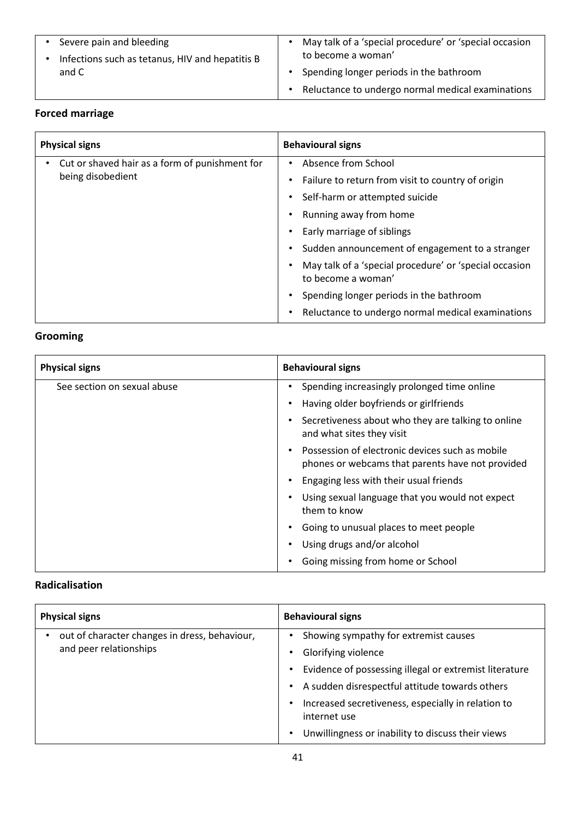| Severe pain and bleeding                        | May talk of a 'special procedure' or 'special occasion |
|-------------------------------------------------|--------------------------------------------------------|
| Infections such as tetanus, HIV and hepatitis B | to become a woman'                                     |
| and C                                           | Spending longer periods in the bathroom                |
|                                                 | Reluctance to undergo normal medical examinations      |

#### **Forced marriage**

| <b>Physical signs</b>                          | <b>Behavioural signs</b>                                                     |
|------------------------------------------------|------------------------------------------------------------------------------|
| Cut or shaved hair as a form of punishment for | Absence from School<br>$\bullet$                                             |
| being disobedient                              | Failure to return from visit to country of origin                            |
|                                                | Self-harm or attempted suicide                                               |
|                                                | Running away from home                                                       |
|                                                | Early marriage of siblings                                                   |
|                                                | Sudden announcement of engagement to a stranger<br>٠                         |
|                                                | May talk of a 'special procedure' or 'special occasion<br>to become a woman' |
|                                                | Spending longer periods in the bathroom                                      |
|                                                | Reluctance to undergo normal medical examinations                            |

#### **Grooming**

| <b>Physical signs</b>       | <b>Behavioural signs</b>                                                                            |
|-----------------------------|-----------------------------------------------------------------------------------------------------|
| See section on sexual abuse | Spending increasingly prolonged time online                                                         |
|                             | Having older boyfriends or girlfriends                                                              |
|                             | Secretiveness about who they are talking to online<br>and what sites they visit                     |
|                             | Possession of electronic devices such as mobile<br>phones or webcams that parents have not provided |
|                             | Engaging less with their usual friends                                                              |
|                             | Using sexual language that you would not expect<br>them to know                                     |
|                             | Going to unusual places to meet people                                                              |
|                             | Using drugs and/or alcohol                                                                          |
|                             | Going missing from home or School                                                                   |

#### **Radicalisation**

| <b>Physical signs</b>                         | <b>Behavioural signs</b>                                                      |
|-----------------------------------------------|-------------------------------------------------------------------------------|
| out of character changes in dress, behaviour, | Showing sympathy for extremist causes                                         |
| and peer relationships                        | Glorifying violence<br>Evidence of possessing illegal or extremist literature |
|                                               |                                                                               |
|                                               | A sudden disrespectful attitude towards others                                |
|                                               | Increased secretiveness, especially in relation to<br>internet use            |
|                                               | Unwillingness or inability to discuss their views                             |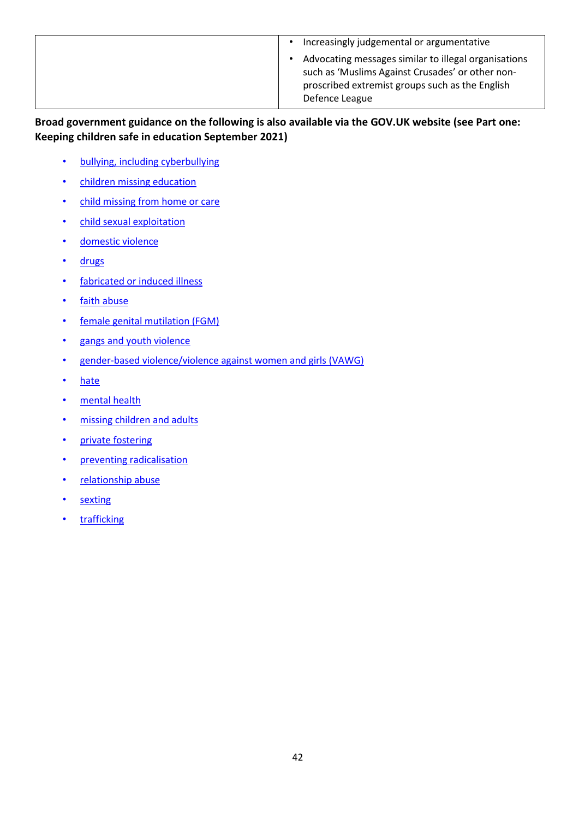| Increasingly judgemental or argumentative<br>$\bullet$<br>Advocating messages similar to illegal organisations<br>such as 'Muslims Against Crusades' or other non- |
|--------------------------------------------------------------------------------------------------------------------------------------------------------------------|
| proscribed extremist groups such as the English<br>Defence League                                                                                                  |

#### **Broad government guidance on the following is also available via the GOV.UK website (see Part one: Keeping children safe in education September 2021)**

- bullying, [including cyberbullying](https://www.gov.uk/government/publications/preventing-and-tackling-bullying)
- [children missing education](https://www.gov.uk/government/publications/children-missing-education)
- [child missing from home or care](https://www.gov.uk/government/publications/children-who-run-away-or-go-missing-from-home-or-care)
- [child sexual exploitation](https://www.gov.uk/government/publications/what-to-do-if-you-suspect-a-child-is-being-sexually-exploited)
- [domestic violence](https://www.gov.uk/domestic-violence-and-abuse)
- [drugs](https://www.gov.uk/government/publications/drugs-advice-for-schools)
- [fabricated or induced illness](https://www.gov.uk/government/publications/safeguarding-children-in-whom-illness-is-fabricated-or-induced)
- [faith abuse](https://www.gov.uk/government/publications/national-action-plan-to-tackle-child-abuse-linked-to-faith-or-belief)
- [female genital mutilation \(FGM\)](https://www.gov.uk/government/publications/multi-agency-statutory-guidance-on-female-genital-mutilation)
- [gangs and youth violence](https://www.gov.uk/government/publications/advice-to-schools-and-colleges-on-gangs-and-youth-violence)
- [gender-based violence/violence against women and girls \(VAWG\)](https://www.gov.uk/government/policies/ending-violence-against-women-and-girls-in-the-uk)
- [hate](http://educateagainsthate.com/)
- [mental health](https://www.gov.uk/government/publications/mental-health-and-behaviour-in-schools--2)
- [missing children and adults](https://www.gov.uk/government/publications/missing-children-and-adults-strategy)
- [private fostering](https://www.gov.uk/government/publications/children-act-1989-private-fostering)
- [preventing radicalisation](https://www.gov.uk/government/publications/prevent-duty-guidance)
- [relationship abuse](https://www.disrespectnobody.co.uk/relationship-abuse/what-is-relationship-abuse/)
- **[sexting](https://www.gov.uk/government/groups/uk-council-for-child-internet-safety-ukccis)**
- [trafficking](https://www.gov.uk/government/publications/safeguarding-children-who-may-have-been-trafficked-practice-guidance)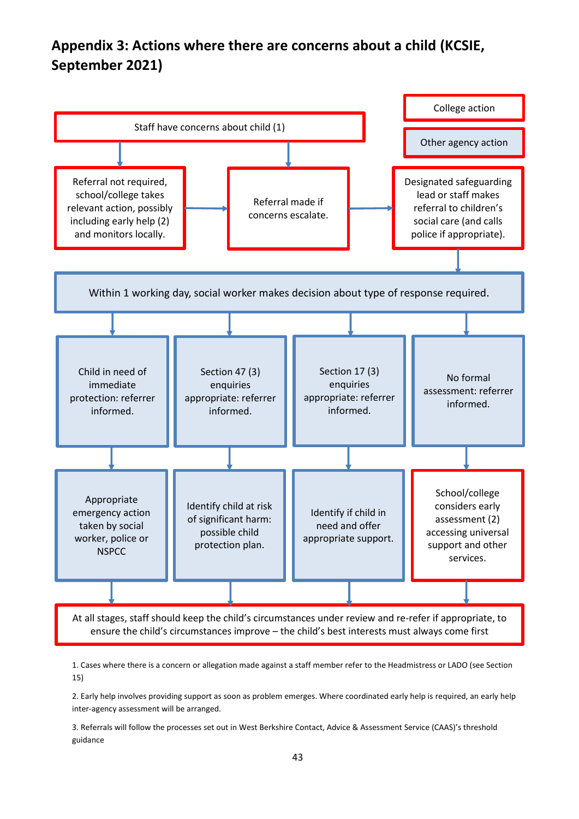# <span id="page-42-0"></span>**Appendix 3: Actions where there are concerns about a child (KCSIE, September 2021)**



1. Cases where there is a concern or allegation made against a staff member refer to the Headmistress or LADO (see Section 15)

2. Early help involves providing support as soon as problem emerges. Where coordinated early help is required, an early help inter-agency assessment will be arranged.

3. Referrals will follow the processes set out in West Berkshire Contact, Advice & Assessment Service (CAAS)'s threshold guidance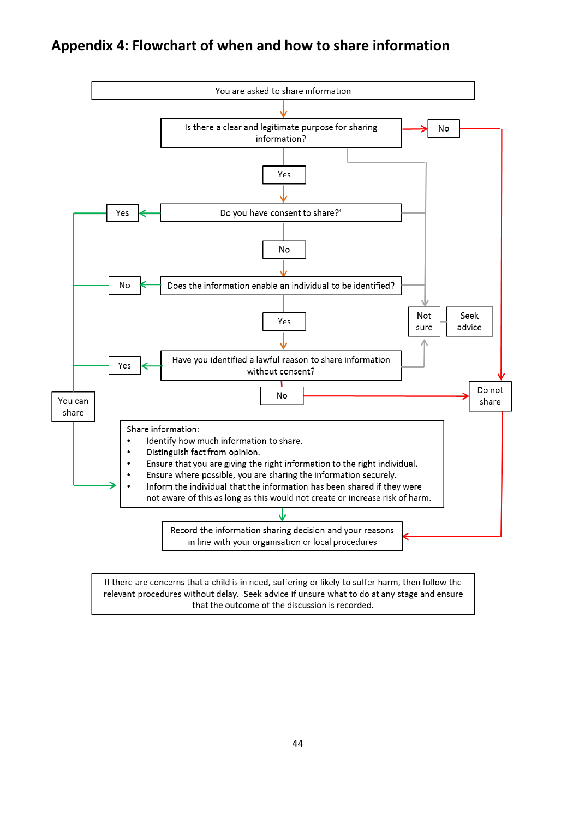# **Appendix 4: Flowchart of when and how to share information**

<span id="page-43-0"></span>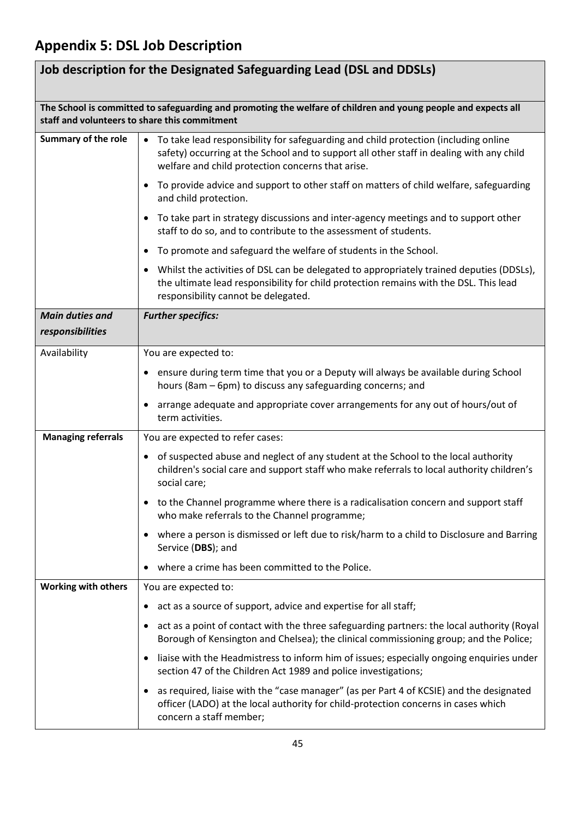# <span id="page-44-0"></span>**Appendix 5: DSL Job Description**

| Job description for the Designated Safeguarding Lead (DSL and DDSLs) |                                                                                                                                                                                                                                        |  |
|----------------------------------------------------------------------|----------------------------------------------------------------------------------------------------------------------------------------------------------------------------------------------------------------------------------------|--|
|                                                                      | The School is committed to safeguarding and promoting the welfare of children and young people and expects all<br>staff and volunteers to share this commitment                                                                        |  |
| <b>Summary of the role</b>                                           | • To take lead responsibility for safeguarding and child protection (including online<br>safety) occurring at the School and to support all other staff in dealing with any child<br>welfare and child protection concerns that arise. |  |
|                                                                      | To provide advice and support to other staff on matters of child welfare, safeguarding<br>$\bullet$<br>and child protection.                                                                                                           |  |
|                                                                      | To take part in strategy discussions and inter-agency meetings and to support other<br>$\bullet$<br>staff to do so, and to contribute to the assessment of students.                                                                   |  |
|                                                                      | To promote and safeguard the welfare of students in the School.<br>$\bullet$                                                                                                                                                           |  |
|                                                                      | Whilst the activities of DSL can be delegated to appropriately trained deputies (DDSLs),<br>$\bullet$<br>the ultimate lead responsibility for child protection remains with the DSL. This lead<br>responsibility cannot be delegated.  |  |
| <b>Main duties and</b>                                               | <b>Further specifics:</b>                                                                                                                                                                                                              |  |
| responsibilities                                                     |                                                                                                                                                                                                                                        |  |
| Availability                                                         | You are expected to:                                                                                                                                                                                                                   |  |
|                                                                      | ensure during term time that you or a Deputy will always be available during School<br>$\bullet$<br>hours (8am – 6pm) to discuss any safeguarding concerns; and                                                                        |  |
|                                                                      | arrange adequate and appropriate cover arrangements for any out of hours/out of<br>٠<br>term activities.                                                                                                                               |  |
| <b>Managing referrals</b>                                            | You are expected to refer cases:                                                                                                                                                                                                       |  |
|                                                                      | • of suspected abuse and neglect of any student at the School to the local authority<br>children's social care and support staff who make referrals to local authority children's<br>social care;                                      |  |
|                                                                      | to the Channel programme where there is a radicalisation concern and support staff<br>who make referrals to the Channel programme;                                                                                                     |  |
|                                                                      | where a person is dismissed or left due to risk/harm to a child to Disclosure and Barring<br>Service (DBS); and                                                                                                                        |  |
|                                                                      | where a crime has been committed to the Police.                                                                                                                                                                                        |  |
| <b>Working with others</b>                                           | You are expected to:                                                                                                                                                                                                                   |  |
|                                                                      | act as a source of support, advice and expertise for all staff;<br>٠                                                                                                                                                                   |  |
|                                                                      | act as a point of contact with the three safeguarding partners: the local authority (Royal<br>٠<br>Borough of Kensington and Chelsea); the clinical commissioning group; and the Police;                                               |  |
|                                                                      | liaise with the Headmistress to inform him of issues; especially ongoing enquiries under<br>٠<br>section 47 of the Children Act 1989 and police investigations;                                                                        |  |
|                                                                      | as required, liaise with the "case manager" (as per Part 4 of KCSIE) and the designated<br>٠<br>officer (LADO) at the local authority for child-protection concerns in cases which<br>concern a staff member;                          |  |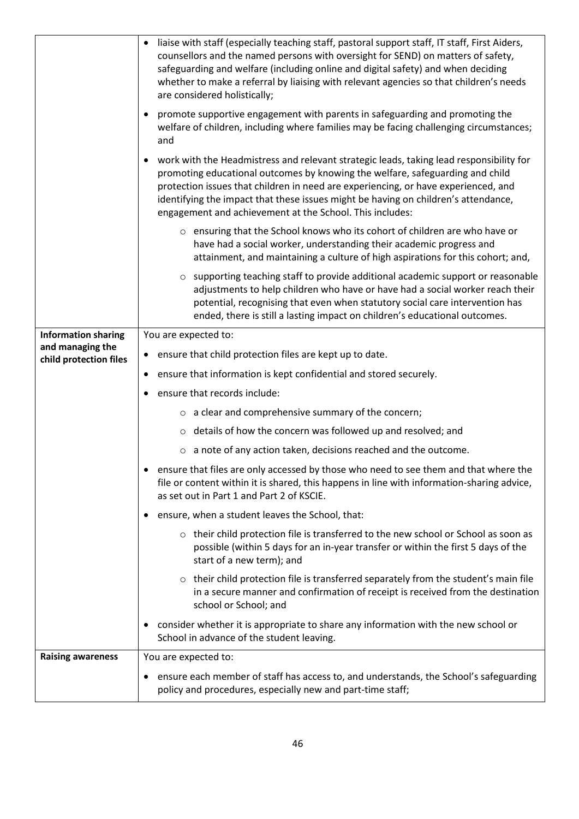|                                            | liaise with staff (especially teaching staff, pastoral support staff, IT staff, First Aiders,<br>$\bullet$<br>counsellors and the named persons with oversight for SEND) on matters of safety,<br>safeguarding and welfare (including online and digital safety) and when deciding<br>whether to make a referral by liaising with relevant agencies so that children's needs<br>are considered holistically;     |
|--------------------------------------------|------------------------------------------------------------------------------------------------------------------------------------------------------------------------------------------------------------------------------------------------------------------------------------------------------------------------------------------------------------------------------------------------------------------|
|                                            | promote supportive engagement with parents in safeguarding and promoting the<br>$\bullet$<br>welfare of children, including where families may be facing challenging circumstances;<br>and                                                                                                                                                                                                                       |
|                                            | work with the Headmistress and relevant strategic leads, taking lead responsibility for<br>promoting educational outcomes by knowing the welfare, safeguarding and child<br>protection issues that children in need are experiencing, or have experienced, and<br>identifying the impact that these issues might be having on children's attendance,<br>engagement and achievement at the School. This includes: |
|                                            | o ensuring that the School knows who its cohort of children are who have or<br>have had a social worker, understanding their academic progress and<br>attainment, and maintaining a culture of high aspirations for this cohort; and,                                                                                                                                                                            |
|                                            | supporting teaching staff to provide additional academic support or reasonable<br>$\circ$<br>adjustments to help children who have or have had a social worker reach their<br>potential, recognising that even when statutory social care intervention has<br>ended, there is still a lasting impact on children's educational outcomes.                                                                         |
| <b>Information sharing</b>                 | You are expected to:                                                                                                                                                                                                                                                                                                                                                                                             |
| and managing the<br>child protection files | ensure that child protection files are kept up to date.<br>$\bullet$                                                                                                                                                                                                                                                                                                                                             |
|                                            | ensure that information is kept confidential and stored securely.<br>٠                                                                                                                                                                                                                                                                                                                                           |
|                                            | ensure that records include:                                                                                                                                                                                                                                                                                                                                                                                     |
|                                            | $\circ$ a clear and comprehensive summary of the concern;                                                                                                                                                                                                                                                                                                                                                        |
|                                            | $\circ$ details of how the concern was followed up and resolved; and                                                                                                                                                                                                                                                                                                                                             |
|                                            | a note of any action taken, decisions reached and the outcome.<br>$\circ$                                                                                                                                                                                                                                                                                                                                        |
|                                            | ensure that files are only accessed by those who need to see them and that where the<br>file or content within it is shared, this happens in line with information-sharing advice,<br>as set out in Part 1 and Part 2 of KSCIE.                                                                                                                                                                                  |
|                                            | ensure, when a student leaves the School, that:<br>$\bullet$                                                                                                                                                                                                                                                                                                                                                     |
|                                            | o their child protection file is transferred to the new school or School as soon as<br>possible (within 5 days for an in-year transfer or within the first 5 days of the<br>start of a new term); and                                                                                                                                                                                                            |
|                                            | $\circ$ their child protection file is transferred separately from the student's main file<br>in a secure manner and confirmation of receipt is received from the destination<br>school or School; and                                                                                                                                                                                                           |
|                                            | consider whether it is appropriate to share any information with the new school or<br>$\bullet$<br>School in advance of the student leaving.                                                                                                                                                                                                                                                                     |
| <b>Raising awareness</b>                   | You are expected to:                                                                                                                                                                                                                                                                                                                                                                                             |
|                                            | ensure each member of staff has access to, and understands, the School's safeguarding<br>٠<br>policy and procedures, especially new and part-time staff;                                                                                                                                                                                                                                                         |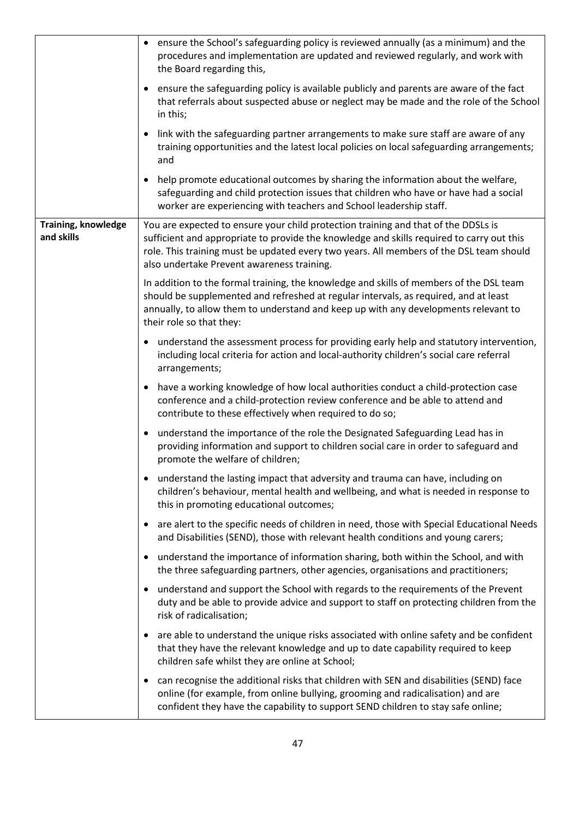|                                   | • ensure the School's safeguarding policy is reviewed annually (as a minimum) and the<br>procedures and implementation are updated and reviewed regularly, and work with<br>the Board regarding this,                                                                                                                    |
|-----------------------------------|--------------------------------------------------------------------------------------------------------------------------------------------------------------------------------------------------------------------------------------------------------------------------------------------------------------------------|
|                                   | ensure the safeguarding policy is available publicly and parents are aware of the fact<br>$\bullet$<br>that referrals about suspected abuse or neglect may be made and the role of the School<br>in this;                                                                                                                |
|                                   | link with the safeguarding partner arrangements to make sure staff are aware of any<br>training opportunities and the latest local policies on local safeguarding arrangements;<br>and                                                                                                                                   |
|                                   | help promote educational outcomes by sharing the information about the welfare,<br>$\bullet$<br>safeguarding and child protection issues that children who have or have had a social<br>worker are experiencing with teachers and School leadership staff.                                                               |
| Training, knowledge<br>and skills | You are expected to ensure your child protection training and that of the DDSLs is<br>sufficient and appropriate to provide the knowledge and skills required to carry out this<br>role. This training must be updated every two years. All members of the DSL team should<br>also undertake Prevent awareness training. |
|                                   | In addition to the formal training, the knowledge and skills of members of the DSL team<br>should be supplemented and refreshed at regular intervals, as required, and at least<br>annually, to allow them to understand and keep up with any developments relevant to<br>their role so that they:                       |
|                                   | understand the assessment process for providing early help and statutory intervention,<br>$\bullet$<br>including local criteria for action and local-authority children's social care referral<br>arrangements;                                                                                                          |
|                                   | have a working knowledge of how local authorities conduct a child-protection case<br>conference and a child-protection review conference and be able to attend and<br>contribute to these effectively when required to do so;                                                                                            |
|                                   | understand the importance of the role the Designated Safeguarding Lead has in<br>$\bullet$<br>providing information and support to children social care in order to safeguard and<br>promote the welfare of children;                                                                                                    |
|                                   | understand the lasting impact that adversity and trauma can have, including on<br>$\bullet$<br>children's behaviour, mental health and wellbeing, and what is needed in response to<br>this in promoting educational outcomes;                                                                                           |
|                                   | are alert to the specific needs of children in need, those with Special Educational Needs<br>$\bullet$<br>and Disabilities (SEND), those with relevant health conditions and young carers;                                                                                                                               |
|                                   | understand the importance of information sharing, both within the School, and with<br>the three safeguarding partners, other agencies, organisations and practitioners;                                                                                                                                                  |
|                                   | understand and support the School with regards to the requirements of the Prevent<br>duty and be able to provide advice and support to staff on protecting children from the<br>risk of radicalisation;                                                                                                                  |
|                                   | are able to understand the unique risks associated with online safety and be confident<br>$\bullet$<br>that they have the relevant knowledge and up to date capability required to keep<br>children safe whilst they are online at School;                                                                               |
|                                   | can recognise the additional risks that children with SEN and disabilities (SEND) face<br>online (for example, from online bullying, grooming and radicalisation) and are<br>confident they have the capability to support SEND children to stay safe online;                                                            |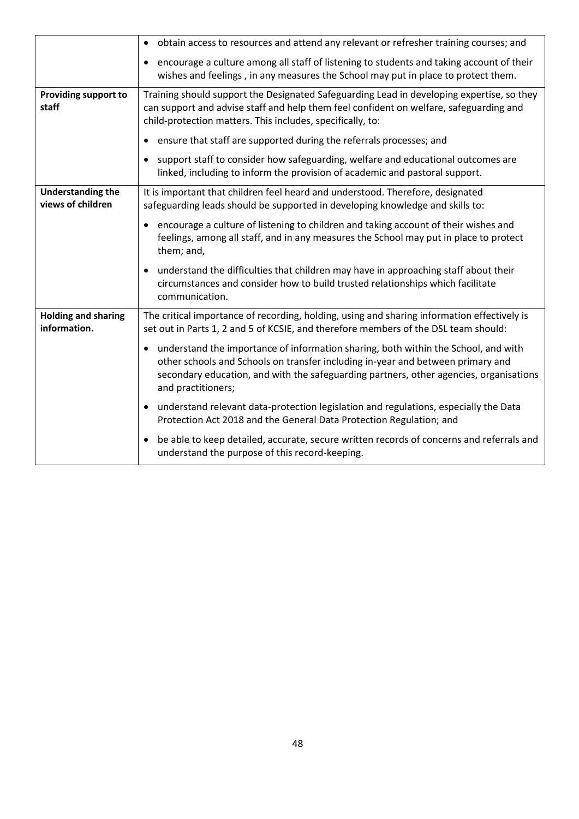|                                               | • obtain access to resources and attend any relevant or refresher training courses; and                                                                                                                                                                                                 |  |  |  |  |
|-----------------------------------------------|-----------------------------------------------------------------------------------------------------------------------------------------------------------------------------------------------------------------------------------------------------------------------------------------|--|--|--|--|
|                                               | encourage a culture among all staff of listening to students and taking account of their<br>wishes and feelings, in any measures the School may put in place to protect them.                                                                                                           |  |  |  |  |
| Providing support to<br>staff                 | Training should support the Designated Safeguarding Lead in developing expertise, so they<br>can support and advise staff and help them feel confident on welfare, safeguarding and<br>child-protection matters. This includes, specifically, to:                                       |  |  |  |  |
|                                               | ensure that staff are supported during the referrals processes; and                                                                                                                                                                                                                     |  |  |  |  |
|                                               | support staff to consider how safeguarding, welfare and educational outcomes are<br>linked, including to inform the provision of academic and pastoral support.                                                                                                                         |  |  |  |  |
| <b>Understanding the</b><br>views of children | It is important that children feel heard and understood. Therefore, designated<br>safeguarding leads should be supported in developing knowledge and skills to:                                                                                                                         |  |  |  |  |
|                                               | encourage a culture of listening to children and taking account of their wishes and<br>feelings, among all staff, and in any measures the School may put in place to protect<br>them; and,                                                                                              |  |  |  |  |
|                                               | understand the difficulties that children may have in approaching staff about their<br>circumstances and consider how to build trusted relationships which facilitate<br>communication.                                                                                                 |  |  |  |  |
| <b>Holding and sharing</b><br>information.    | The critical importance of recording, holding, using and sharing information effectively is<br>set out in Parts 1, 2 and 5 of KCSIE, and therefore members of the DSL team should:                                                                                                      |  |  |  |  |
|                                               | • understand the importance of information sharing, both within the School, and with<br>other schools and Schools on transfer including in-year and between primary and<br>secondary education, and with the safeguarding partners, other agencies, organisations<br>and practitioners; |  |  |  |  |
|                                               | understand relevant data-protection legislation and regulations, especially the Data<br>Protection Act 2018 and the General Data Protection Regulation; and                                                                                                                             |  |  |  |  |
|                                               | be able to keep detailed, accurate, secure written records of concerns and referrals and<br>understand the purpose of this record-keeping.                                                                                                                                              |  |  |  |  |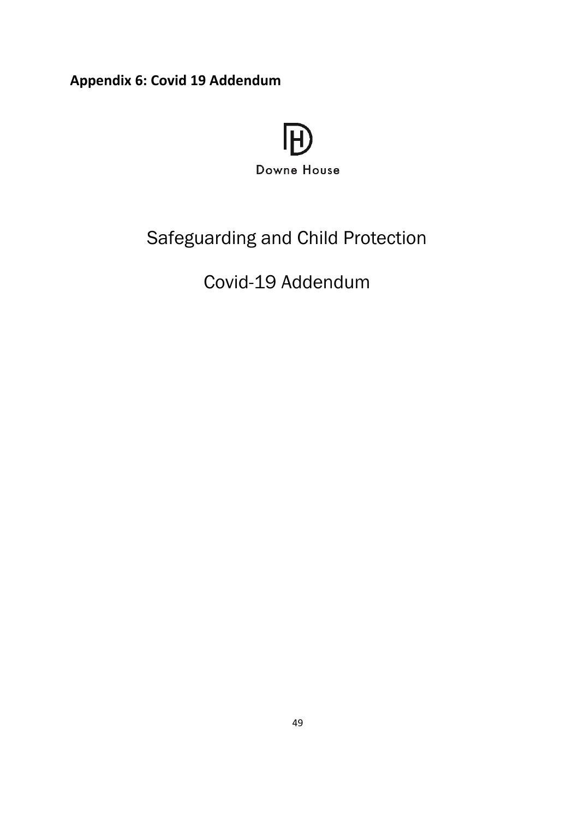**Appendix 6: Covid 19 Addendum**



# Safeguarding and Child Protection

Covid-19 Addendum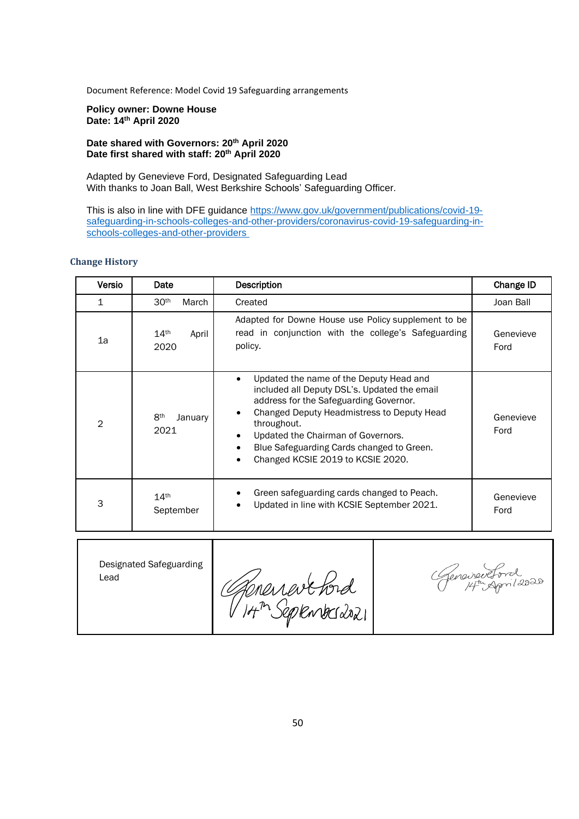Document Reference: Model Covid 19 Safeguarding arrangements

**Policy owner: Downe House Date: 14th April 2020**

#### **Date shared with Governors: 20th April 2020 Date first shared with staff: 20th April 2020**

Adapted by Genevieve Ford, Designated Safeguarding Lead With thanks to Joan Ball, West Berkshire Schools' Safeguarding Officer.

This is also in line with DFE guidance [https://www.gov.uk/government/publications/covid-19](https://www.gov.uk/government/publications/covid-19-safeguarding-in-schools-colleges-and-other-providers/coronavirus-covid-19-safeguarding-in-schools-colleges-and-other-providers) [safeguarding-in-schools-colleges-and-other-providers/coronavirus-covid-19-safeguarding-in](https://www.gov.uk/government/publications/covid-19-safeguarding-in-schools-colleges-and-other-providers/coronavirus-covid-19-safeguarding-in-schools-colleges-and-other-providers)[schools-colleges-and-other-providers](https://www.gov.uk/government/publications/covid-19-safeguarding-in-schools-colleges-and-other-providers/coronavirus-covid-19-safeguarding-in-schools-colleges-and-other-providers)

#### **Change History**

| <b>Versio</b> | Date                               | <b>Description</b>                                                                                                                                                                                                                                                                                                                  | Change ID         |
|---------------|------------------------------------|-------------------------------------------------------------------------------------------------------------------------------------------------------------------------------------------------------------------------------------------------------------------------------------------------------------------------------------|-------------------|
| $\mathbf{1}$  | 30 <sup>th</sup><br>March          | Created                                                                                                                                                                                                                                                                                                                             | Joan Ball         |
| 1a            | 14 <sup>th</sup><br>April<br>2020  | Adapted for Downe House use Policy supplement to be<br>read in conjunction with the college's Safeguarding<br>policy.                                                                                                                                                                                                               | Genevieve<br>Ford |
| 2             | 8 <sup>th</sup><br>January<br>2021 | Updated the name of the Deputy Head and<br>$\bullet$<br>included all Deputy DSL's. Updated the email<br>address for the Safeguarding Governor.<br>Changed Deputy Headmistress to Deputy Head<br>throughout.<br>Updated the Chairman of Governors.<br>Blue Safeguarding Cards changed to Green.<br>Changed KCSIE 2019 to KCSIE 2020. | Genevieve<br>Ford |
| 3             | 14 <sup>th</sup><br>September      | Green safeguarding cards changed to Peach.<br>Updated in line with KCSIE September 2021.                                                                                                                                                                                                                                            | Genevieve<br>Ford |
|               |                                    |                                                                                                                                                                                                                                                                                                                                     |                   |

Designated Safeguarding Lead

Generreve ford

Renaireir weelford<br>Htm April 2020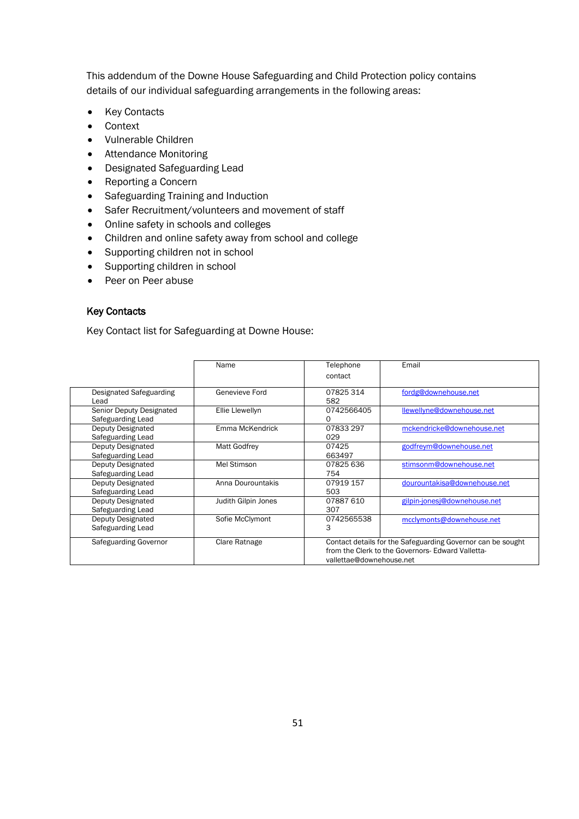This addendum of the Downe House Safeguarding and Child Protection policy contains details of our individual safeguarding arrangements in the following areas:

- Key Contacts
- Context
- Vulnerable Children
- Attendance Monitoring
- Designated Safeguarding Lead
- Reporting a Concern
- Safeguarding Training and Induction
- Safer Recruitment/volunteers and movement of staff
- Online safety in schools and colleges
- Children and online safety away from school and college
- Supporting children not in school
- Supporting children in school
- Peer on Peer abuse

#### Key Contacts

Key Contact list for Safeguarding at Downe House:

|                                               | Name                | Telephone<br>contact     | Email                                                                                                           |
|-----------------------------------------------|---------------------|--------------------------|-----------------------------------------------------------------------------------------------------------------|
| Designated Safeguarding<br>Lead               | Genevieve Ford      | 07825314<br>582          | fordg@downehouse.net                                                                                            |
| Senior Deputy Designated<br>Safeguarding Lead | Ellie Llewellyn     | 0742566405<br>0          | llewellyne@downehouse.net                                                                                       |
| Deputy Designated<br>Safeguarding Lead        | Emma McKendrick     | 07833 297<br>029         | mckendricke@downehouse.net                                                                                      |
| Deputy Designated<br>Safeguarding Lead        | Matt Godfrey        | 07425<br>663497          | godfreym@downehouse.net                                                                                         |
| Deputy Designated<br>Safeguarding Lead        | Mel Stimson         | 07825 636<br>754         | stimsonm@downehouse.net                                                                                         |
| Deputy Designated<br>Safeguarding Lead        | Anna Dourountakis   | 07919 157<br>503         | dourountakisa@downehouse.net                                                                                    |
| Deputy Designated<br>Safeguarding Lead        | Judith Gilpin Jones | 07887 610<br>307         | gilpin-jonesj@downehouse.net                                                                                    |
| Deputy Designated<br>Safeguarding Lead        | Sofie McClymont     | 0742565538<br>3          | mcclymonts@downehouse.net                                                                                       |
| Safeguarding Governor                         | Clare Ratnage       | vallettae@downehouse.net | Contact details for the Safeguarding Governor can be sought<br>from the Clerk to the Governors-Edward Valletta- |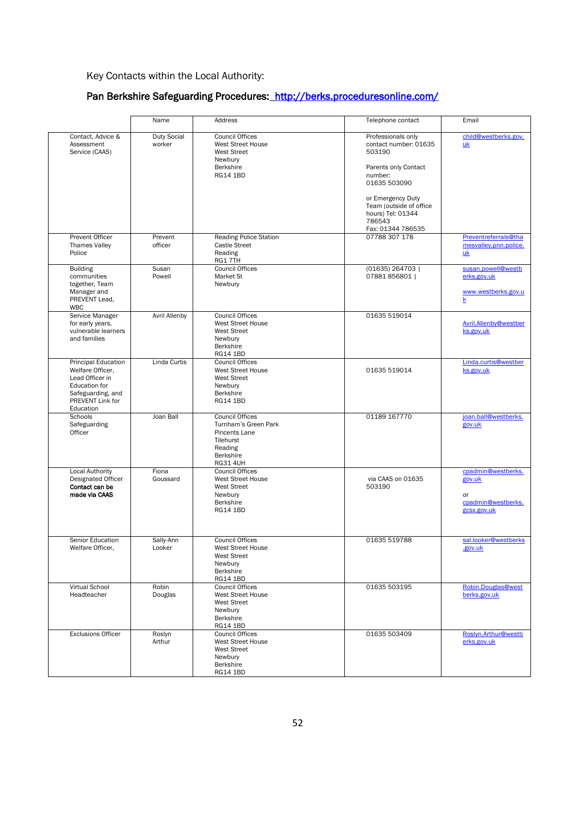# Key Contacts within the Local Authority:

### Pan Berkshire Safeguarding Procedures: <http://berks.proceduresonline.com/>

|                                                                                                                                          | Name                  | Address                                                                                                                        | Telephone contact                                                                                        | Email                                                                   |
|------------------------------------------------------------------------------------------------------------------------------------------|-----------------------|--------------------------------------------------------------------------------------------------------------------------------|----------------------------------------------------------------------------------------------------------|-------------------------------------------------------------------------|
| Contact, Advice &<br>Assessment<br>Service (CAAS)                                                                                        | Duty Social<br>worker | <b>Council Offices</b><br><b>West Street House</b><br><b>West Street</b><br>Newbury<br><b>Berkshire</b><br><b>RG14 1BD</b>     | Professionals only<br>contact number: 01635<br>503190<br>Parents only Contact<br>number:<br>01635 503090 | child@westberks.gov.<br>uk                                              |
|                                                                                                                                          |                       |                                                                                                                                | or Emergency Duty<br>Team (outside of office<br>hours) Tel: 01344<br>786543<br>Fax: 01344 786535         |                                                                         |
| Prevent Officer<br><b>Thames Valley</b><br>Police                                                                                        | Prevent<br>officer    | <b>Reading Police Station</b><br><b>Castle Street</b><br>Reading<br>RG1 7TH                                                    | 07788 307 178                                                                                            | Preventreferrals@tha<br>mesvalley.pnn.police.<br><u>uk</u>              |
| <b>Building</b><br>communities<br>together, Team<br>Manager and<br>PREVENT Lead,<br><b>WBC</b>                                           | Susan<br>Powell       | <b>Council Offices</b><br>Market St<br>Newbury                                                                                 | (01635) 264703  <br>07881856801                                                                          | susan.powell@westb<br>erks.gov.uk<br>www.westberks.gov.u<br>k           |
| Service Manager<br>for early years,<br>vulnerable learners<br>and families                                                               | Avril Allenby         | <b>Council Offices</b><br><b>West Street House</b><br><b>West Street</b><br>Newbury<br><b>Berkshire</b><br><b>RG14 1BD</b>     | 01635 519014                                                                                             | Avril.Allenby@westber<br>ks.gov.uk                                      |
| Principal Education<br>Welfare Officer,<br>Lead Officer in<br><b>Education for</b><br>Safeguarding, and<br>PREVENT Link for<br>Education | Linda Curtis          | <b>Council Offices</b><br><b>West Street House</b><br><b>West Street</b><br>Newbury<br><b>Berkshire</b><br><b>RG14 1BD</b>     | 01635 519014                                                                                             | Linda.curtis@westber<br>ks.gov.uk                                       |
| Schools<br>Safeguarding<br>Officer                                                                                                       | Joan Ball             | <b>Council Offices</b><br>Turnham's Green Park<br>Pincents Lane<br>Tilehurst<br>Reading<br><b>Berkshire</b><br><b>RG31 4UH</b> | 01189 167770                                                                                             | joan.ball@westberks.<br>gov.uk                                          |
| <b>Local Authority</b><br>Designated Officer<br>Contact can be<br>made via CAAS                                                          | Fiona<br>Goussard     | <b>Council Offices</b><br><b>West Street House</b><br><b>West Street</b><br>Newbury<br><b>Berkshire</b><br><b>RG14 1BD</b>     | via CAAS on 01635<br>503190                                                                              | cpadmin@westberks.<br>gov.uk<br>or<br>cpadmin@westberks.<br>gcsx.gov.uk |
| Senior Education<br>Welfare Officer,                                                                                                     | Sally-Ann<br>Looker   | <b>Council Offices</b><br>West Street House<br><b>West Street</b><br>Newbury<br>Berkshire<br><b>RG14 1BD</b>                   | 01635 519788                                                                                             | sal.looker@westberks<br>.gov.uk                                         |
| Virtual School<br>Headteacher                                                                                                            | Robin<br>Douglas      | <b>Council Offices</b><br><b>West Street House</b><br><b>West Street</b><br>Newbury<br>Berkshire<br><b>RG14 1BD</b>            | 01635 503195                                                                                             | Robin.Douglas@west<br>berks.gov.uk                                      |
| <b>Exclusions Officer</b>                                                                                                                | Roslyn<br>Arthur      | <b>Council Offices</b><br><b>West Street House</b><br><b>West Street</b><br>Newbury<br>Berkshire<br><b>RG14 1BD</b>            | 01635 503409                                                                                             | Roslyn.Arthur@westb<br>erks.gov.uk                                      |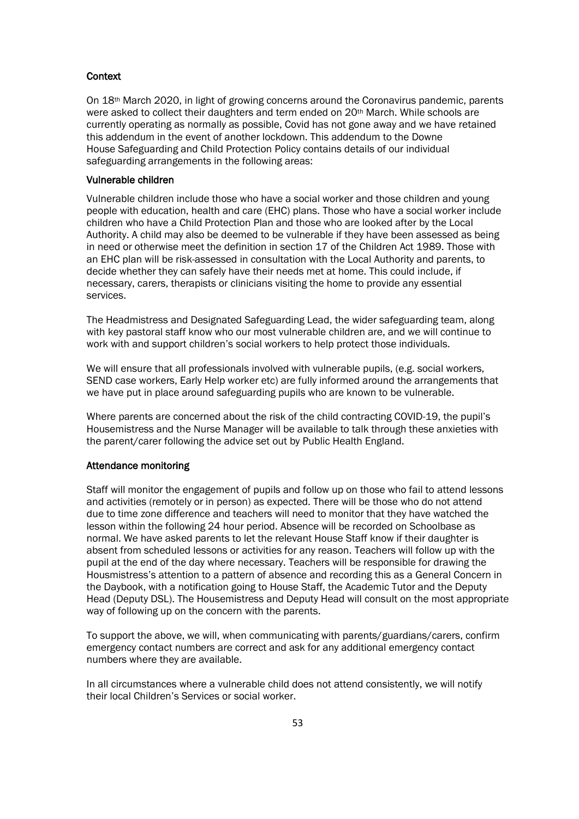#### **Context**

On 18th March 2020, in light of growing concerns around the Coronavirus pandemic, parents were asked to collect their daughters and term ended on 20<sup>th</sup> March. While schools are currently operating as normally as possible, Covid has not gone away and we have retained this addendum in the event of another lockdown. This addendum to the Downe House Safeguarding and Child Protection Policy contains details of our individual safeguarding arrangements in the following areas:

#### Vulnerable children

Vulnerable children include those who have a social worker and those children and young people with education, health and care (EHC) plans. Those who have a social worker include children who have a Child Protection Plan and those who are looked after by the Local Authority. A child may also be deemed to be vulnerable if they have been assessed as being in need or otherwise meet the definition in section 17 of the Children Act 1989. Those with an EHC plan will be risk-assessed in consultation with the Local Authority and parents, to decide whether they can safely have their needs met at home. This could include, if necessary, carers, therapists or clinicians visiting the home to provide any essential services.

The Headmistress and Designated Safeguarding Lead, the wider safeguarding team, along with key pastoral staff know who our most vulnerable children are, and we will continue to work with and support children's social workers to help protect those individuals.

We will ensure that all professionals involved with vulnerable pupils, (e.g. social workers, SEND case workers, Early Help worker etc) are fully informed around the arrangements that we have put in place around safeguarding pupils who are known to be vulnerable.

Where parents are concerned about the risk of the child contracting COVID-19, the pupil's Housemistress and the Nurse Manager will be available to talk through these anxieties with the parent/carer following the advice set out by Public Health England.

#### Attendance monitoring

Staff will monitor the engagement of pupils and follow up on those who fail to attend lessons and activities (remotely or in person) as expected. There will be those who do not attend due to time zone difference and teachers will need to monitor that they have watched the lesson within the following 24 hour period. Absence will be recorded on Schoolbase as normal. We have asked parents to let the relevant House Staff know if their daughter is absent from scheduled lessons or activities for any reason. Teachers will follow up with the pupil at the end of the day where necessary. Teachers will be responsible for drawing the Housmistress's attention to a pattern of absence and recording this as a General Concern in the Daybook, with a notification going to House Staff, the Academic Tutor and the Deputy Head (Deputy DSL). The Housemistress and Deputy Head will consult on the most appropriate way of following up on the concern with the parents.

To support the above, we will, when communicating with parents/guardians/carers, confirm emergency contact numbers are correct and ask for any additional emergency contact numbers where they are available.

In all circumstances where a vulnerable child does not attend consistently, we will notify their local Children's Services or social worker.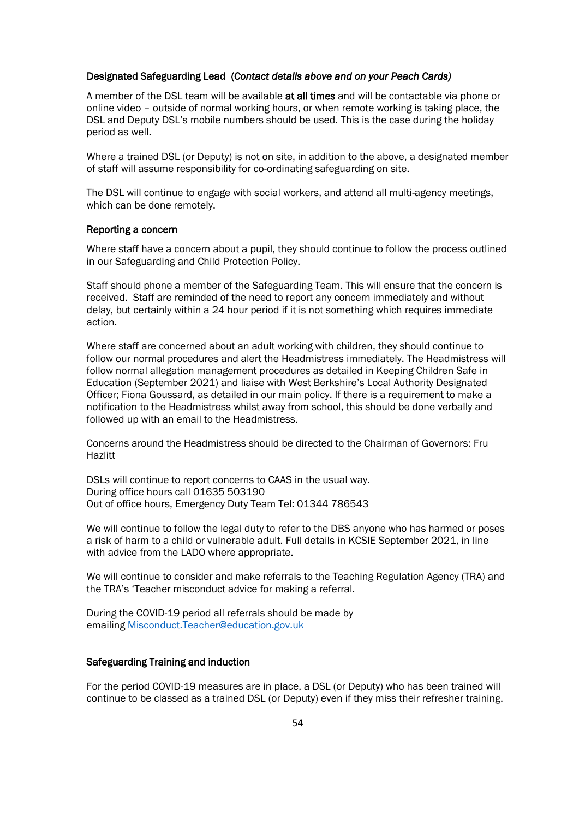#### Designated Safeguarding Lead (*Contact details above and on your Peach Cards)*

A member of the DSL team will be available at all times and will be contactable via phone or online video – outside of normal working hours, or when remote working is taking place, the DSL and Deputy DSL's mobile numbers should be used. This is the case during the holiday period as well.

Where a trained DSL (or Deputy) is not on site, in addition to the above, a designated member of staff will assume responsibility for co-ordinating safeguarding on site.

The DSL will continue to engage with social workers, and attend all multi-agency meetings, which can be done remotely.

#### Reporting a concern

Where staff have a concern about a pupil, they should continue to follow the process outlined in our Safeguarding and Child Protection Policy.

Staff should phone a member of the Safeguarding Team. This will ensure that the concern is received. Staff are reminded of the need to report any concern immediately and without delay, but certainly within a 24 hour period if it is not something which requires immediate action.

Where staff are concerned about an adult working with children, they should continue to follow our normal procedures and alert the Headmistress immediately. The Headmistress will follow normal allegation management procedures as detailed in Keeping Children Safe in Education (September 2021) and liaise with West Berkshire's Local Authority Designated Officer; Fiona Goussard, as detailed in our main policy. If there is a requirement to make a notification to the Headmistress whilst away from school, this should be done verbally and followed up with an email to the Headmistress.

Concerns around the Headmistress should be directed to the Chairman of Governors: Fru Hazlitt

DSLs will continue to report concerns to CAAS in the usual way. During office hours call 01635 503190 Out of office hours, Emergency Duty Team Tel: 01344 786543

We will continue to follow the legal duty to refer to the DBS anyone who has harmed or poses a risk of harm to a child or vulnerable adult. Full details in KCSIE September 2021, in line with advice from the LADO where appropriate.

We will continue to consider and make referrals to the Teaching Regulation Agency (TRA) and the TRA's 'Teacher misconduct advice for making a referral.

During the COVID-19 period all referrals should be made by emailing [Misconduct.Teacher@education.gov.uk](mailto:Misconduct.Teacher@education.gov.uk)

#### Safeguarding Training and induction

For the period COVID-19 measures are in place, a DSL (or Deputy) who has been trained will continue to be classed as a trained DSL (or Deputy) even if they miss their refresher training.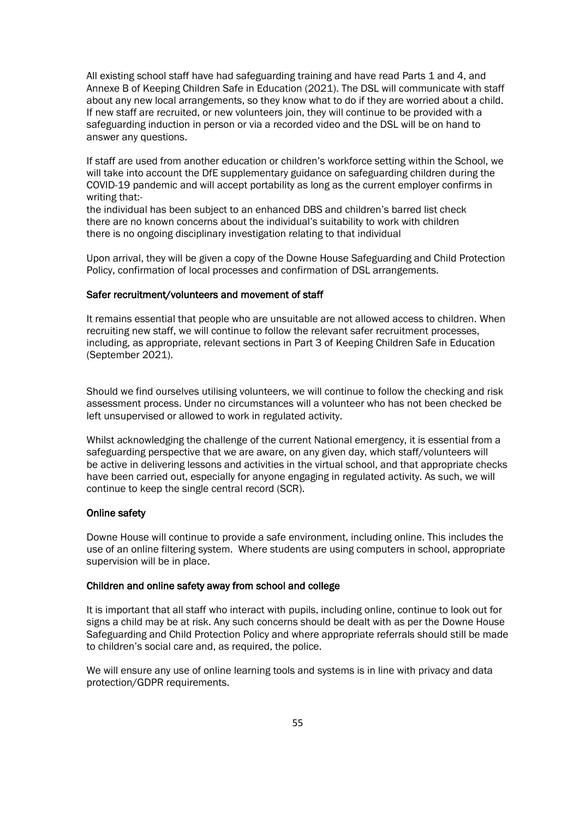All existing school staff have had safeguarding training and have read Parts 1 and 4, and Annexe B of Keeping Children Safe in Education (2021). The DSL will communicate with staff about any new local arrangements, so they know what to do if they are worried about a child. If new staff are recruited, or new volunteers join, they will continue to be provided with a safeguarding induction in person or via a recorded video and the DSL will be on hand to answer any questions.

If staff are used from another education or children's workforce setting within the School, we will take into account the DfE supplementary guidance on safeguarding children during the COVID-19 pandemic and will accept portability as long as the current employer confirms in writing that:-

the individual has been subject to an enhanced DBS and children's barred list check there are no known concerns about the individual's suitability to work with children there is no ongoing disciplinary investigation relating to that individual

Upon arrival, they will be given a copy of the Downe House Safeguarding and Child Protection Policy, confirmation of local processes and confirmation of DSL arrangements.

#### Safer recruitment/volunteers and movement of staff

It remains essential that people who are unsuitable are not allowed access to children. When recruiting new staff, we will continue to follow the relevant safer recruitment processes, including, as appropriate, relevant sections in Part 3 of Keeping Children Safe in Education (September 2021).

Should we find ourselves utilising volunteers, we will continue to follow the checking and risk assessment process. Under no circumstances will a volunteer who has not been checked be left unsupervised or allowed to work in regulated activity.

Whilst acknowledging the challenge of the current National emergency, it is essential from a safeguarding perspective that we are aware, on any given day, which staff/volunteers will be active in delivering lessons and activities in the virtual school, and that appropriate checks have been carried out, especially for anyone engaging in regulated activity. As such, we will continue to keep the single central record (SCR).

#### Online safety

Downe House will continue to provide a safe environment, including online. This includes the use of an online filtering system. Where students are using computers in school, appropriate supervision will be in place.

#### Children and online safety away from school and college

It is important that all staff who interact with pupils, including online, continue to look out for signs a child may be at risk. Any such concerns should be dealt with as per the Downe House Safeguarding and Child Protection Policy and where appropriate referrals should still be made to children's social care and, as required, the police.

We will ensure any use of online learning tools and systems is in line with privacy and data protection/GDPR requirements.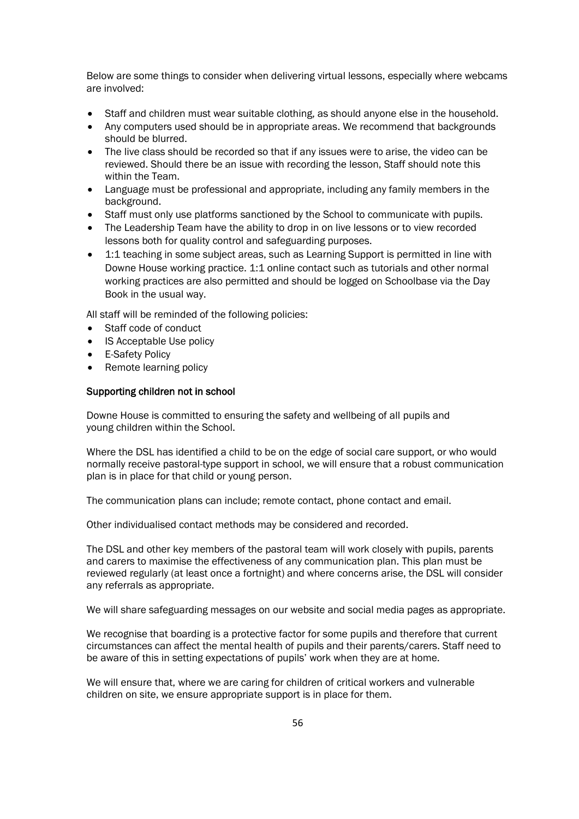Below are some things to consider when delivering virtual lessons, especially where webcams are involved:

- Staff and children must wear suitable clothing, as should anyone else in the household.
- Any computers used should be in appropriate areas. We recommend that backgrounds should be blurred.
- The live class should be recorded so that if any issues were to arise, the video can be reviewed. Should there be an issue with recording the lesson, Staff should note this within the Team.
- Language must be professional and appropriate, including any family members in the background.
- Staff must only use platforms sanctioned by the School to communicate with pupils.
- The Leadership Team have the ability to drop in on live lessons or to view recorded lessons both for quality control and safeguarding purposes.
- 1:1 teaching in some subject areas, such as Learning Support is permitted in line with Downe House working practice. 1:1 online contact such as tutorials and other normal working practices are also permitted and should be logged on Schoolbase via the Day Book in the usual way.

All staff will be reminded of the following policies:

- Staff code of conduct
- IS Acceptable Use policy
- E-Safety Policy
- Remote learning policy

#### Supporting children not in school

Downe House is committed to ensuring the safety and wellbeing of all pupils and young children within the School.

Where the DSL has identified a child to be on the edge of social care support, or who would normally receive pastoral-type support in school, we will ensure that a robust communication plan is in place for that child or young person.

The communication plans can include; remote contact, phone contact and email.

Other individualised contact methods may be considered and recorded.

The DSL and other key members of the pastoral team will work closely with pupils, parents and carers to maximise the effectiveness of any communication plan. This plan must be reviewed regularly (at least once a fortnight) and where concerns arise, the DSL will consider any referrals as appropriate.

We will share safeguarding messages on our website and social media pages as appropriate.

We recognise that boarding is a protective factor for some pupils and therefore that current circumstances can affect the mental health of pupils and their parents/carers. Staff need to be aware of this in setting expectations of pupils' work when they are at home.

We will ensure that, where we are caring for children of critical workers and vulnerable children on site, we ensure appropriate support is in place for them.